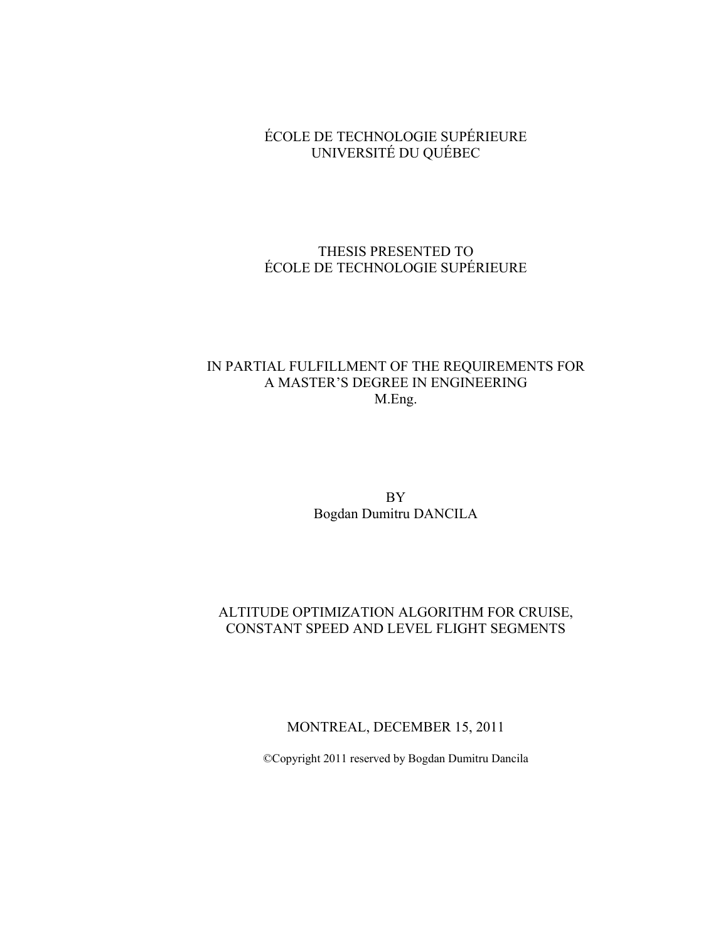### ÉCOLE DE TECHNOLOGIE SUPÉRIEURE UNIVERSITÉ DU QUÉBEC

### THESIS PRESENTED TO ÉCOLE DE TECHNOLOGIE SUPÉRIEURE

## IN PARTIAL FULFILLMENT OF THE REQUIREMENTS FOR A MASTER'S DEGREE IN ENGINEERING M.Eng.

BY Bogdan Dumitru DANCILA

## ALTITUDE OPTIMIZATION ALGORITHM FOR CRUISE, CONSTANT SPEED AND LEVEL FLIGHT SEGMENTS

MONTREAL, DECEMBER 15, 2011

©Copyright 2011 reserved by Bogdan Dumitru Dancila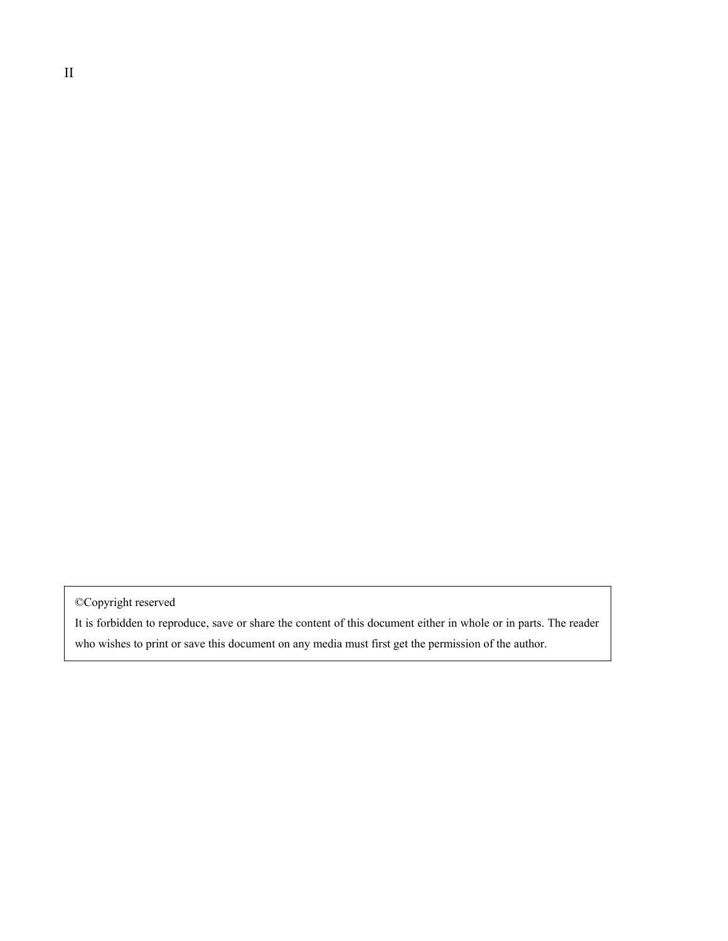©Copyright reserved

It is forbidden to reproduce, save or share the content of this document either in whole or in parts. The reader who wishes to print or save this document on any media must first get the permission of the author.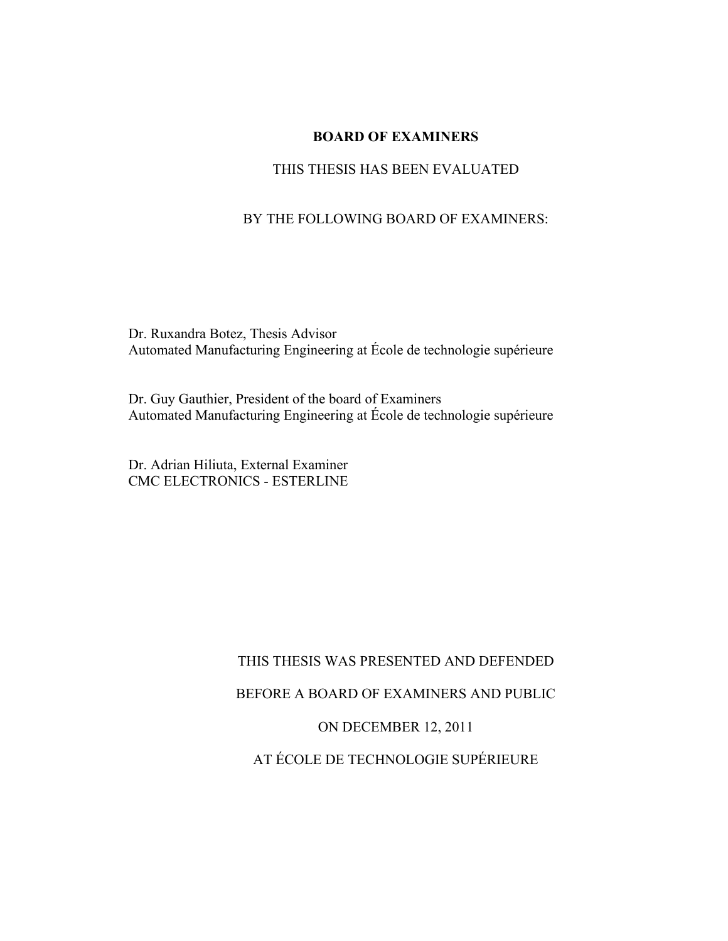### **BOARD OF EXAMINERS**

### THIS THESIS HAS BEEN EVALUATED

### BY THE FOLLOWING BOARD OF EXAMINERS:

Dr. Ruxandra Botez, Thesis Advisor Automated Manufacturing Engineering at École de technologie supérieure

Dr. Guy Gauthier, President of the board of Examiners Automated Manufacturing Engineering at École de technologie supérieure

Dr. Adrian Hiliuta, External Examiner CMC ELECTRONICS - ESTERLINE

### THIS THESIS WAS PRESENTED AND DEFENDED

BEFORE A BOARD OF EXAMINERS AND PUBLIC

#### ON DECEMBER 12, 2011

AT ÉCOLE DE TECHNOLOGIE SUPÉRIEURE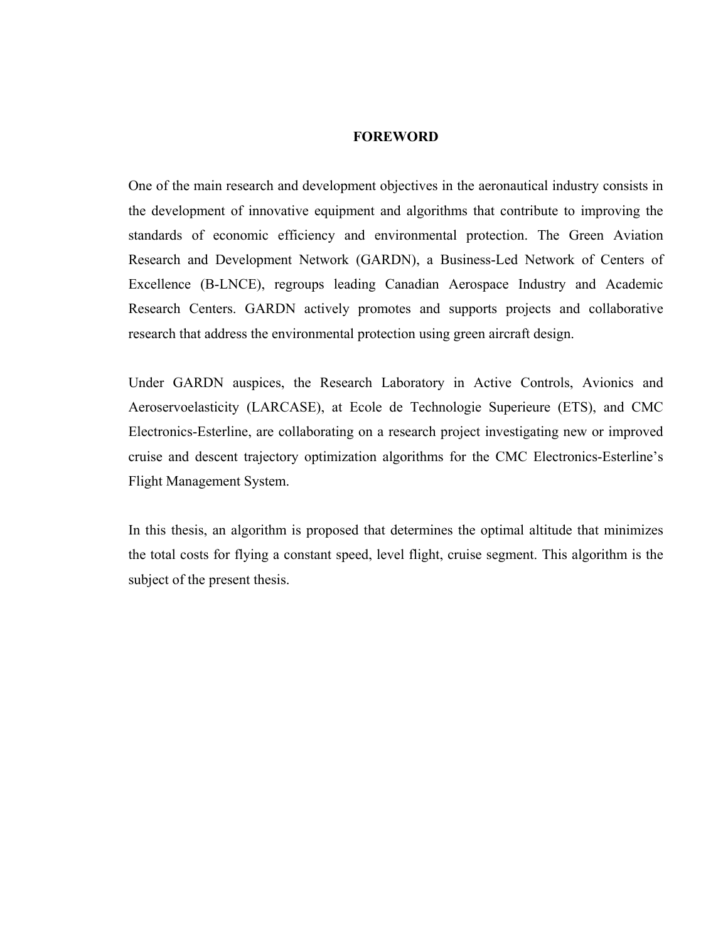### **FOREWORD**

One of the main research and development objectives in the aeronautical industry consists in the development of innovative equipment and algorithms that contribute to improving the standards of economic efficiency and environmental protection. The Green Aviation Research and Development Network (GARDN), a Business-Led Network of Centers of Excellence (B-LNCE), regroups leading Canadian Aerospace Industry and Academic Research Centers. GARDN actively promotes and supports projects and collaborative research that address the environmental protection using green aircraft design.

Under GARDN auspices, the Research Laboratory in Active Controls, Avionics and Aeroservoelasticity (LARCASE), at Ecole de Technologie Superieure (ETS), and CMC Electronics-Esterline, are collaborating on a research project investigating new or improved cruise and descent trajectory optimization algorithms for the CMC Electronics-Esterline's Flight Management System.

In this thesis, an algorithm is proposed that determines the optimal altitude that minimizes the total costs for flying a constant speed, level flight, cruise segment. This algorithm is the subject of the present thesis.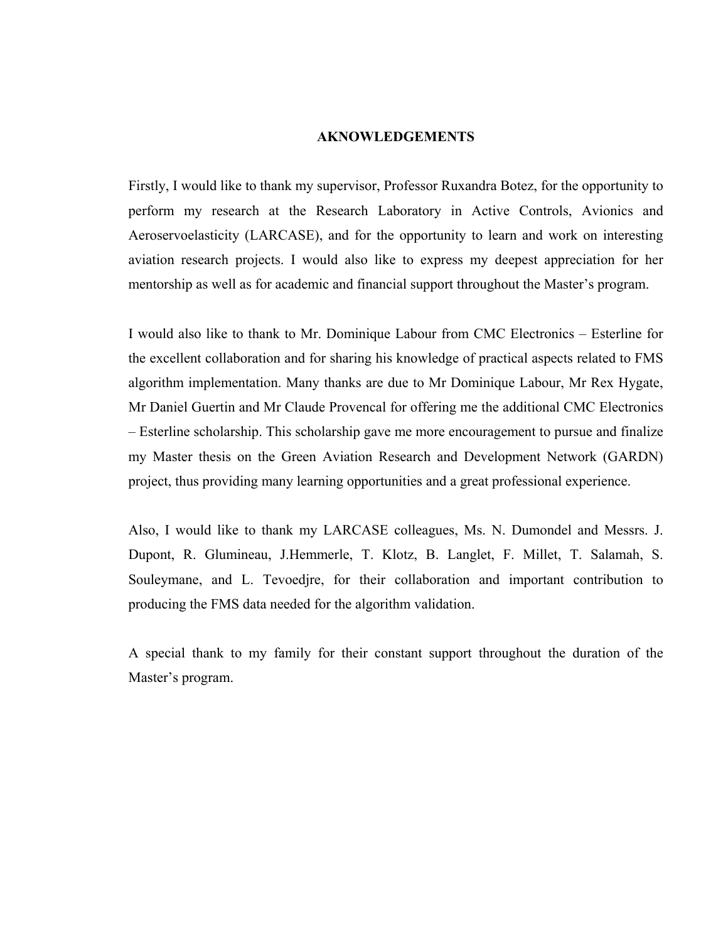#### **AKNOWLEDGEMENTS**

Firstly, I would like to thank my supervisor, Professor Ruxandra Botez, for the opportunity to perform my research at the Research Laboratory in Active Controls, Avionics and Aeroservoelasticity (LARCASE), and for the opportunity to learn and work on interesting aviation research projects. I would also like to express my deepest appreciation for her mentorship as well as for academic and financial support throughout the Master's program.

I would also like to thank to Mr. Dominique Labour from CMC Electronics – Esterline for the excellent collaboration and for sharing his knowledge of practical aspects related to FMS algorithm implementation. Many thanks are due to Mr Dominique Labour, Mr Rex Hygate, Mr Daniel Guertin and Mr Claude Provencal for offering me the additional CMC Electronics – Esterline scholarship. This scholarship gave me more encouragement to pursue and finalize my Master thesis on the Green Aviation Research and Development Network (GARDN) project, thus providing many learning opportunities and a great professional experience.

Also, I would like to thank my LARCASE colleagues, Ms. N. Dumondel and Messrs. J. Dupont, R. Glumineau, J.Hemmerle, T. Klotz, B. Langlet, F. Millet, T. Salamah, S. Souleymane, and L. Tevoedjre, for their collaboration and important contribution to producing the FMS data needed for the algorithm validation.

A special thank to my family for their constant support throughout the duration of the Master's program.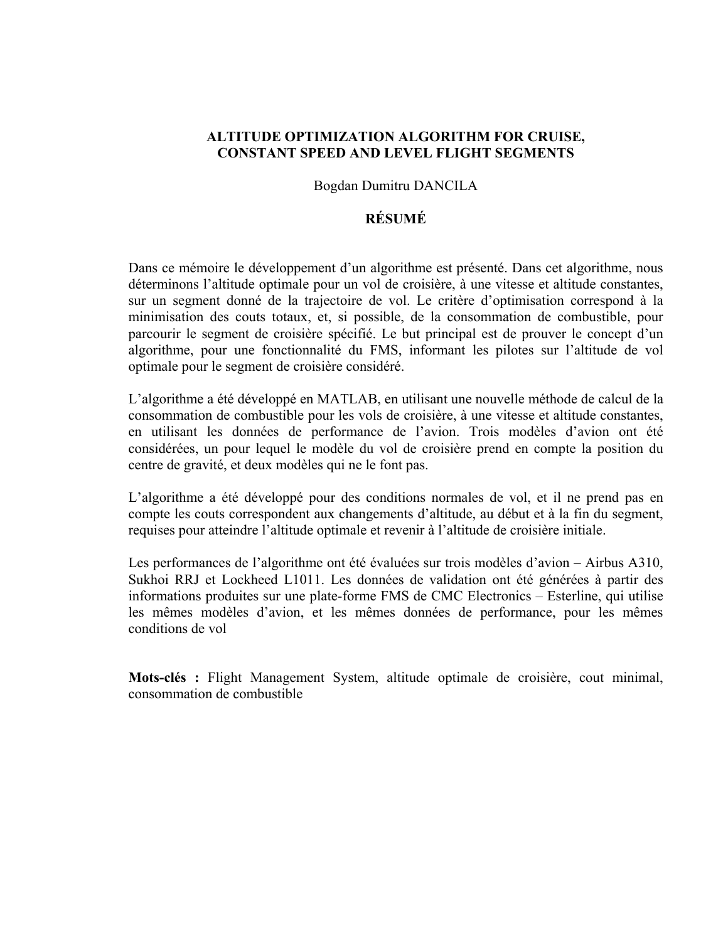### **ALTITUDE OPTIMIZATION ALGORITHM FOR CRUISE, CONSTANT SPEED AND LEVEL FLIGHT SEGMENTS**

#### Bogdan Dumitru DANCILA

### **RÉSUMÉ**

Dans ce mémoire le développement d'un algorithme est présenté. Dans cet algorithme, nous déterminons l'altitude optimale pour un vol de croisière, à une vitesse et altitude constantes, sur un segment donné de la trajectoire de vol. Le critère d'optimisation correspond à la minimisation des couts totaux, et, si possible, de la consommation de combustible, pour parcourir le segment de croisière spécifié. Le but principal est de prouver le concept d'un algorithme, pour une fonctionnalité du FMS, informant les pilotes sur l'altitude de vol optimale pour le segment de croisière considéré.

L'algorithme a été développé en MATLAB, en utilisant une nouvelle méthode de calcul de la consommation de combustible pour les vols de croisière, à une vitesse et altitude constantes, en utilisant les données de performance de l'avion. Trois modèles d'avion ont été considérées, un pour lequel le modèle du vol de croisière prend en compte la position du centre de gravité, et deux modèles qui ne le font pas.

L'algorithme a été développé pour des conditions normales de vol, et il ne prend pas en compte les couts correspondent aux changements d'altitude, au début et à la fin du segment, requises pour atteindre l'altitude optimale et revenir à l'altitude de croisière initiale.

Les performances de l'algorithme ont été évaluées sur trois modèles d'avion – Airbus A310, Sukhoi RRJ et Lockheed L1011. Les données de validation ont été générées à partir des informations produites sur une plate-forme FMS de CMC Electronics – Esterline, qui utilise les mêmes modèles d'avion, et les mêmes données de performance, pour les mêmes conditions de vol

**Mots-clés :** Flight Management System, altitude optimale de croisière, cout minimal, consommation de combustible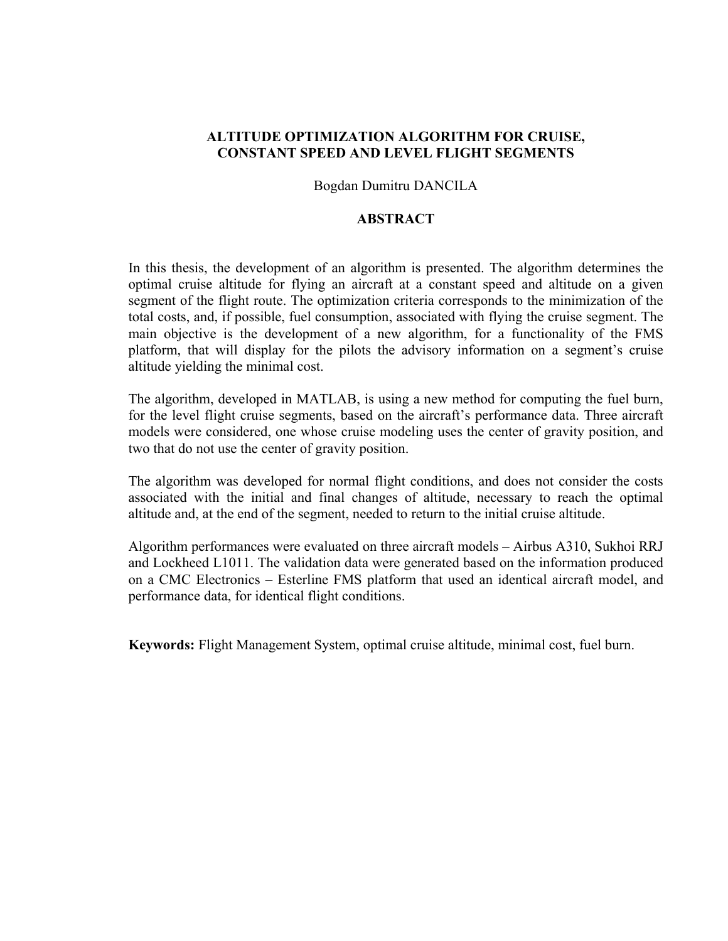### **ALTITUDE OPTIMIZATION ALGORITHM FOR CRUISE, CONSTANT SPEED AND LEVEL FLIGHT SEGMENTS**

#### Bogdan Dumitru DANCILA

### **ABSTRACT**

In this thesis, the development of an algorithm is presented. The algorithm determines the optimal cruise altitude for flying an aircraft at a constant speed and altitude on a given segment of the flight route. The optimization criteria corresponds to the minimization of the total costs, and, if possible, fuel consumption, associated with flying the cruise segment. The main objective is the development of a new algorithm, for a functionality of the FMS platform, that will display for the pilots the advisory information on a segment's cruise altitude yielding the minimal cost.

The algorithm, developed in MATLAB, is using a new method for computing the fuel burn, for the level flight cruise segments, based on the aircraft's performance data. Three aircraft models were considered, one whose cruise modeling uses the center of gravity position, and two that do not use the center of gravity position.

The algorithm was developed for normal flight conditions, and does not consider the costs associated with the initial and final changes of altitude, necessary to reach the optimal altitude and, at the end of the segment, needed to return to the initial cruise altitude.

Algorithm performances were evaluated on three aircraft models – Airbus A310, Sukhoi RRJ and Lockheed L1011. The validation data were generated based on the information produced on a CMC Electronics – Esterline FMS platform that used an identical aircraft model, and performance data, for identical flight conditions.

**Keywords:** Flight Management System, optimal cruise altitude, minimal cost, fuel burn.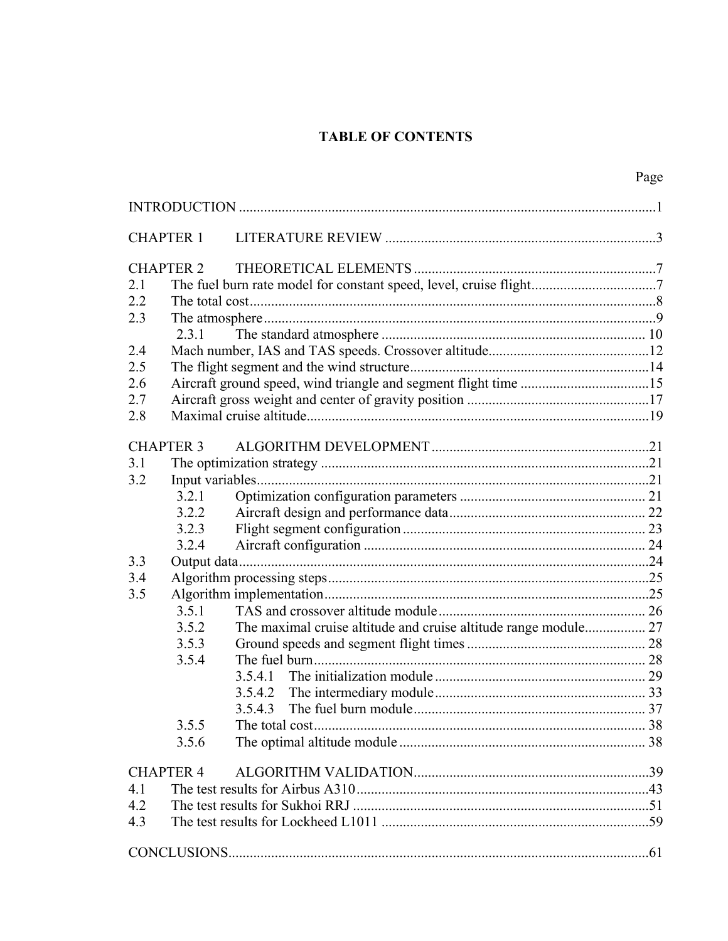## **TABLE OF CONTENTS**

|                  |                  |                                                                    | Page |
|------------------|------------------|--------------------------------------------------------------------|------|
|                  |                  |                                                                    |      |
|                  | <b>CHAPTER 1</b> |                                                                    |      |
|                  | <b>CHAPTER 2</b> |                                                                    |      |
| 2.1              |                  | The fuel burn rate model for constant speed, level, cruise flight7 |      |
| 2.2              |                  |                                                                    |      |
| 2.3              |                  |                                                                    |      |
|                  | 2.3.1            |                                                                    |      |
| 2.4              |                  |                                                                    |      |
| 2.5              |                  |                                                                    |      |
| 2.6              |                  |                                                                    |      |
| 2.7              |                  |                                                                    |      |
| 2.8              |                  |                                                                    |      |
|                  | <b>CHAPTER 3</b> |                                                                    |      |
| 3.1              |                  |                                                                    |      |
| 3.2              |                  |                                                                    |      |
|                  | 3.2.1            |                                                                    |      |
|                  | 3.2.2            |                                                                    |      |
|                  | 3.2.3            |                                                                    |      |
|                  | 3.2.4            |                                                                    |      |
| 3.3              |                  |                                                                    |      |
| 3.4              |                  |                                                                    |      |
| 3.5              |                  |                                                                    |      |
|                  | 3.5.1            |                                                                    |      |
|                  | 3.5.2            |                                                                    |      |
|                  | 3.5.3            |                                                                    |      |
|                  | 3.5.4            |                                                                    |      |
|                  |                  | 3.5.4.1                                                            |      |
|                  |                  |                                                                    |      |
|                  |                  | 3.5.4.3                                                            |      |
|                  | 3.5.5            |                                                                    |      |
|                  | 3.5.6            |                                                                    |      |
| <b>CHAPTER 4</b> |                  |                                                                    |      |
| 4.1              |                  |                                                                    |      |
| 4.2              |                  |                                                                    |      |
| 4.3              |                  |                                                                    |      |
|                  |                  |                                                                    |      |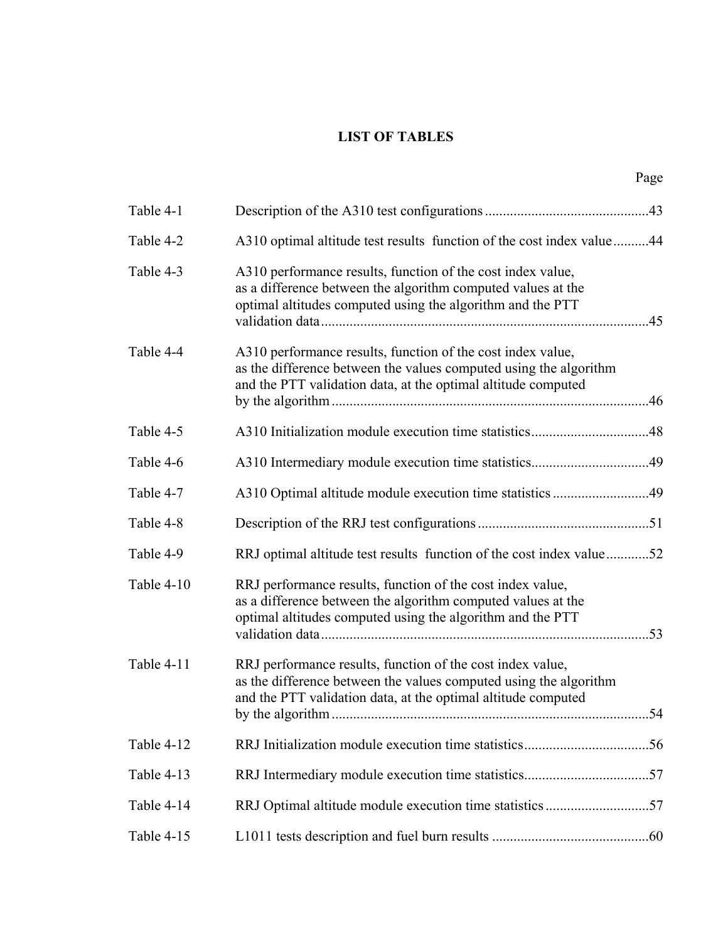### **LIST OF TABLES**

|            |                                                                                                                                                                                                   | Page |
|------------|---------------------------------------------------------------------------------------------------------------------------------------------------------------------------------------------------|------|
| Table 4-1  |                                                                                                                                                                                                   |      |
| Table 4-2  | A310 optimal altitude test results function of the cost index value44                                                                                                                             |      |
| Table 4-3  | A310 performance results, function of the cost index value,<br>as a difference between the algorithm computed values at the<br>optimal altitudes computed using the algorithm and the PTT         |      |
| Table 4-4  | A310 performance results, function of the cost index value,<br>as the difference between the values computed using the algorithm<br>and the PTT validation data, at the optimal altitude computed |      |
| Table 4-5  |                                                                                                                                                                                                   |      |
| Table 4-6  |                                                                                                                                                                                                   |      |
| Table 4-7  |                                                                                                                                                                                                   |      |
| Table 4-8  |                                                                                                                                                                                                   |      |
| Table 4-9  | RRJ optimal altitude test results function of the cost index value52                                                                                                                              |      |
| Table 4-10 | RRJ performance results, function of the cost index value,<br>as a difference between the algorithm computed values at the<br>optimal altitudes computed using the algorithm and the PTT          |      |
| Table 4-11 | RRJ performance results, function of the cost index value,<br>as the difference between the values computed using the algorithm<br>and the PTT validation data, at the optimal altitude computed  |      |
| Table 4-12 |                                                                                                                                                                                                   |      |
| Table 4-13 |                                                                                                                                                                                                   |      |
| Table 4-14 | RRJ Optimal altitude module execution time statistics 57                                                                                                                                          |      |
| Table 4-15 |                                                                                                                                                                                                   |      |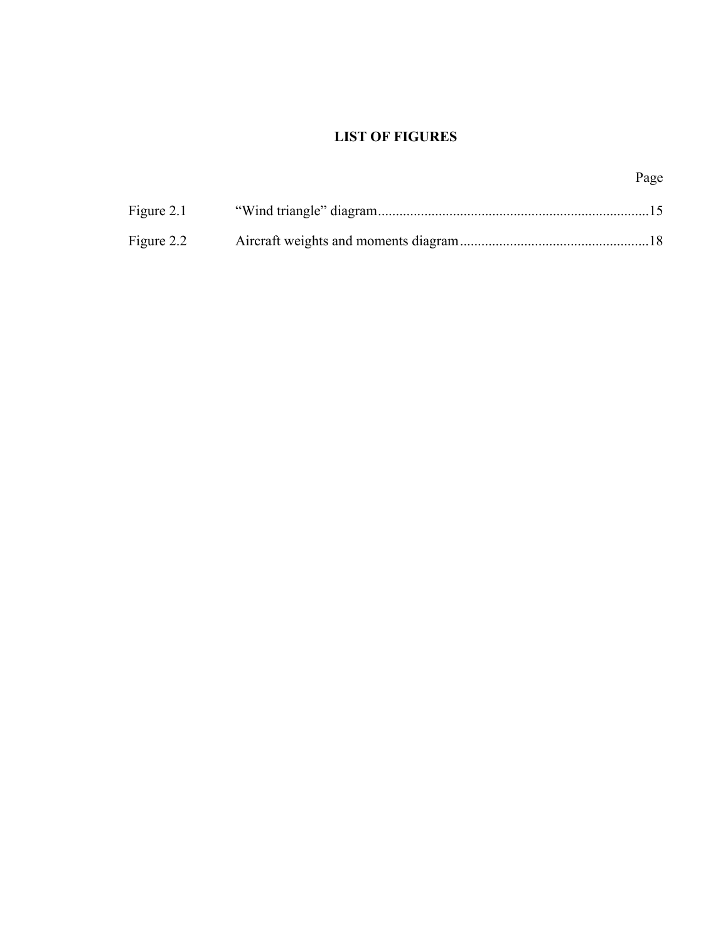## **LIST OF FIGURES**

|            | Page |
|------------|------|
| Figure 2.1 |      |
| Figure 2.2 |      |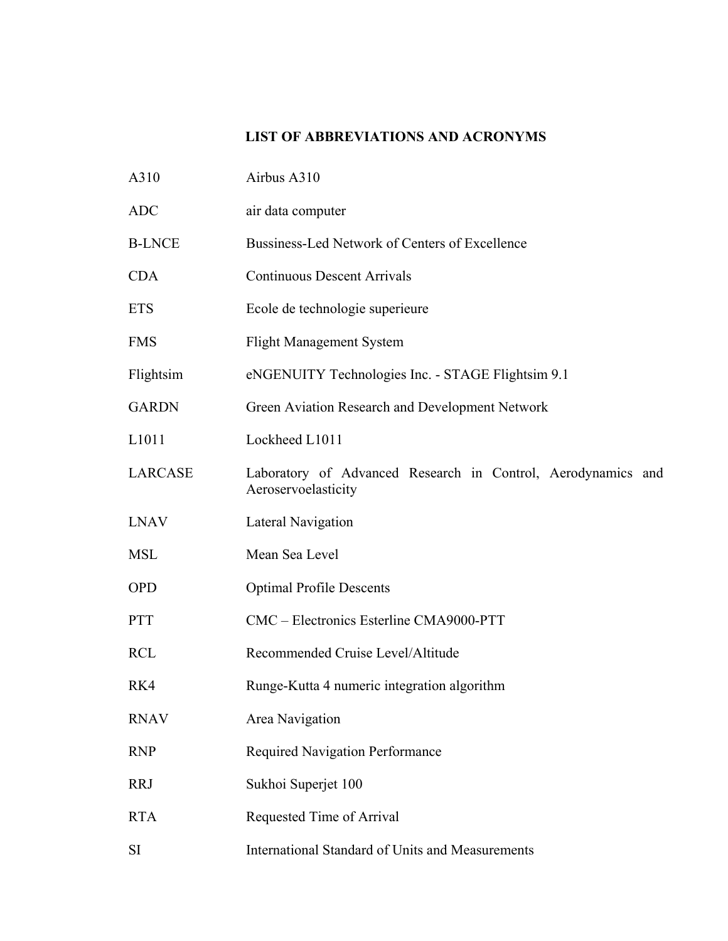## **LIST OF ABBREVIATIONS AND ACRONYMS**

| A310           | Airbus A310                                                                         |
|----------------|-------------------------------------------------------------------------------------|
| <b>ADC</b>     | air data computer                                                                   |
| <b>B-LNCE</b>  | Bussiness-Led Network of Centers of Excellence                                      |
| <b>CDA</b>     | <b>Continuous Descent Arrivals</b>                                                  |
| <b>ETS</b>     | Ecole de technologie superieure                                                     |
| <b>FMS</b>     | <b>Flight Management System</b>                                                     |
| Flightsim      | eNGENUITY Technologies Inc. - STAGE Flightsim 9.1                                   |
| <b>GARDN</b>   | Green Aviation Research and Development Network                                     |
| L1011          | Lockheed L1011                                                                      |
| <b>LARCASE</b> | Laboratory of Advanced Research in Control, Aerodynamics and<br>Aeroservoelasticity |
| <b>LNAV</b>    | Lateral Navigation                                                                  |
| <b>MSL</b>     | Mean Sea Level                                                                      |
| <b>OPD</b>     | <b>Optimal Profile Descents</b>                                                     |
| <b>PTT</b>     | CMC – Electronics Esterline CMA9000-PTT                                             |
| <b>RCL</b>     | Recommended Cruise Level/Altitude                                                   |
| RK4            | Runge-Kutta 4 numeric integration algorithm                                         |
| <b>RNAV</b>    | Area Navigation                                                                     |
| <b>RNP</b>     | Required Navigation Performance                                                     |
| <b>RRJ</b>     | Sukhoi Superjet 100                                                                 |
| <b>RTA</b>     | Requested Time of Arrival                                                           |
| <b>SI</b>      | International Standard of Units and Measurements                                    |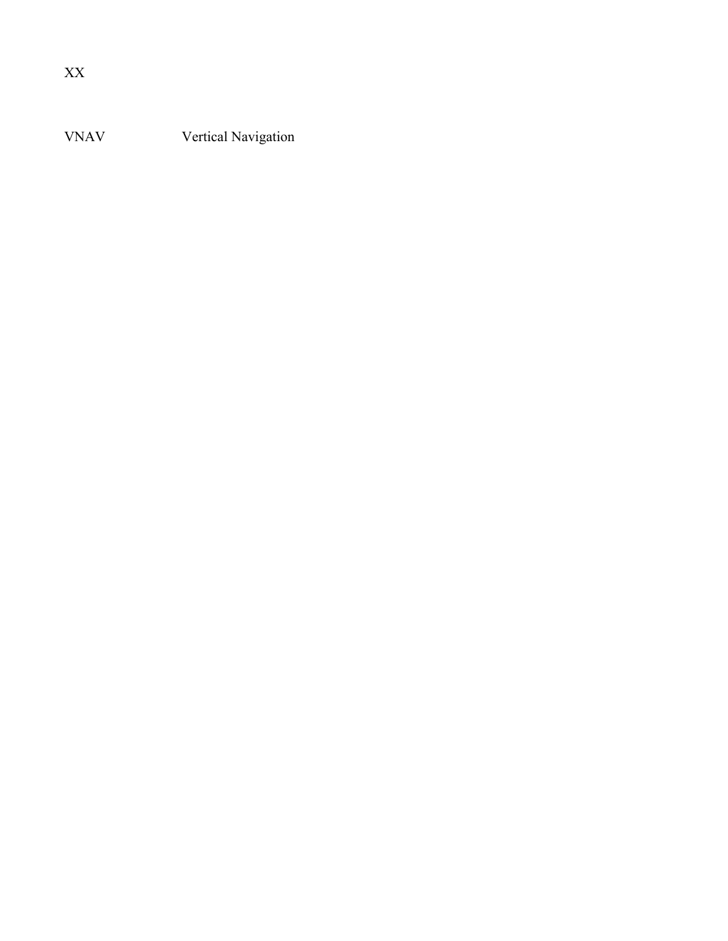VNAV Vertical Navigation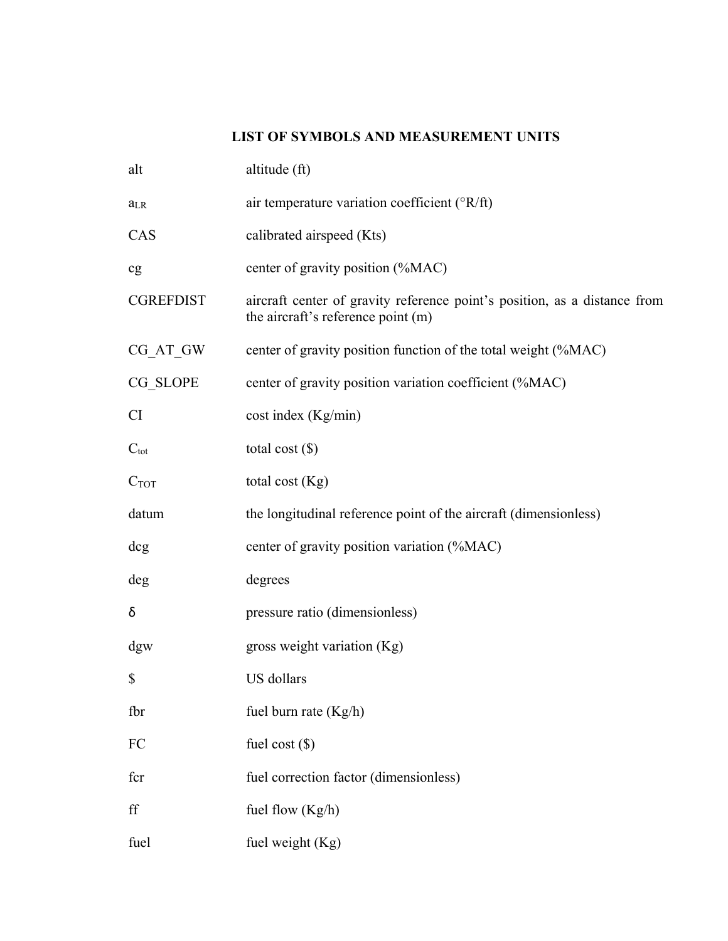## **LIST OF SYMBOLS AND MEASUREMENT UNITS**

| alt              | altitude (ft)                                                                                                   |
|------------------|-----------------------------------------------------------------------------------------------------------------|
| $a_{LR}$         | air temperature variation coefficient ( ${}^{\circ}R/ft$ )                                                      |
| CAS              | calibrated airspeed (Kts)                                                                                       |
| cg               | center of gravity position (%MAC)                                                                               |
| <b>CGREFDIST</b> | aircraft center of gravity reference point's position, as a distance from<br>the aircraft's reference point (m) |
| $CG_AT_GW$       | center of gravity position function of the total weight (%MAC)                                                  |
| CG_SLOPE         | center of gravity position variation coefficient (%MAC)                                                         |
| <b>CI</b>        | cost index (Kg/min)                                                                                             |
| $C_{\text{tot}}$ | total cost $(\$)$                                                                                               |
| C <sub>TOT</sub> | total cost (Kg)                                                                                                 |
| datum            | the longitudinal reference point of the aircraft (dimensionless)                                                |
| dcg              | center of gravity position variation (%MAC)                                                                     |
| deg              | degrees                                                                                                         |
| δ                | pressure ratio (dimensionless)                                                                                  |
| dgw              | gross weight variation (Kg)                                                                                     |
| \$               | US dollars                                                                                                      |
| fbr              | fuel burn rate (Kg/h)                                                                                           |
| FC               | fuel cost $(\$)$                                                                                                |
| fcr              | fuel correction factor (dimensionless)                                                                          |
| ff               | fuel flow $(Kg/h)$                                                                                              |
| fuel             | fuel weight (Kg)                                                                                                |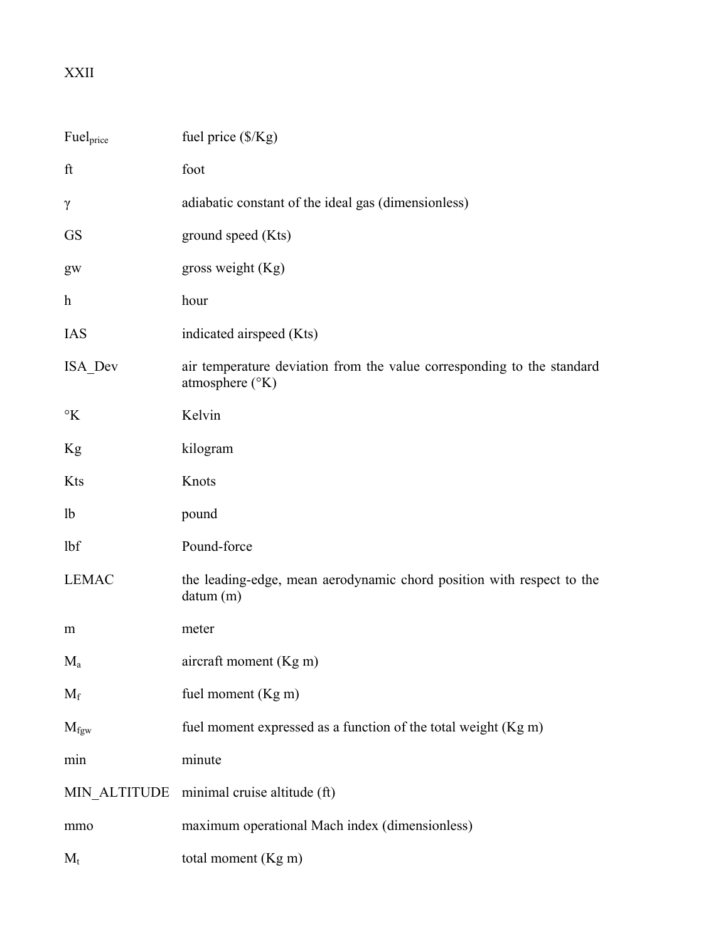# XXII

| Fuelprice           | fuel price (\$/Kg)                                                                                   |
|---------------------|------------------------------------------------------------------------------------------------------|
| ft                  | foot                                                                                                 |
| $\gamma$            | adiabatic constant of the ideal gas (dimensionless)                                                  |
| <b>GS</b>           | ground speed (Kts)                                                                                   |
| gw                  | gross weight (Kg)                                                                                    |
| $\boldsymbol{h}$    | hour                                                                                                 |
| <b>IAS</b>          | indicated airspeed (Kts)                                                                             |
| ISA Dev             | air temperature deviation from the value corresponding to the standard<br>atmosphere $({}^{\circ}K)$ |
| $\mathcal{C}$ K     | Kelvin                                                                                               |
| Kg                  | kilogram                                                                                             |
| Kts                 | Knots                                                                                                |
| 1 <sub>b</sub>      | pound                                                                                                |
| lbf                 | Pound-force                                                                                          |
| <b>LEMAC</b>        | the leading-edge, mean aerodynamic chord position with respect to the<br>datum (m)                   |
| m                   | meter                                                                                                |
| $M_a$               | aircraft moment (Kg m)                                                                               |
| $M_f$               | fuel moment (Kg m)                                                                                   |
| $M_{\rm fgw}$       | fuel moment expressed as a function of the total weight (Kg m)                                       |
| min                 | minute                                                                                               |
| <b>MIN_ALTITUDE</b> | minimal cruise altitude (ft)                                                                         |
| mmo                 | maximum operational Mach index (dimensionless)                                                       |
| $M_t$               | total moment (Kg m)                                                                                  |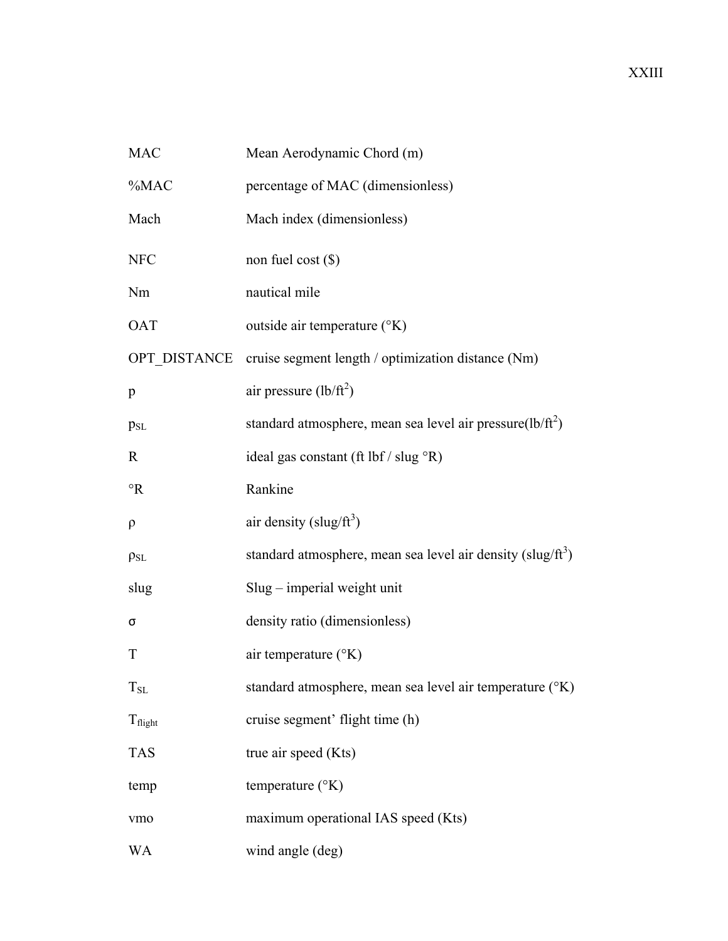| <b>MAC</b>          | Mean Aerodynamic Chord (m)                                              |
|---------------------|-------------------------------------------------------------------------|
| $\%$ MAC            | percentage of MAC (dimensionless)                                       |
| Mach                | Mach index (dimensionless)                                              |
| <b>NFC</b>          | non fuel cost $(\$)$                                                    |
| Nm                  | nautical mile                                                           |
| <b>OAT</b>          | outside air temperature (°K)                                            |
| OPT DISTANCE        | cruise segment length / optimization distance (Nm)                      |
| p                   | air pressure $(lb/ft^2)$                                                |
| p <sub>SL</sub>     | standard atmosphere, mean sea level air pressure( $lb/ft^2$ )           |
| R                   | ideal gas constant (ft $\bf{lbf}/\bf{slug} \,^{\circ}R$ )               |
| $\mathcal{R}$       | Rankine                                                                 |
| $\rho$              | air density (slug/ $ft^3$ )                                             |
| $\rho_{SL}$         | standard atmosphere, mean sea level air density (slug/ft <sup>3</sup> ) |
| slug                | $Slug$ – imperial weight unit                                           |
| σ                   | density ratio (dimensionless)                                           |
| T                   | air temperature (°K)                                                    |
| $T_{SL}$            | standard atmosphere, mean sea level air temperature (°K)                |
| $T_{\text{flight}}$ | cruise segment' flight time (h)                                         |
| <b>TAS</b>          | true air speed (Kts)                                                    |
| temp                | temperature $({}^{\circ}K)$                                             |
| vmo                 | maximum operational IAS speed (Kts)                                     |
| WA                  | wind angle (deg)                                                        |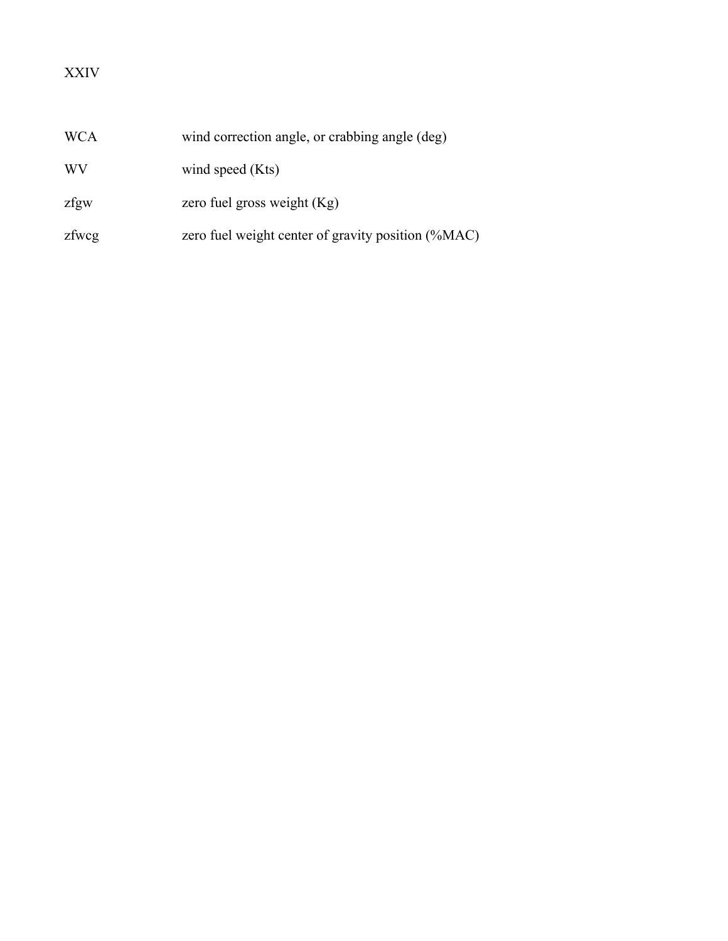# XXIV

| <b>WCA</b> | wind correction angle, or crabbing angle (deg)     |
|------------|----------------------------------------------------|
| WV         | wind speed (Kts)                                   |
| zfgw       | zero fuel gross weight $(Kg)$                      |
| zfwcg      | zero fuel weight center of gravity position (%MAC) |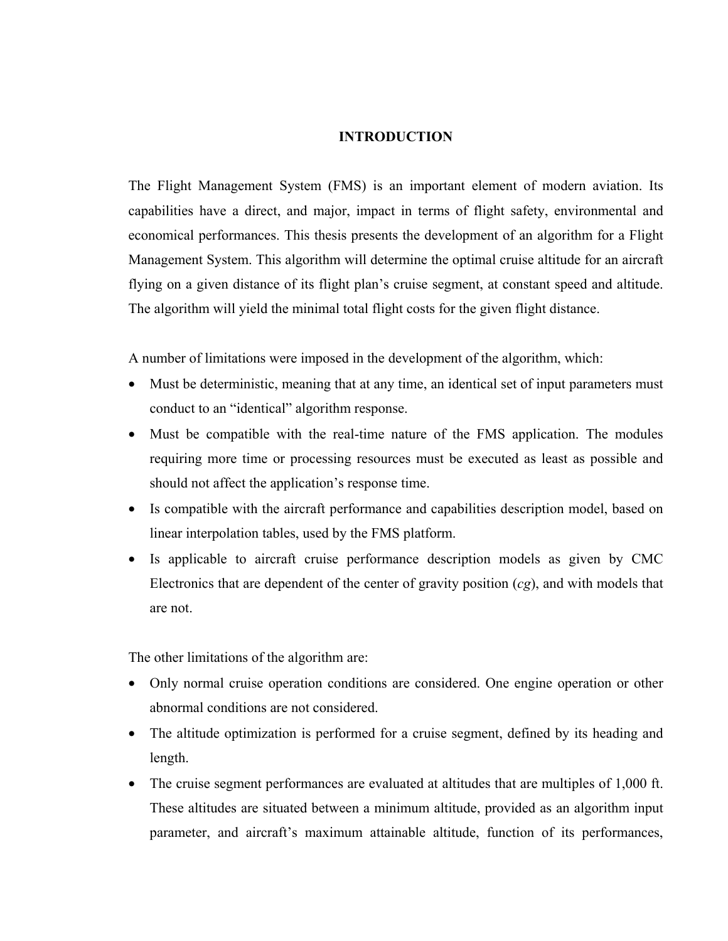#### **INTRODUCTION**

The Flight Management System (FMS) is an important element of modern aviation. Its capabilities have a direct, and major, impact in terms of flight safety, environmental and economical performances. This thesis presents the development of an algorithm for a Flight Management System. This algorithm will determine the optimal cruise altitude for an aircraft flying on a given distance of its flight plan's cruise segment, at constant speed and altitude. The algorithm will yield the minimal total flight costs for the given flight distance.

A number of limitations were imposed in the development of the algorithm, which:

- Must be deterministic, meaning that at any time, an identical set of input parameters must conduct to an "identical" algorithm response.
- Must be compatible with the real-time nature of the FMS application. The modules requiring more time or processing resources must be executed as least as possible and should not affect the application's response time.
- Is compatible with the aircraft performance and capabilities description model, based on linear interpolation tables, used by the FMS platform.
- Is applicable to aircraft cruise performance description models as given by CMC Electronics that are dependent of the center of gravity position (*cg*), and with models that are not.

The other limitations of the algorithm are:

- Only normal cruise operation conditions are considered. One engine operation or other abnormal conditions are not considered.
- The altitude optimization is performed for a cruise segment, defined by its heading and length.
- The cruise segment performances are evaluated at altitudes that are multiples of 1,000 ft. These altitudes are situated between a minimum altitude, provided as an algorithm input parameter, and aircraft's maximum attainable altitude, function of its performances,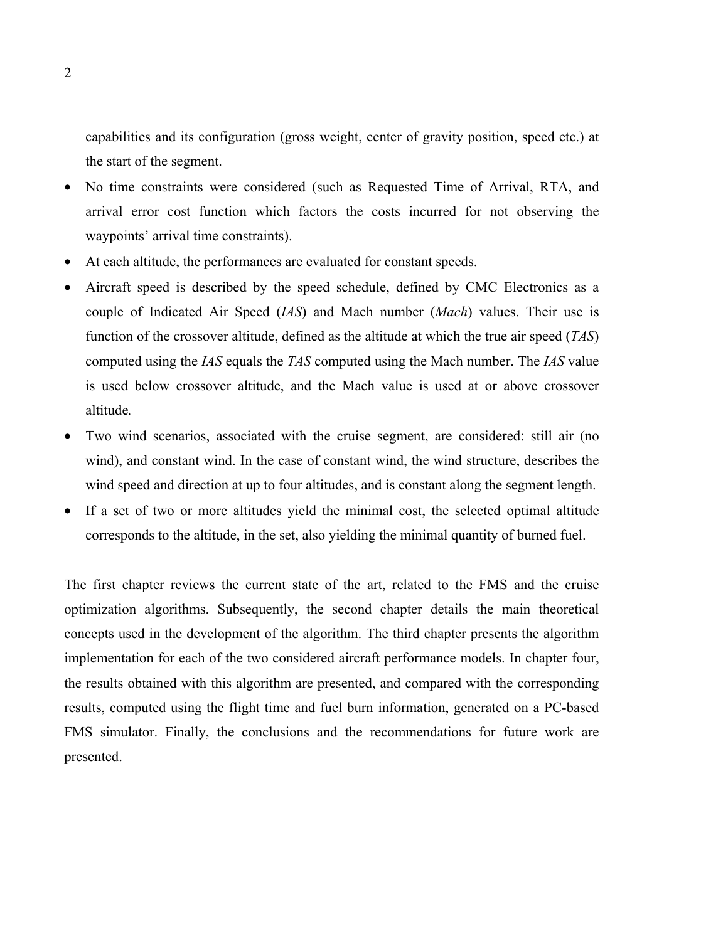capabilities and its configuration (gross weight, center of gravity position, speed etc.) at the start of the segment.

- No time constraints were considered (such as Requested Time of Arrival, RTA, and arrival error cost function which factors the costs incurred for not observing the waypoints' arrival time constraints).
- At each altitude, the performances are evaluated for constant speeds.
- Aircraft speed is described by the speed schedule, defined by CMC Electronics as a couple of Indicated Air Speed (*IAS*) and Mach number (*Mach*) values. Their use is function of the crossover altitude, defined as the altitude at which the true air speed (*TAS*) computed using the *IAS* equals the *TAS* computed using the Mach number. The *IAS* value is used below crossover altitude, and the Mach value is used at or above crossover altitude*.*
- Two wind scenarios, associated with the cruise segment, are considered: still air (no wind), and constant wind. In the case of constant wind, the wind structure, describes the wind speed and direction at up to four altitudes, and is constant along the segment length.
- If a set of two or more altitudes yield the minimal cost, the selected optimal altitude corresponds to the altitude, in the set, also yielding the minimal quantity of burned fuel.

The first chapter reviews the current state of the art, related to the FMS and the cruise optimization algorithms. Subsequently, the second chapter details the main theoretical concepts used in the development of the algorithm. The third chapter presents the algorithm implementation for each of the two considered aircraft performance models. In chapter four, the results obtained with this algorithm are presented, and compared with the corresponding results, computed using the flight time and fuel burn information, generated on a PC-based FMS simulator. Finally, the conclusions and the recommendations for future work are presented.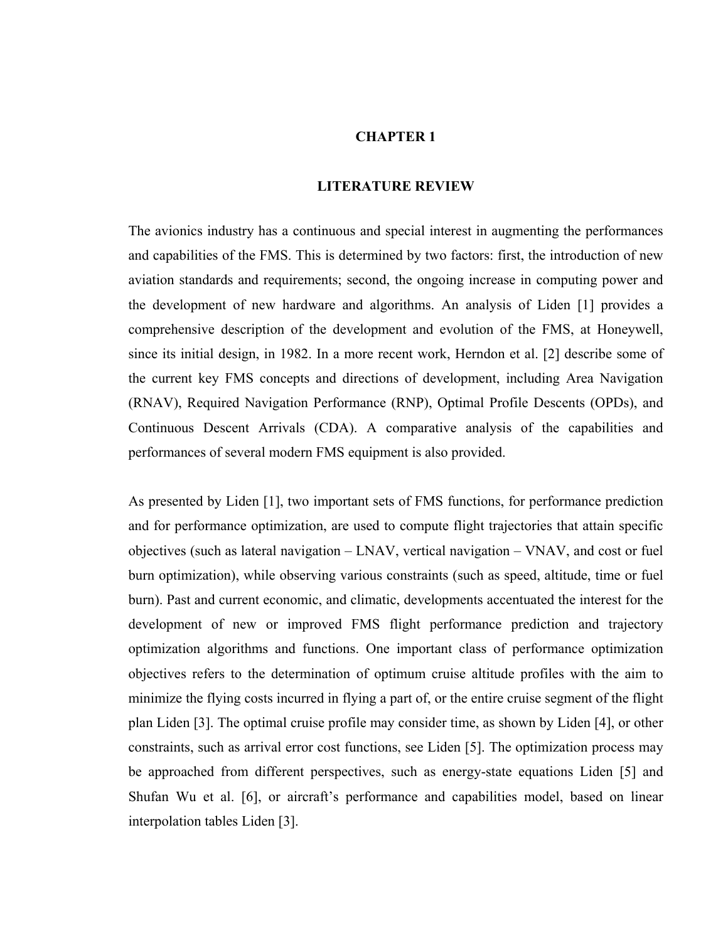### **CHAPTER 1**

#### **LITERATURE REVIEW**

The avionics industry has a continuous and special interest in augmenting the performances and capabilities of the FMS. This is determined by two factors: first, the introduction of new aviation standards and requirements; second, the ongoing increase in computing power and the development of new hardware and algorithms. An analysis of Liden [1] provides a comprehensive description of the development and evolution of the FMS, at Honeywell, since its initial design, in 1982. In a more recent work, Herndon et al. [2] describe some of the current key FMS concepts and directions of development, including Area Navigation (RNAV), Required Navigation Performance (RNP), Optimal Profile Descents (OPDs), and Continuous Descent Arrivals (CDA). A comparative analysis of the capabilities and performances of several modern FMS equipment is also provided.

As presented by Liden [1], two important sets of FMS functions, for performance prediction and for performance optimization, are used to compute flight trajectories that attain specific objectives (such as lateral navigation – LNAV, vertical navigation – VNAV, and cost or fuel burn optimization), while observing various constraints (such as speed, altitude, time or fuel burn). Past and current economic, and climatic, developments accentuated the interest for the development of new or improved FMS flight performance prediction and trajectory optimization algorithms and functions. One important class of performance optimization objectives refers to the determination of optimum cruise altitude profiles with the aim to minimize the flying costs incurred in flying a part of, or the entire cruise segment of the flight plan Liden [3]. The optimal cruise profile may consider time, as shown by Liden [4], or other constraints, such as arrival error cost functions, see Liden [5]. The optimization process may be approached from different perspectives, such as energy-state equations Liden [5] and Shufan Wu et al. [6], or aircraft's performance and capabilities model, based on linear interpolation tables Liden [3].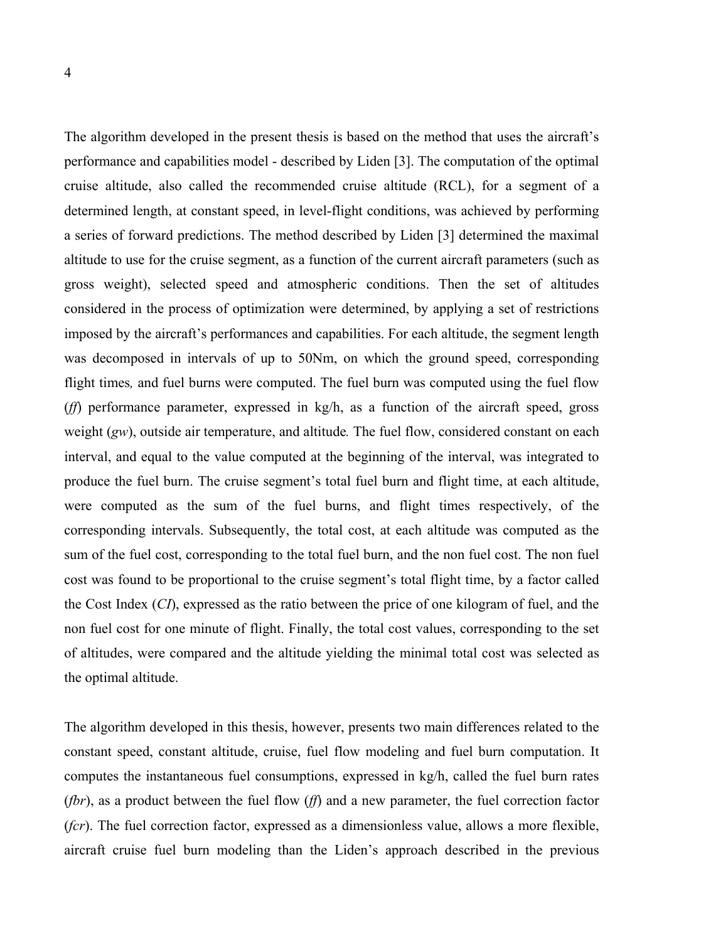The algorithm developed in the present thesis is based on the method that uses the aircraft's performance and capabilities model - described by Liden [3]. The computation of the optimal cruise altitude, also called the recommended cruise altitude (RCL), for a segment of a determined length, at constant speed, in level-flight conditions, was achieved by performing a series of forward predictions. The method described by Liden [3] determined the maximal altitude to use for the cruise segment, as a function of the current aircraft parameters (such as gross weight), selected speed and atmospheric conditions. Then the set of altitudes considered in the process of optimization were determined, by applying a set of restrictions imposed by the aircraft's performances and capabilities. For each altitude, the segment length was decomposed in intervals of up to 50Nm, on which the ground speed, corresponding flight times*,* and fuel burns were computed. The fuel burn was computed using the fuel flow (*ff*) performance parameter, expressed in kg/h, as a function of the aircraft speed, gross weight (*gw*), outside air temperature, and altitude*.* The fuel flow, considered constant on each interval, and equal to the value computed at the beginning of the interval, was integrated to produce the fuel burn. The cruise segment's total fuel burn and flight time, at each altitude, were computed as the sum of the fuel burns, and flight times respectively, of the corresponding intervals. Subsequently, the total cost, at each altitude was computed as the sum of the fuel cost, corresponding to the total fuel burn, and the non fuel cost. The non fuel cost was found to be proportional to the cruise segment's total flight time, by a factor called the Cost Index (*CI*), expressed as the ratio between the price of one kilogram of fuel, and the non fuel cost for one minute of flight. Finally, the total cost values, corresponding to the set of altitudes, were compared and the altitude yielding the minimal total cost was selected as the optimal altitude.

The algorithm developed in this thesis, however, presents two main differences related to the constant speed, constant altitude, cruise, fuel flow modeling and fuel burn computation. It computes the instantaneous fuel consumptions, expressed in kg/h, called the fuel burn rates (*fbr*), as a product between the fuel flow (*ff*) and a new parameter, the fuel correction factor (*fcr*). The fuel correction factor, expressed as a dimensionless value, allows a more flexible, aircraft cruise fuel burn modeling than the Liden's approach described in the previous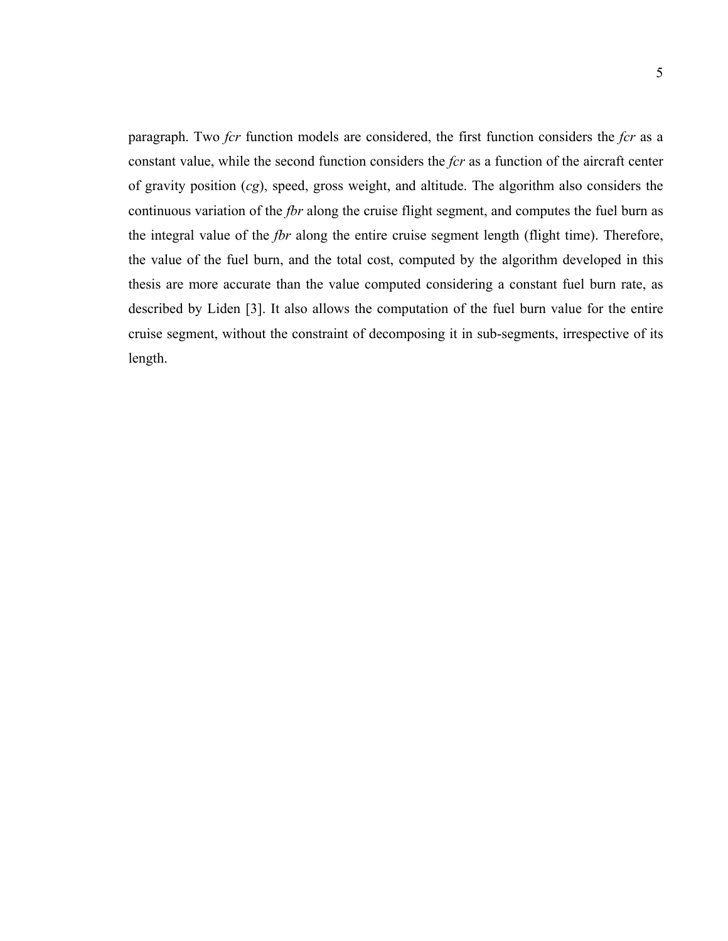paragraph. Two *fcr* function models are considered, the first function considers the *fcr* as a constant value, while the second function considers the *fcr* as a function of the aircraft center of gravity position (*cg*), speed, gross weight, and altitude. The algorithm also considers the continuous variation of the *fbr* along the cruise flight segment, and computes the fuel burn as the integral value of the *fbr* along the entire cruise segment length (flight time). Therefore, the value of the fuel burn, and the total cost, computed by the algorithm developed in this thesis are more accurate than the value computed considering a constant fuel burn rate, as described by Liden [3]. It also allows the computation of the fuel burn value for the entire cruise segment, without the constraint of decomposing it in sub-segments, irrespective of its length.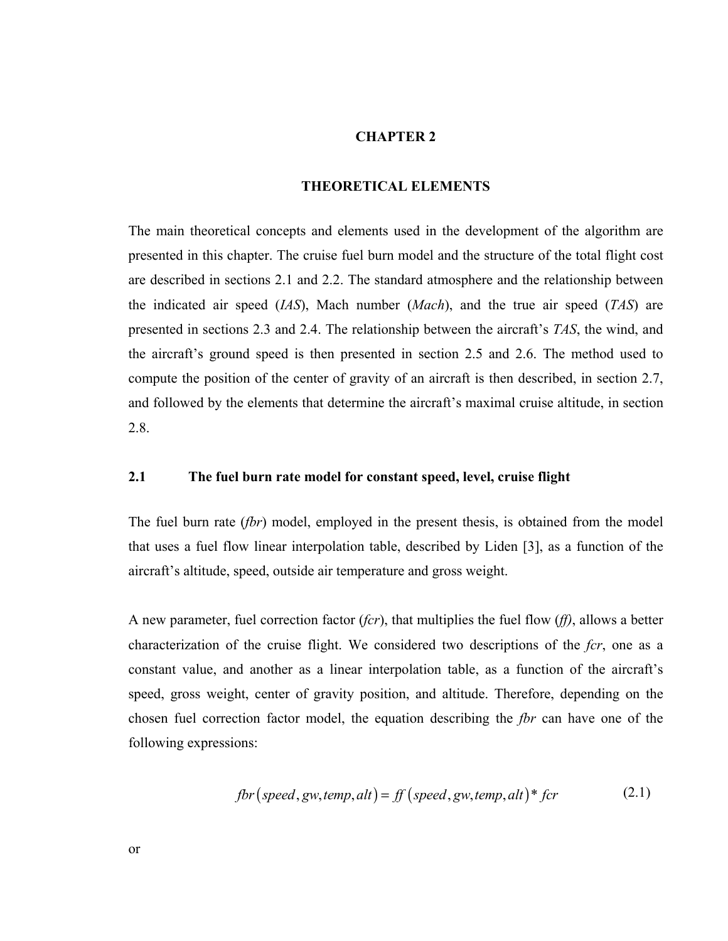### **CHAPTER 2**

#### **THEORETICAL ELEMENTS**

The main theoretical concepts and elements used in the development of the algorithm are presented in this chapter. The cruise fuel burn model and the structure of the total flight cost are described in sections 2.1 and 2.2. The standard atmosphere and the relationship between the indicated air speed (*IAS*), Mach number (*Mach*), and the true air speed (*TAS*) are presented in sections 2.3 and 2.4. The relationship between the aircraft's *TAS*, the wind, and the aircraft's ground speed is then presented in section 2.5 and 2.6. The method used to compute the position of the center of gravity of an aircraft is then described, in section 2.7, and followed by the elements that determine the aircraft's maximal cruise altitude, in section 2.8.

#### **2.1 The fuel burn rate model for constant speed, level, cruise flight**

The fuel burn rate (*fbr*) model, employed in the present thesis, is obtained from the model that uses a fuel flow linear interpolation table, described by Liden [3], as a function of the aircraft's altitude, speed, outside air temperature and gross weight.

A new parameter, fuel correction factor (*fcr*), that multiplies the fuel flow (*ff)*, allows a better characterization of the cruise flight. We considered two descriptions of the *fcr*, one as a constant value, and another as a linear interpolation table, as a function of the aircraft's speed, gross weight, center of gravity position, and altitude. Therefore, depending on the chosen fuel correction factor model, the equation describing the *fbr* can have one of the following expressions:

$$
fbr(speed, gw, temp, alt) = ff(speed, gw, temp, alt)* for
$$
 (2.1)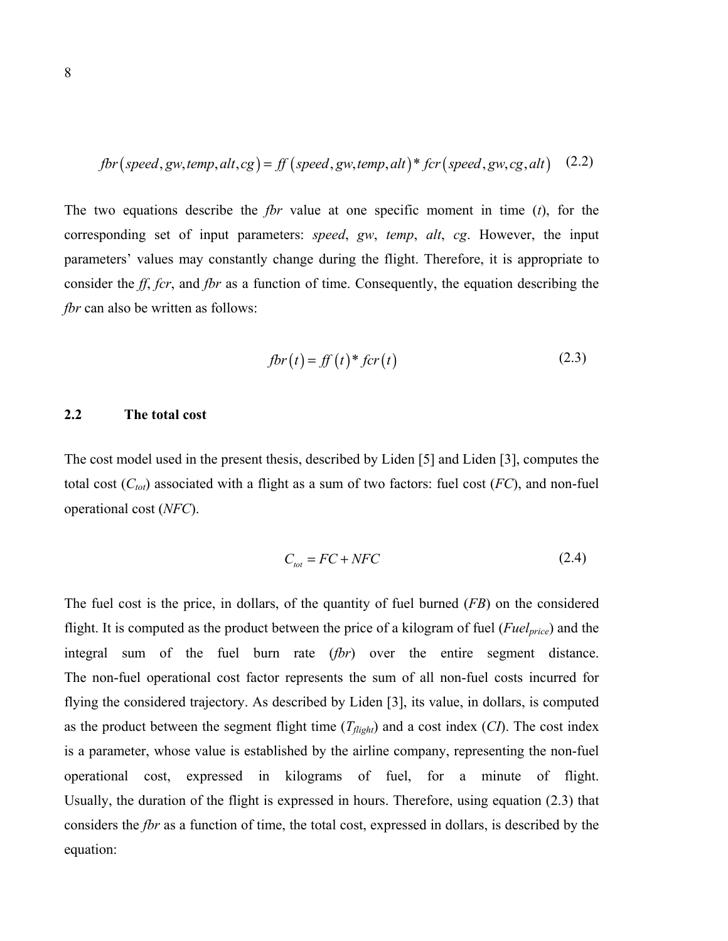$$
fbr(speed, gw, temp, alt, cg) = ff(speed, gw, temp, alt)* for(speed, gw, cg, alt)
$$
 (2.2)

The two equations describe the *fbr* value at one specific moment in time (*t*), for the corresponding set of input parameters: *speed*, *gw*, *temp*, *alt*, *cg*. However, the input parameters' values may constantly change during the flight. Therefore, it is appropriate to consider the *ff*, *fcr*, and *fbr* as a function of time. Consequently, the equation describing the *fbr* can also be written as follows:

$$
fbr(t) = ff(t) * fcr(t)
$$
\n(2.3)

### **2.2 The total cost**

The cost model used in the present thesis, described by Liden [5] and Liden [3], computes the total cost  $(C_{tot})$  associated with a flight as a sum of two factors: fuel cost  $(FC)$ , and non-fuel operational cost (*NFC*).

$$
C_{\text{tot}} = FC + NFC \tag{2.4}
$$

The fuel cost is the price, in dollars, of the quantity of fuel burned (*FB*) on the considered flight. It is computed as the product between the price of a kilogram of fuel (*Fuelprice*) and the integral sum of the fuel burn rate (*fbr*) over the entire segment distance. The non-fuel operational cost factor represents the sum of all non-fuel costs incurred for flying the considered trajectory. As described by Liden [3], its value, in dollars, is computed as the product between the segment flight time  $(T_{flight})$  and a cost index  $(CI)$ . The cost index is a parameter, whose value is established by the airline company, representing the non-fuel operational cost, expressed in kilograms of fuel, for a minute of flight. Usually, the duration of the flight is expressed in hours. Therefore, using equation (2.3) that considers the *fbr* as a function of time, the total cost, expressed in dollars, is described by the equation: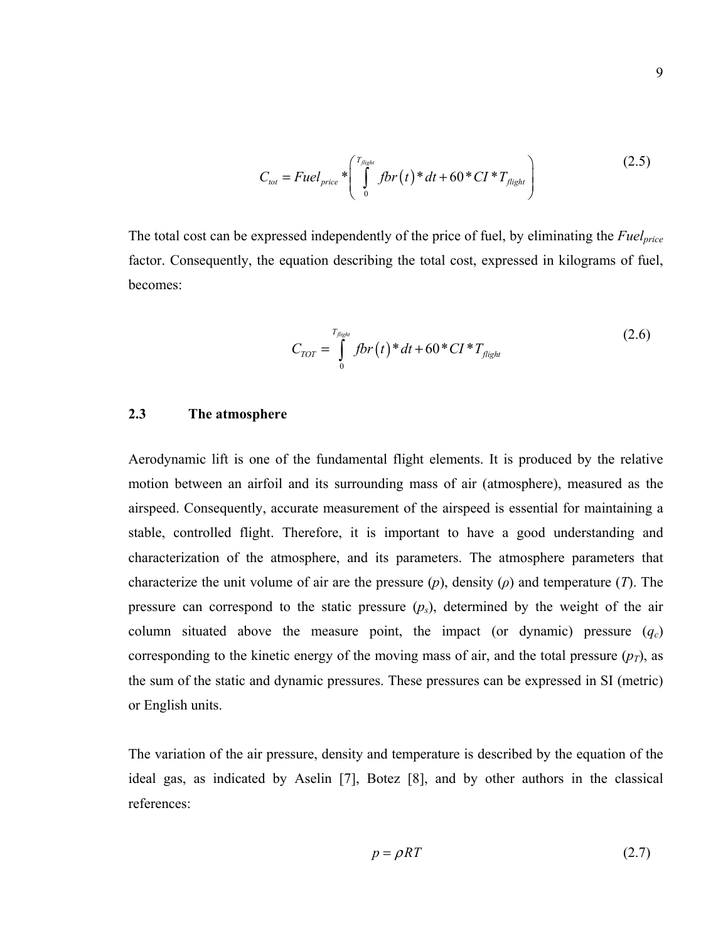$$
C_{tot} = Fuel_{price} * \left( \int_{0}^{T_{flight}} fbr(t) * dt + 60 * CI * T_{flight} \right)
$$
 (2.5)

The total cost can be expressed independently of the price of fuel, by eliminating the *Fuelprice* factor. Consequently, the equation describing the total cost, expressed in kilograms of fuel, becomes:

$$
C_{TOT} = \int_{0}^{T_{flight}} fbr(t)^* dt + 60*CI*T_{flight}
$$
 (2.6)

### **2.3 The atmosphere**

Aerodynamic lift is one of the fundamental flight elements. It is produced by the relative motion between an airfoil and its surrounding mass of air (atmosphere), measured as the airspeed. Consequently, accurate measurement of the airspeed is essential for maintaining a stable, controlled flight. Therefore, it is important to have a good understanding and characterization of the atmosphere, and its parameters. The atmosphere parameters that characterize the unit volume of air are the pressure (*p*), density (*ρ*) and temperature (*T*). The pressure can correspond to the static pressure  $(p_s)$ , determined by the weight of the air column situated above the measure point, the impact (or dynamic) pressure  $(q_c)$ corresponding to the kinetic energy of the moving mass of air, and the total pressure  $(p_T)$ , as the sum of the static and dynamic pressures. These pressures can be expressed in SI (metric) or English units.

The variation of the air pressure, density and temperature is described by the equation of the ideal gas, as indicated by Aselin [7], Botez [8], and by other authors in the classical references:

$$
p = \rho RT \tag{2.7}
$$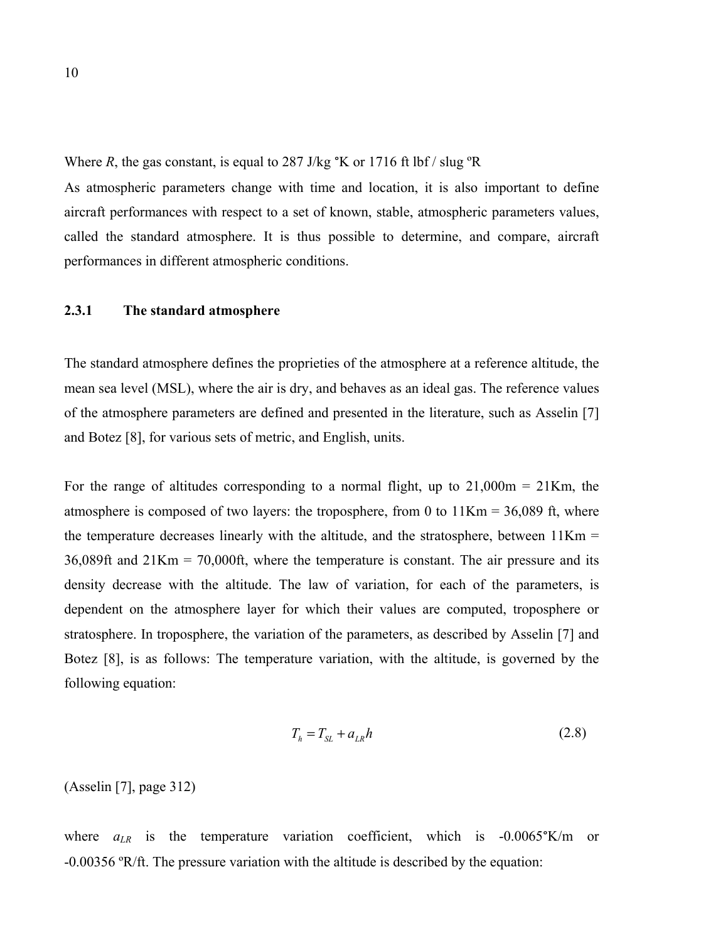Where *R*, the gas constant, is equal to 287 J/kg  $K$  or 1716 ft lbf / slug  $R$ 

As atmospheric parameters change with time and location, it is also important to define aircraft performances with respect to a set of known, stable, atmospheric parameters values, called the standard atmosphere. It is thus possible to determine, and compare, aircraft performances in different atmospheric conditions.

#### **2.3.1 The standard atmosphere**

The standard atmosphere defines the proprieties of the atmosphere at a reference altitude, the mean sea level (MSL), where the air is dry, and behaves as an ideal gas. The reference values of the atmosphere parameters are defined and presented in the literature, such as Asselin [7] and Botez [8], for various sets of metric, and English, units.

For the range of altitudes corresponding to a normal flight, up to  $21,000m = 21Km$ , the atmosphere is composed of two layers: the troposphere, from 0 to  $11$ Km = 36,089 ft, where the temperature decreases linearly with the altitude, and the stratosphere, between  $11$ Km = 36,089ft and 21Km = 70,000ft, where the temperature is constant. The air pressure and its density decrease with the altitude. The law of variation, for each of the parameters, is dependent on the atmosphere layer for which their values are computed, troposphere or stratosphere. In troposphere, the variation of the parameters, as described by Asselin [7] and Botez [8], is as follows: The temperature variation, with the altitude, is governed by the following equation:

$$
T_h = T_{SL} + a_{LR}h \tag{2.8}
$$

(Asselin [7], page 312)

where  $a_{LR}$  is the temperature variation coefficient, which is  $-0.0065\textdegree K/m$  or -0.00356 ºR/ft. The pressure variation with the altitude is described by the equation: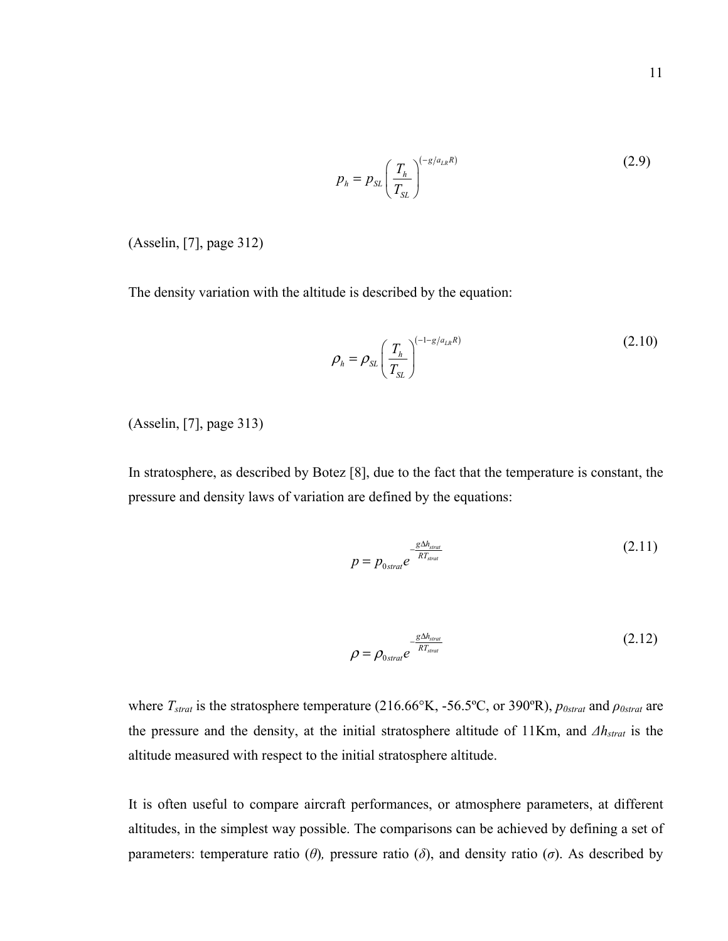$$
p_h = p_{SL} \left(\frac{T_h}{T_{SL}}\right)^{(-g/a_{LR}R)}\tag{2.9}
$$

(Asselin, [7], page 312)

The density variation with the altitude is described by the equation:

$$
\rho_h = \rho_{SL} \left( \frac{T_h}{T_{SL}} \right)^{(-1 - g/a_{LR}R)} \tag{2.10}
$$

(Asselin, [7], page 313)

In stratosphere, as described by Botez [8], due to the fact that the temperature is constant, the pressure and density laws of variation are defined by the equations:

$$
p = p_{0strat}e^{-\frac{g\Delta h_{\text{strat}}}{RT_{\text{strat}}}}
$$
\n(2.11)

$$
\rho = \rho_{0strat} e^{-\frac{g\Delta h_{strat}}{RT_{strat}}} \tag{2.12}
$$

where *Tstrat* is the stratosphere temperature (216.66°K, -56.5ºC, or 390ºR), *p0strat* and *ρ0strat* are the pressure and the density, at the initial stratosphere altitude of 11Km, and *Δhstrat* is the altitude measured with respect to the initial stratosphere altitude.

It is often useful to compare aircraft performances, or atmosphere parameters, at different altitudes, in the simplest way possible. The comparisons can be achieved by defining a set of parameters: temperature ratio (*θ*), pressure ratio (*δ*), and density ratio (*σ*). As described by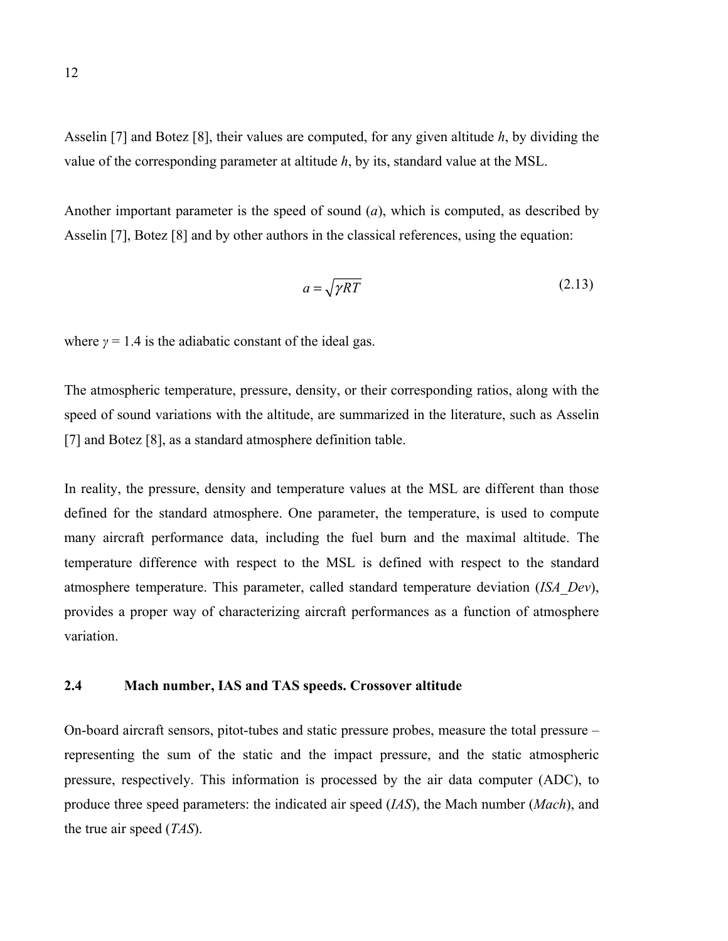Asselin [7] and Botez [8], their values are computed, for any given altitude *h*, by dividing the value of the corresponding parameter at altitude *h*, by its, standard value at the MSL.

Another important parameter is the speed of sound (*a*), which is computed, as described by Asselin [7], Botez [8] and by other authors in the classical references, using the equation:

$$
a = \sqrt{\gamma RT} \tag{2.13}
$$

where  $\gamma = 1.4$  is the adiabatic constant of the ideal gas.

The atmospheric temperature, pressure, density, or their corresponding ratios, along with the speed of sound variations with the altitude, are summarized in the literature, such as Asselin [7] and Botez [8], as a standard atmosphere definition table.

In reality, the pressure, density and temperature values at the MSL are different than those defined for the standard atmosphere. One parameter, the temperature, is used to compute many aircraft performance data, including the fuel burn and the maximal altitude. The temperature difference with respect to the MSL is defined with respect to the standard atmosphere temperature. This parameter, called standard temperature deviation (*ISA\_Dev*), provides a proper way of characterizing aircraft performances as a function of atmosphere variation.

#### **2.4 Mach number, IAS and TAS speeds. Crossover altitude**

On-board aircraft sensors, pitot-tubes and static pressure probes, measure the total pressure – representing the sum of the static and the impact pressure, and the static atmospheric pressure, respectively. This information is processed by the air data computer (ADC), to produce three speed parameters: the indicated air speed (*IAS*), the Mach number (*Mach*), and the true air speed (*TAS*).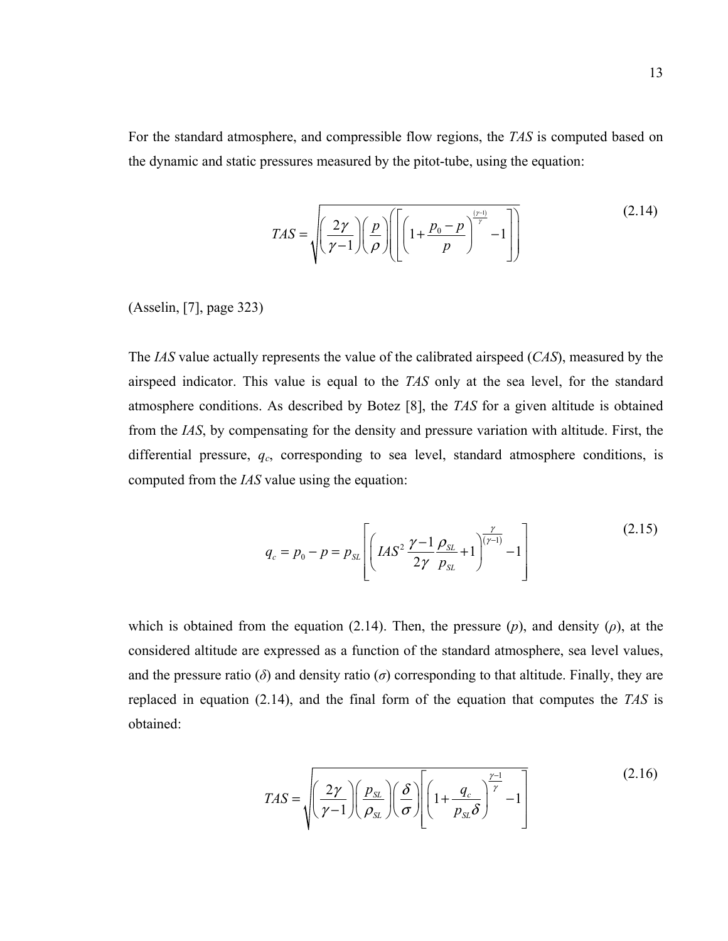For the standard atmosphere, and compressible flow regions, the *TAS* is computed based on the dynamic and static pressures measured by the pitot-tube, using the equation:

$$
TAS = \sqrt{\left(\frac{2\gamma}{\gamma - 1}\right)\left(\frac{p}{\rho}\right)\left(\left[1 + \frac{p_0 - p}{p}\right]^{\frac{(\gamma - 1)}{\gamma}} - 1\right]}
$$
(2.14)

(Asselin, [7], page 323)

The *IAS* value actually represents the value of the calibrated airspeed (*CAS*), measured by the airspeed indicator. This value is equal to the *TAS* only at the sea level, for the standard atmosphere conditions. As described by Botez [8], the *TAS* for a given altitude is obtained from the *IAS*, by compensating for the density and pressure variation with altitude. First, the differential pressure, *qc*, corresponding to sea level, standard atmosphere conditions, is computed from the *IAS* value using the equation:

$$
q_c = p_0 - p = p_{SL} \left[ \left( IAS^2 \frac{\gamma - 1}{2\gamma} \frac{\rho_{SL}}{p_{SL}} + 1 \right)^{\frac{\gamma}{(\gamma - 1)}} - 1 \right]
$$
 (2.15)

which is obtained from the equation (2.14). Then, the pressure  $(p)$ , and density  $(p)$ , at the considered altitude are expressed as a function of the standard atmosphere, sea level values, and the pressure ratio ( $\delta$ ) and density ratio ( $\sigma$ ) corresponding to that altitude. Finally, they are replaced in equation (2.14), and the final form of the equation that computes the *TAS* is obtained:

$$
TAS = \sqrt{\left(\frac{2\gamma}{\gamma - 1}\right)\left(\frac{p_{SL}}{\rho_{SL}}\right)\left(\frac{\delta}{\sigma}\right)} \left[1 + \frac{q_c}{p_{SL}\delta}\right]^{\frac{\gamma - 1}{\gamma}} - 1\right]
$$
(2.16)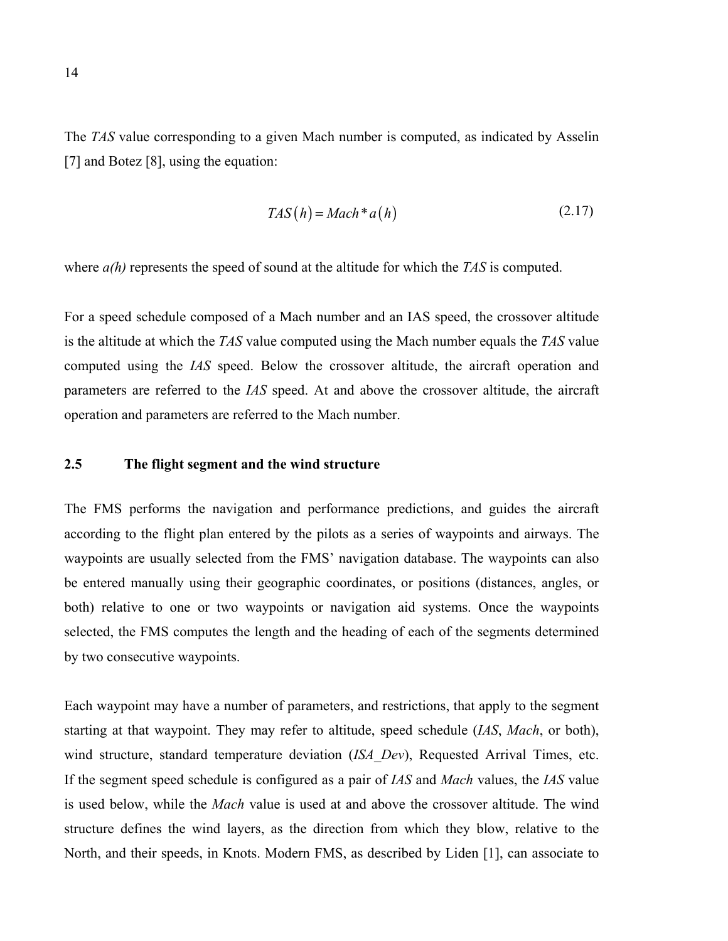The *TAS* value corresponding to a given Mach number is computed, as indicated by Asselin [7] and Botez [8], using the equation:

$$
TAS(h) = Mach * a(h)
$$
\n<sup>(2.17)</sup>

where  $a(h)$  represents the speed of sound at the altitude for which the *TAS* is computed.

For a speed schedule composed of a Mach number and an IAS speed, the crossover altitude is the altitude at which the *TAS* value computed using the Mach number equals the *TAS* value computed using the *IAS* speed. Below the crossover altitude, the aircraft operation and parameters are referred to the *IAS* speed. At and above the crossover altitude, the aircraft operation and parameters are referred to the Mach number.

### **2.5 The flight segment and the wind structure**

The FMS performs the navigation and performance predictions, and guides the aircraft according to the flight plan entered by the pilots as a series of waypoints and airways. The waypoints are usually selected from the FMS' navigation database. The waypoints can also be entered manually using their geographic coordinates, or positions (distances, angles, or both) relative to one or two waypoints or navigation aid systems. Once the waypoints selected, the FMS computes the length and the heading of each of the segments determined by two consecutive waypoints.

Each waypoint may have a number of parameters, and restrictions, that apply to the segment starting at that waypoint. They may refer to altitude, speed schedule (*IAS*, *Mach*, or both), wind structure, standard temperature deviation (*ISA\_Dev*), Requested Arrival Times, etc. If the segment speed schedule is configured as a pair of *IAS* and *Mach* values, the *IAS* value is used below, while the *Mach* value is used at and above the crossover altitude. The wind structure defines the wind layers, as the direction from which they blow, relative to the North, and their speeds, in Knots. Modern FMS, as described by Liden [1], can associate to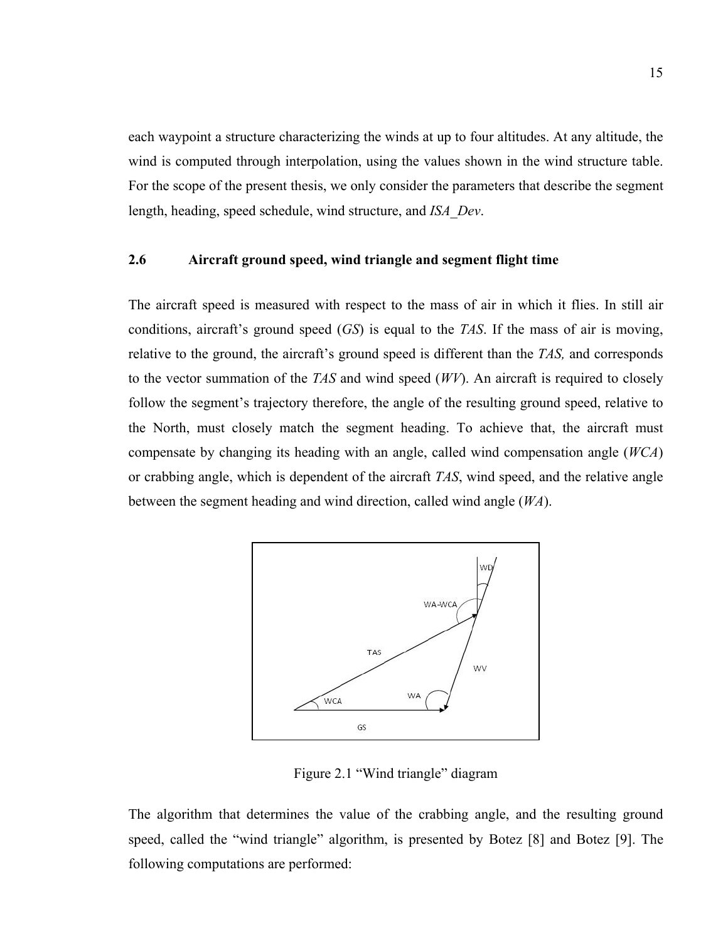each waypoint a structure characterizing the winds at up to four altitudes. At any altitude, the wind is computed through interpolation, using the values shown in the wind structure table. For the scope of the present thesis, we only consider the parameters that describe the segment length, heading, speed schedule, wind structure, and *ISA\_Dev*.

### **2.6 Aircraft ground speed, wind triangle and segment flight time**

The aircraft speed is measured with respect to the mass of air in which it flies. In still air conditions, aircraft's ground speed (*GS*) is equal to the *TAS*. If the mass of air is moving, relative to the ground, the aircraft's ground speed is different than the *TAS,* and corresponds to the vector summation of the *TAS* and wind speed (*WV*). An aircraft is required to closely follow the segment's trajectory therefore, the angle of the resulting ground speed, relative to the North, must closely match the segment heading. To achieve that, the aircraft must compensate by changing its heading with an angle, called wind compensation angle (*WCA*) or crabbing angle, which is dependent of the aircraft *TAS*, wind speed, and the relative angle between the segment heading and wind direction, called wind angle (*WA*).



Figure 2.1 "Wind triangle" diagram

The algorithm that determines the value of the crabbing angle, and the resulting ground speed, called the "wind triangle" algorithm, is presented by Botez [8] and Botez [9]. The following computations are performed: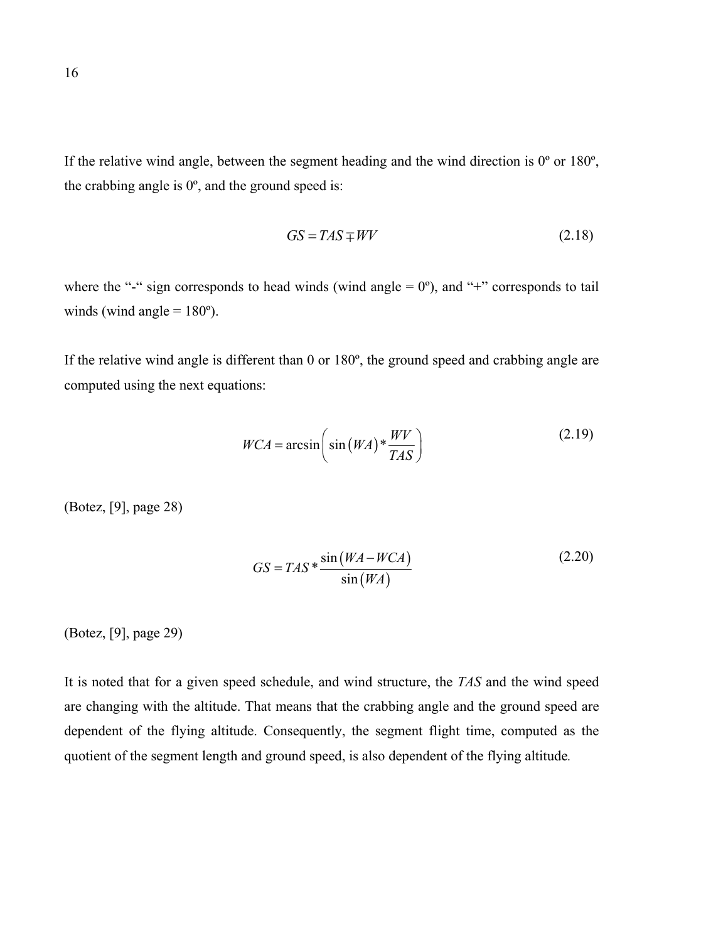If the relative wind angle, between the segment heading and the wind direction is  $0^{\circ}$  or  $180^{\circ}$ , the crabbing angle is  $0^\circ$ , and the ground speed is:

$$
GS = TAS \mp WW \tag{2.18}
$$

where the "-" sign corresponds to head winds (wind angle  $= 0^{\circ}$ ), and "+" corresponds to tail winds (wind angle  $= 180^{\circ}$ ).

If the relative wind angle is different than 0 or 180º, the ground speed and crabbing angle are computed using the next equations:

$$
WCA = \arcsin\left(\sin\left(WA\right) * \frac{WV}{TAS}\right) \tag{2.19}
$$

(Botez, [9], page 28)

$$
GS = TAS * \frac{\sin(WA - WCA)}{\sin(WA)}
$$
 (2.20)

(Botez, [9], page 29)

It is noted that for a given speed schedule, and wind structure, the *TAS* and the wind speed are changing with the altitude. That means that the crabbing angle and the ground speed are dependent of the flying altitude. Consequently, the segment flight time, computed as the quotient of the segment length and ground speed, is also dependent of the flying altitude*.*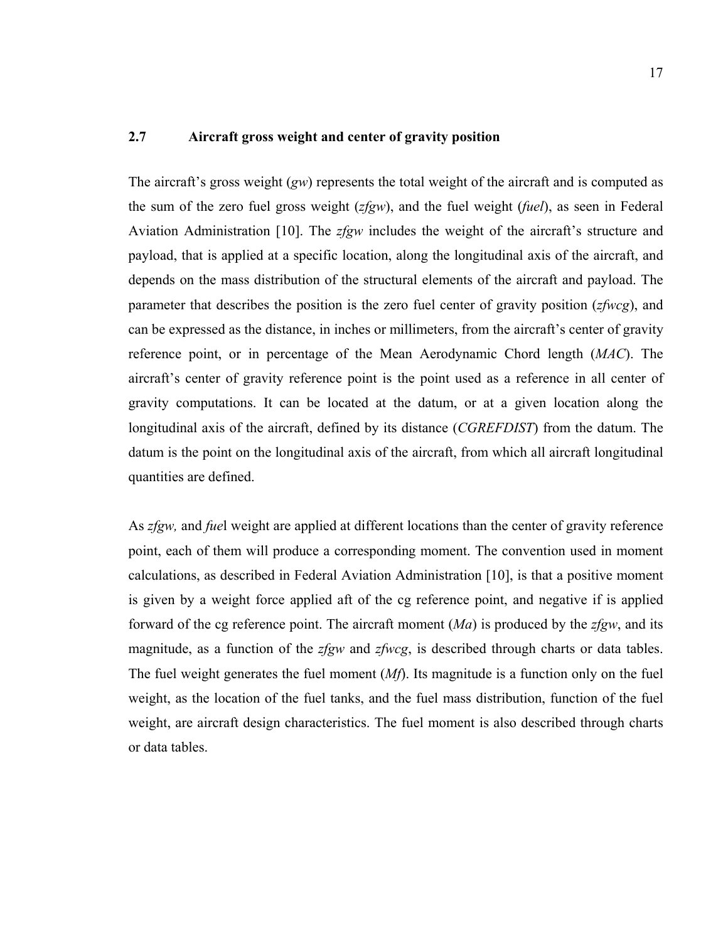### **2.7 Aircraft gross weight and center of gravity position**

The aircraft's gross weight (*gw*) represents the total weight of the aircraft and is computed as the sum of the zero fuel gross weight (*zfgw*), and the fuel weight (*fuel*), as seen in Federal Aviation Administration [10]. The *zfgw* includes the weight of the aircraft's structure and payload, that is applied at a specific location, along the longitudinal axis of the aircraft, and depends on the mass distribution of the structural elements of the aircraft and payload. The parameter that describes the position is the zero fuel center of gravity position (*zfwcg*), and can be expressed as the distance, in inches or millimeters, from the aircraft's center of gravity reference point, or in percentage of the Mean Aerodynamic Chord length (*MAC*). The aircraft's center of gravity reference point is the point used as a reference in all center of gravity computations. It can be located at the datum, or at a given location along the longitudinal axis of the aircraft, defined by its distance (*CGREFDIST*) from the datum. The datum is the point on the longitudinal axis of the aircraft, from which all aircraft longitudinal quantities are defined.

As *zfgw,* and *fue*l weight are applied at different locations than the center of gravity reference point, each of them will produce a corresponding moment. The convention used in moment calculations, as described in Federal Aviation Administration [10], is that a positive moment is given by a weight force applied aft of the cg reference point, and negative if is applied forward of the cg reference point. The aircraft moment (*Ma*) is produced by the *zfgw*, and its magnitude, as a function of the *zfgw* and *zfwcg*, is described through charts or data tables. The fuel weight generates the fuel moment (*Mf*). Its magnitude is a function only on the fuel weight, as the location of the fuel tanks, and the fuel mass distribution, function of the fuel weight, are aircraft design characteristics. The fuel moment is also described through charts or data tables.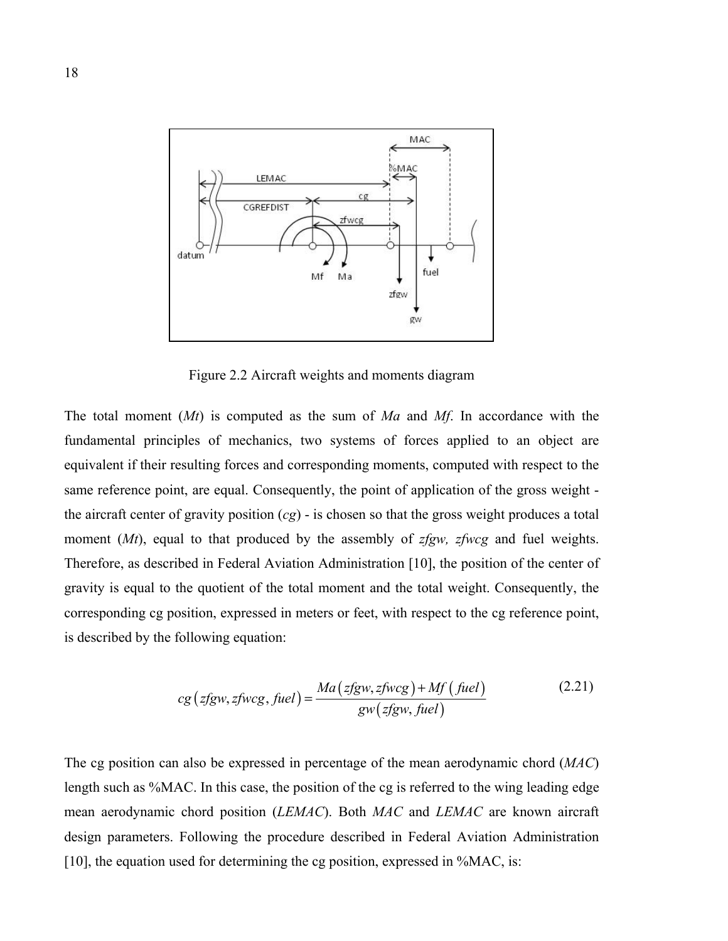

Figure 2.2 Aircraft weights and moments diagram

The total moment (*Mt*) is computed as the sum of *Ma* and *Mf*. In accordance with the fundamental principles of mechanics, two systems of forces applied to an object are equivalent if their resulting forces and corresponding moments, computed with respect to the same reference point, are equal. Consequently, the point of application of the gross weight the aircraft center of gravity position (*cg*) - is chosen so that the gross weight produces a total moment (*Mt*), equal to that produced by the assembly of *zfgw, zfwcg* and fuel weights. Therefore, as described in Federal Aviation Administration [10], the position of the center of gravity is equal to the quotient of the total moment and the total weight. Consequently, the corresponding cg position, expressed in meters or feet, with respect to the cg reference point, is described by the following equation:

$$
cg\left( zfgw, zfwcg, fuel \right) = \frac{Ma\left( zfgw, zfwcg \right) + Mf\left( fuel \right)}{gw\left( zfgw, fuel \right)}
$$
(2.21)

The cg position can also be expressed in percentage of the mean aerodynamic chord (*MAC*) length such as %MAC. In this case, the position of the cg is referred to the wing leading edge mean aerodynamic chord position (*LEMAC*). Both *MAC* and *LEMAC* are known aircraft design parameters. Following the procedure described in Federal Aviation Administration [10], the equation used for determining the cg position, expressed in %MAC, is: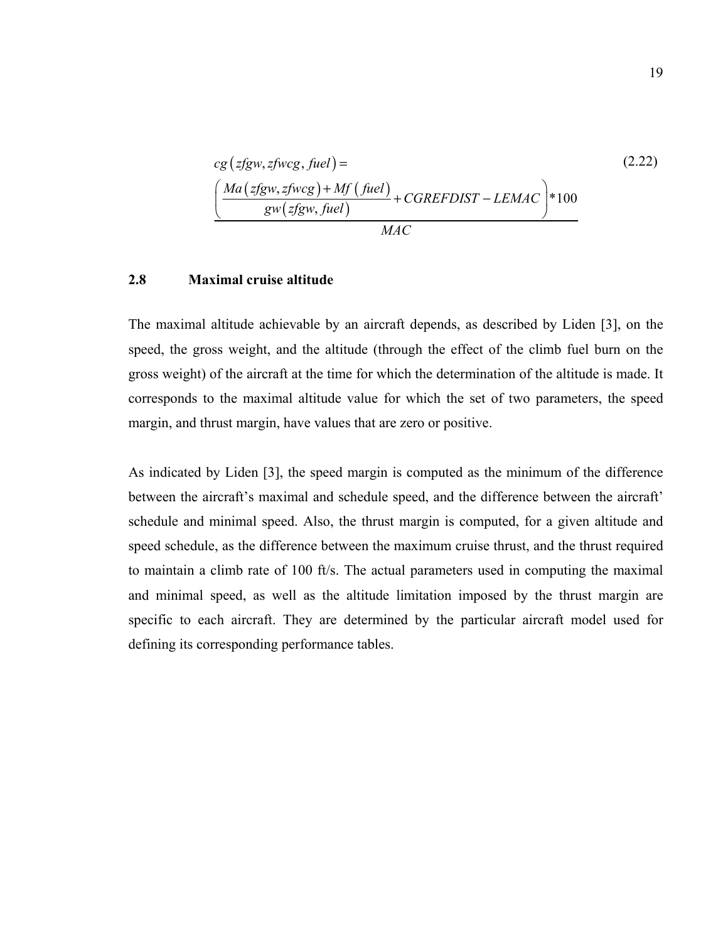$$
cg\left( zfgw, zfwcg, fuel \right) =
$$
\n
$$
\left( \frac{Ma\left( zfgw, zfwcg \right) + Mf\left( fuel \right)}{gw\left( zfgw, fuel \right)} + CGREFDIST - LEMAC \right) * 100
$$
\n
$$
MAC
$$
\n(2.22)

#### **2.8 Maximal cruise altitude**

The maximal altitude achievable by an aircraft depends, as described by Liden [3], on the speed, the gross weight, and the altitude (through the effect of the climb fuel burn on the gross weight) of the aircraft at the time for which the determination of the altitude is made. It corresponds to the maximal altitude value for which the set of two parameters, the speed margin, and thrust margin, have values that are zero or positive.

As indicated by Liden [3], the speed margin is computed as the minimum of the difference between the aircraft's maximal and schedule speed, and the difference between the aircraft' schedule and minimal speed. Also, the thrust margin is computed, for a given altitude and speed schedule, as the difference between the maximum cruise thrust, and the thrust required to maintain a climb rate of 100 ft/s. The actual parameters used in computing the maximal and minimal speed, as well as the altitude limitation imposed by the thrust margin are specific to each aircraft. They are determined by the particular aircraft model used for defining its corresponding performance tables.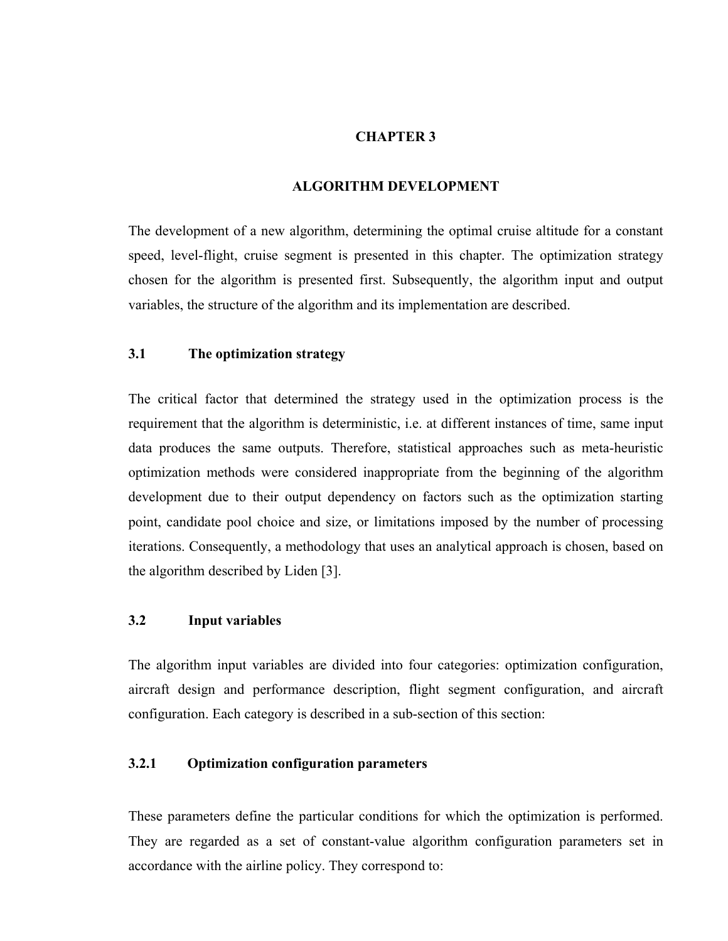### **CHAPTER 3**

#### **ALGORITHM DEVELOPMENT**

The development of a new algorithm, determining the optimal cruise altitude for a constant speed, level-flight, cruise segment is presented in this chapter. The optimization strategy chosen for the algorithm is presented first. Subsequently, the algorithm input and output variables, the structure of the algorithm and its implementation are described.

# **3.1 The optimization strategy**

The critical factor that determined the strategy used in the optimization process is the requirement that the algorithm is deterministic, i.e. at different instances of time, same input data produces the same outputs. Therefore, statistical approaches such as meta-heuristic optimization methods were considered inappropriate from the beginning of the algorithm development due to their output dependency on factors such as the optimization starting point, candidate pool choice and size, or limitations imposed by the number of processing iterations. Consequently, a methodology that uses an analytical approach is chosen, based on the algorithm described by Liden [3].

### **3.2 Input variables**

The algorithm input variables are divided into four categories: optimization configuration, aircraft design and performance description, flight segment configuration, and aircraft configuration. Each category is described in a sub-section of this section:

### **3.2.1 Optimization configuration parameters**

These parameters define the particular conditions for which the optimization is performed. They are regarded as a set of constant-value algorithm configuration parameters set in accordance with the airline policy. They correspond to: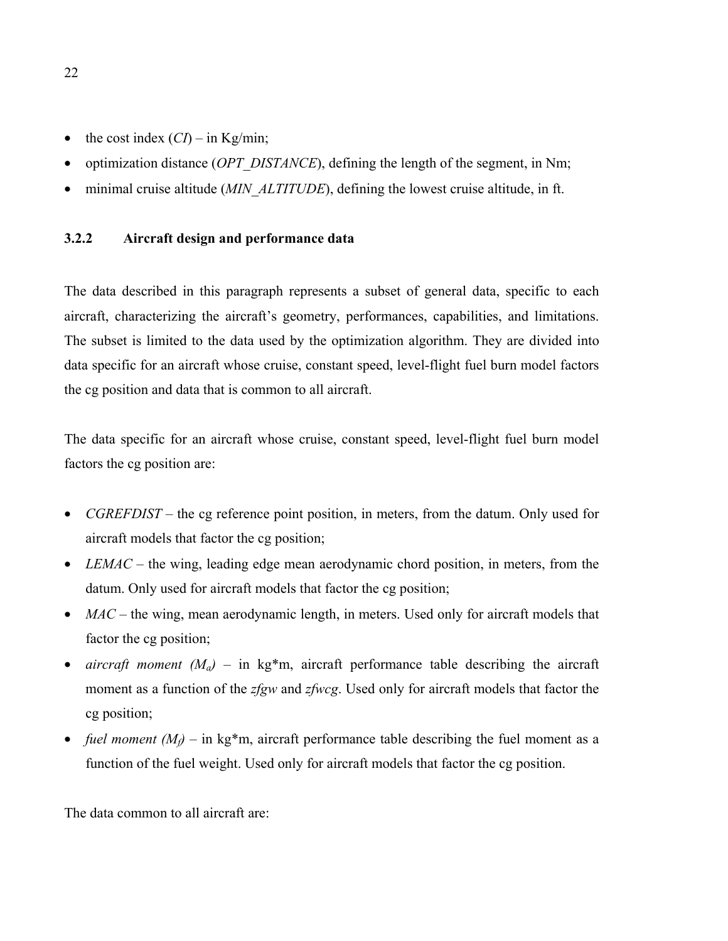- the cost index  $(CI)$  in Kg/min;
- optimization distance *(OPT\_DISTANCE*), defining the length of the segment, in Nm;
- minimal cruise altitude (*MIN ALTITUDE*), defining the lowest cruise altitude, in ft.

## **3.2.2 Aircraft design and performance data**

The data described in this paragraph represents a subset of general data, specific to each aircraft, characterizing the aircraft's geometry, performances, capabilities, and limitations. The subset is limited to the data used by the optimization algorithm. They are divided into data specific for an aircraft whose cruise, constant speed, level-flight fuel burn model factors the cg position and data that is common to all aircraft.

The data specific for an aircraft whose cruise, constant speed, level-flight fuel burn model factors the cg position are:

- *CGREFDIST* the cg reference point position, in meters, from the datum. Only used for aircraft models that factor the cg position;
- *LEMAC* the wing, leading edge mean aerodynamic chord position, in meters, from the datum. Only used for aircraft models that factor the cg position;
- *MAC* the wing, mean aerodynamic length, in meters. Used only for aircraft models that factor the cg position;
- *aircraft moment*  $(M_a)$  in kg\*m, aircraft performance table describing the aircraft moment as a function of the *zfgw* and *zfwcg*. Used only for aircraft models that factor the cg position;
- *fuel moment*  $(M_f)$  in kg\*m, aircraft performance table describing the fuel moment as a function of the fuel weight. Used only for aircraft models that factor the cg position.

The data common to all aircraft are:

22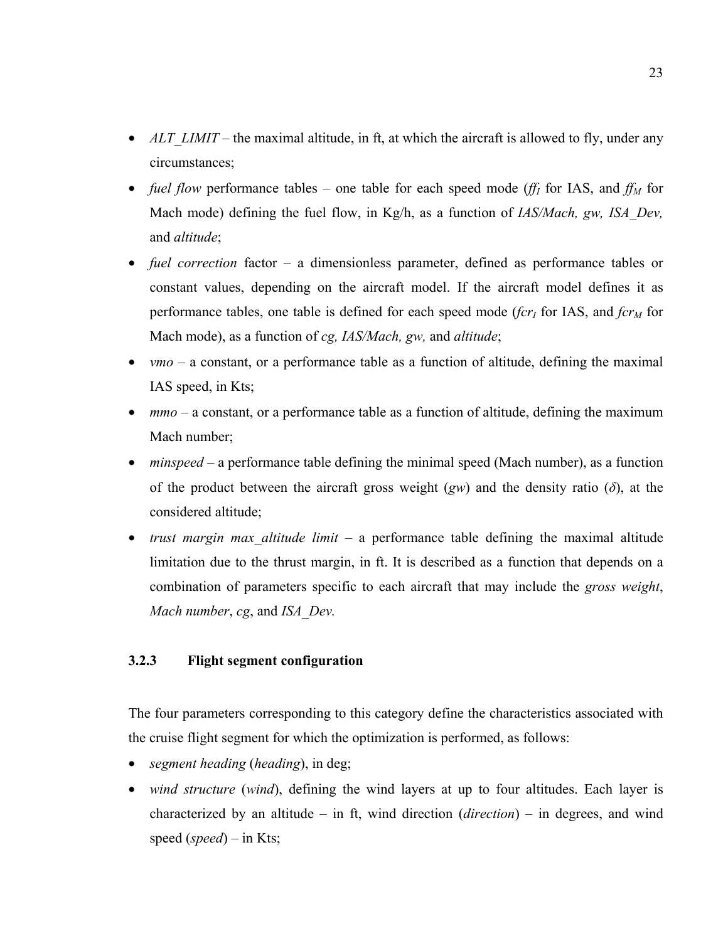- *ALT\_LIMIT* the maximal altitude, in ft, at which the aircraft is allowed to fly, under any circumstances;
- *fuel flow* performance tables one table for each speed mode (*ff<sub>I</sub>* for IAS, and  $f_{M}$  for Mach mode) defining the fuel flow, in Kg/h, as a function of *IAS/Mach*, gw, *ISA* Dev, and *altitude*;
- *fuel correction* factor a dimensionless parameter, defined as performance tables or constant values, depending on the aircraft model. If the aircraft model defines it as performance tables, one table is defined for each speed mode ( $fcr_I$  for IAS, and  $fcr_M$  for Mach mode), as a function of *cg, IAS/Mach, gw,* and *altitude*;
- *vmo* a constant, or a performance table as a function of altitude, defining the maximal IAS speed, in Kts;
- *mmo* a constant, or a performance table as a function of altitude, defining the maximum Mach number;
- *minspeed* a performance table defining the minimal speed (Mach number), as a function of the product between the aircraft gross weight (*gw*) and the density ratio (*δ*), at the considered altitude;
- *trust margin max altitude limit* a performance table defining the maximal altitude limitation due to the thrust margin, in ft. It is described as a function that depends on a combination of parameters specific to each aircraft that may include the *gross weight*, *Mach number*, *cg*, and *ISA\_Dev.*

# **3.2.3 Flight segment configuration**

The four parameters corresponding to this category define the characteristics associated with the cruise flight segment for which the optimization is performed, as follows:

- *segment heading* (*heading*), in deg;
- *wind structure (wind)*, defining the wind layers at up to four altitudes. Each layer is characterized by an altitude *–* in ft, wind direction (*direction*) – in degrees, and wind speed (*speed*) – in Kts;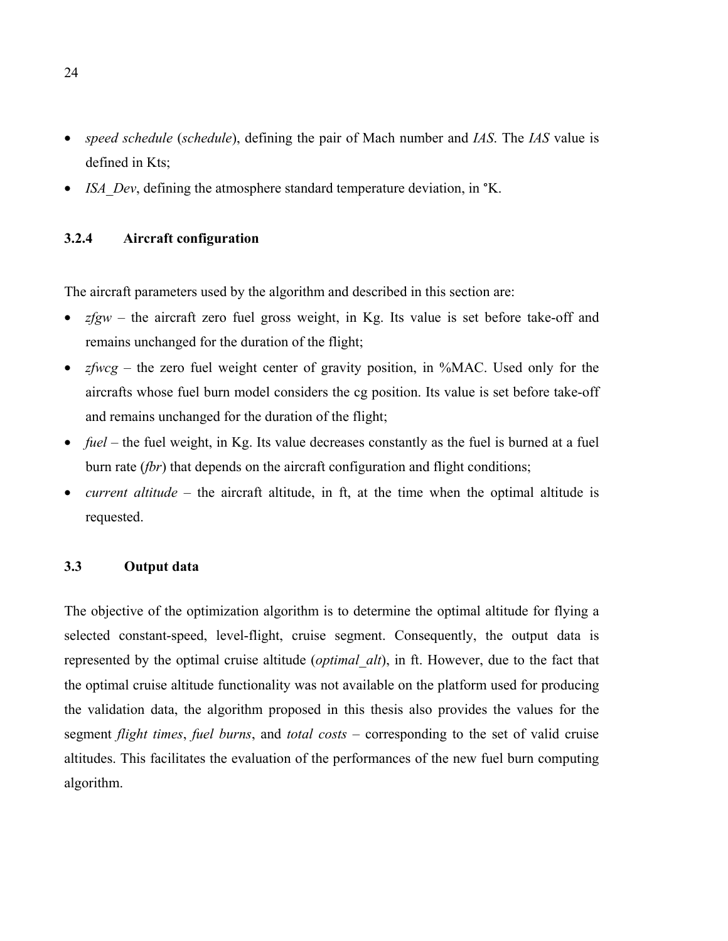- *speed schedule* (*schedule*), defining the pair of Mach number and *IAS*. The *IAS* value is defined in Kts;
- *ISA Dev*, defining the atmosphere standard temperature deviation, in <sup>o</sup>K.

# **3.2.4 Aircraft configuration**

The aircraft parameters used by the algorithm and described in this section are:

- *zfgw* the aircraft zero fuel gross weight, in Kg. Its value is set before take-off and remains unchanged for the duration of the flight;
- *zfwcg* the zero fuel weight center of gravity position, in %MAC. Used only for the aircrafts whose fuel burn model considers the cg position. Its value is set before take-off and remains unchanged for the duration of the flight;
- *fuel* the fuel weight, in Kg. Its value decreases constantly as the fuel is burned at a fuel burn rate (*fbr*) that depends on the aircraft configuration and flight conditions;
- *current altitude* the aircraft altitude, in ft, at the time when the optimal altitude is requested.

### **3.3 Output data**

The objective of the optimization algorithm is to determine the optimal altitude for flying a selected constant-speed, level-flight, cruise segment. Consequently, the output data is represented by the optimal cruise altitude (*optimal\_alt*), in ft. However, due to the fact that the optimal cruise altitude functionality was not available on the platform used for producing the validation data, the algorithm proposed in this thesis also provides the values for the segment *flight times*, *fuel burns*, and *total costs* – corresponding to the set of valid cruise altitudes. This facilitates the evaluation of the performances of the new fuel burn computing algorithm.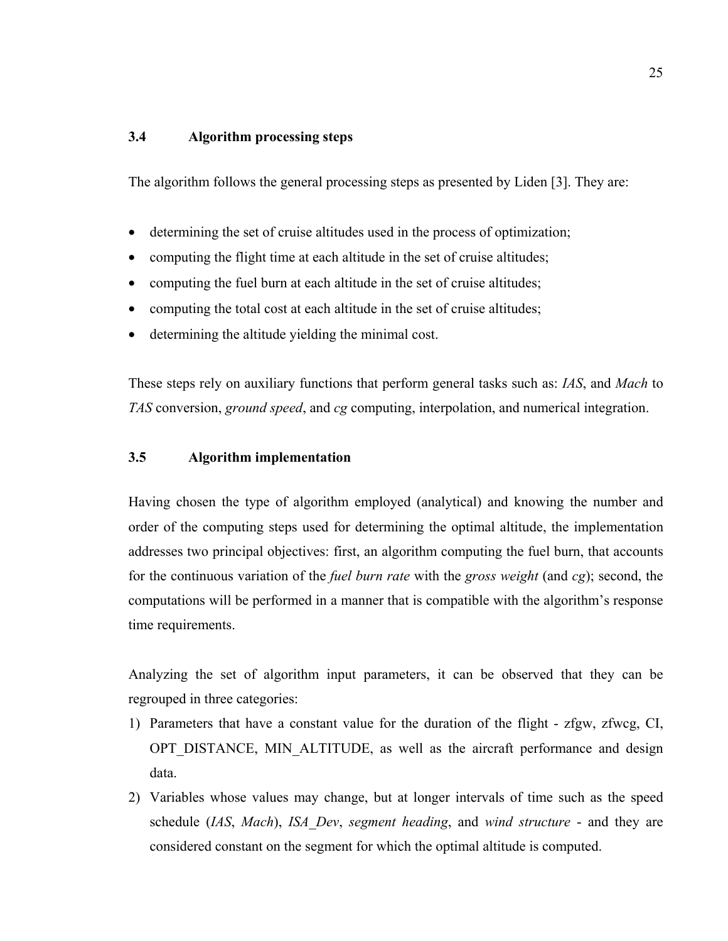# **3.4 Algorithm processing steps**

The algorithm follows the general processing steps as presented by Liden [3]. They are:

- determining the set of cruise altitudes used in the process of optimization;
- computing the flight time at each altitude in the set of cruise altitudes;
- computing the fuel burn at each altitude in the set of cruise altitudes;
- computing the total cost at each altitude in the set of cruise altitudes;
- determining the altitude yielding the minimal cost.

These steps rely on auxiliary functions that perform general tasks such as: *IAS*, and *Mach* to *TAS* conversion, *ground speed*, and *cg* computing, interpolation, and numerical integration.

# **3.5 Algorithm implementation**

Having chosen the type of algorithm employed (analytical) and knowing the number and order of the computing steps used for determining the optimal altitude, the implementation addresses two principal objectives: first, an algorithm computing the fuel burn, that accounts for the continuous variation of the *fuel burn rate* with the *gross weight* (and *cg*); second, the computations will be performed in a manner that is compatible with the algorithm's response time requirements.

Analyzing the set of algorithm input parameters, it can be observed that they can be regrouped in three categories:

- 1) Parameters that have a constant value for the duration of the flight zfgw, zfwcg, CI, OPT DISTANCE, MIN ALTITUDE, as well as the aircraft performance and design data.
- 2) Variables whose values may change, but at longer intervals of time such as the speed schedule (*IAS*, *Mach*), *ISA\_Dev*, *segment heading*, and *wind structure* - and they are considered constant on the segment for which the optimal altitude is computed.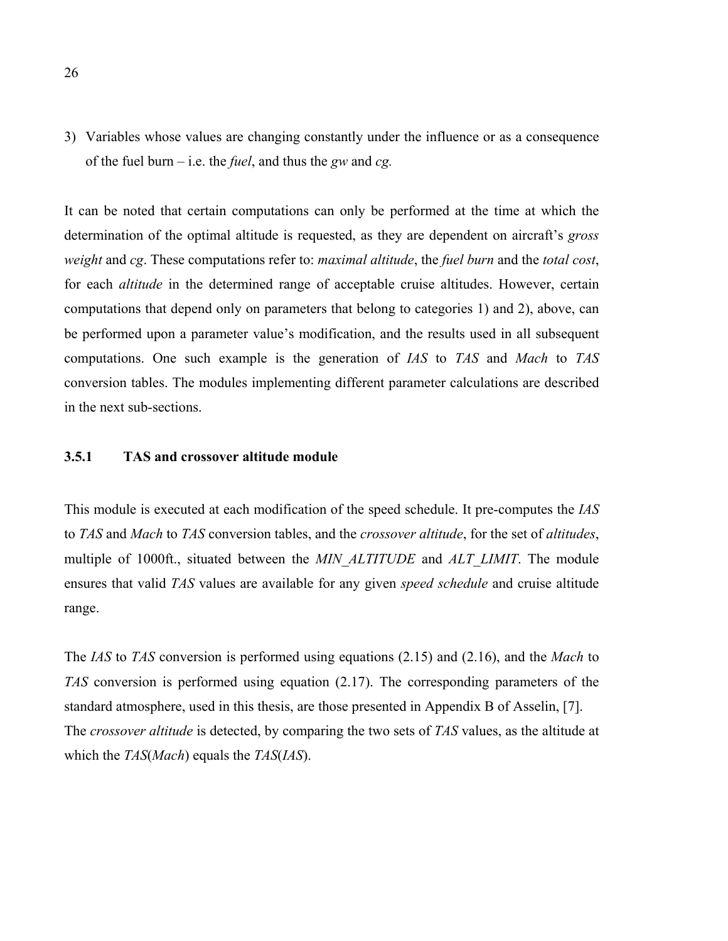3) Variables whose values are changing constantly under the influence or as a consequence of the fuel burn – i.e. the *fuel*, and thus the *gw* and *cg.*

It can be noted that certain computations can only be performed at the time at which the determination of the optimal altitude is requested, as they are dependent on aircraft's *gross weight* and *cg*. These computations refer to: *maximal altitude*, the *fuel burn* and the *total cost*, for each *altitude* in the determined range of acceptable cruise altitudes. However, certain computations that depend only on parameters that belong to categories 1) and 2), above, can be performed upon a parameter value's modification, and the results used in all subsequent computations. One such example is the generation of *IAS* to *TAS* and *Mach* to *TAS* conversion tables. The modules implementing different parameter calculations are described in the next sub-sections.

#### **3.5.1 TAS and crossover altitude module**

This module is executed at each modification of the speed schedule. It pre-computes the *IAS* to *TAS* and *Mach* to *TAS* conversion tables, and the *crossover altitude*, for the set of *altitudes*, multiple of 1000ft., situated between the *MIN\_ALTITUDE* and *ALT\_LIMIT*. The module ensures that valid *TAS* values are available for any given *speed schedule* and cruise altitude range.

The *IAS* to *TAS* conversion is performed using equations (2.15) and (2.16), and the *Mach* to *TAS* conversion is performed using equation (2.17). The corresponding parameters of the standard atmosphere, used in this thesis, are those presented in Appendix B of Asselin, [7]. The *crossover altitude* is detected, by comparing the two sets of *TAS* values, as the altitude at which the *TAS*(*Mach*) equals the *TAS*(*IAS*).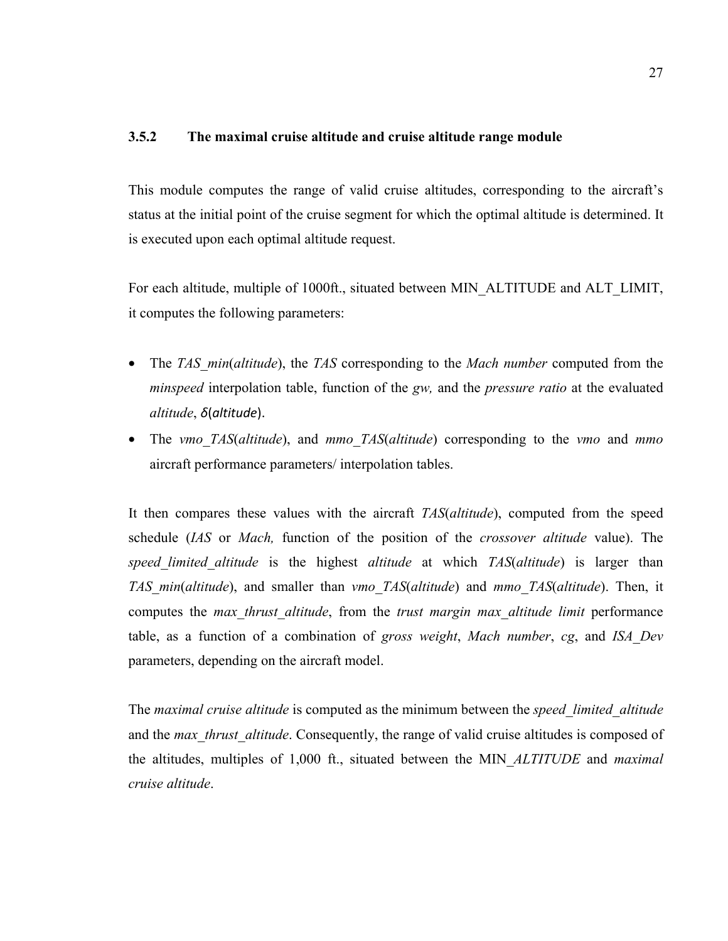### **3.5.2 The maximal cruise altitude and cruise altitude range module**

This module computes the range of valid cruise altitudes, corresponding to the aircraft's status at the initial point of the cruise segment for which the optimal altitude is determined. It is executed upon each optimal altitude request.

For each altitude, multiple of 1000ft., situated between MIN\_ALTITUDE and ALT\_LIMIT, it computes the following parameters:

- The *TAS\_min*(*altitude*), the *TAS* corresponding to the *Mach number* computed from the *minspeed* interpolation table, function of the *gw,* and the *pressure ratio* at the evaluated *altitude*, *δ*(*altitude*).
- The *vmo\_TAS*(*altitude*), and *mmo\_TAS*(*altitude*) corresponding to the *vmo* and *mmo* aircraft performance parameters/ interpolation tables.

It then compares these values with the aircraft *TAS*(*altitude*), computed from the speed schedule (*IAS* or *Mach,* function of the position of the *crossover altitude* value). The *speed\_limited\_altitude* is the highest *altitude* at which *TAS*(*altitude*) is larger than *TAS\_min*(*altitude*), and smaller than *vmo\_TAS*(*altitude*) and *mmo\_TAS*(*altitude*). Then, it computes the *max\_thrust\_altitude*, from the *trust margin max\_altitude limit* performance table, as a function of a combination of *gross weight*, *Mach number*, *cg*, and *ISA\_Dev* parameters, depending on the aircraft model.

The *maximal cruise altitude* is computed as the minimum between the *speed\_limited\_altitude* and the *max* thrust altitude. Consequently, the range of valid cruise altitudes is composed of the altitudes, multiples of 1,000 ft., situated between the MIN\_*ALTITUDE* and *maximal cruise altitude*.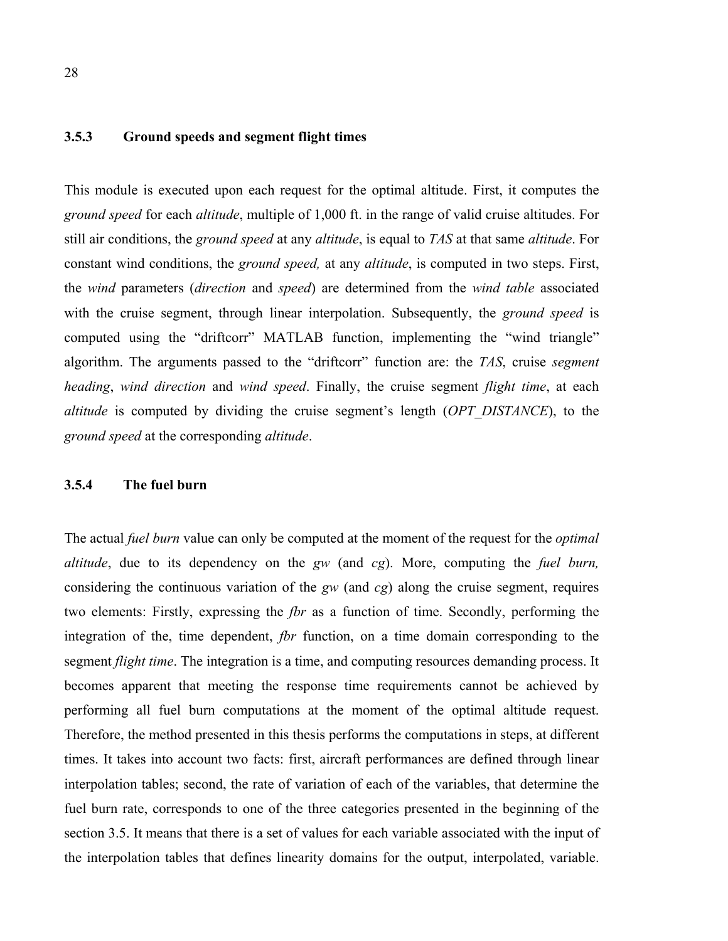### **3.5.3 Ground speeds and segment flight times**

This module is executed upon each request for the optimal altitude. First, it computes the *ground speed* for each *altitude*, multiple of 1,000 ft. in the range of valid cruise altitudes. For still air conditions, the *ground speed* at any *altitude*, is equal to *TAS* at that same *altitude*. For constant wind conditions, the *ground speed,* at any *altitude*, is computed in two steps. First, the *wind* parameters (*direction* and *speed*) are determined from the *wind table* associated with the cruise segment, through linear interpolation. Subsequently, the *ground speed* is computed using the "driftcorr" MATLAB function, implementing the "wind triangle" algorithm. The arguments passed to the "driftcorr" function are: the *TAS*, cruise *segment heading*, *wind direction* and *wind speed*. Finally, the cruise segment *flight time*, at each *altitude* is computed by dividing the cruise segment's length (*OPT\_DISTANCE*), to the *ground speed* at the corresponding *altitude*.

### **3.5.4 The fuel burn**

The actual *fuel burn* value can only be computed at the moment of the request for the *optimal altitude*, due to its dependency on the *gw* (and *cg*). More, computing the *fuel burn,* considering the continuous variation of the *gw* (and *cg*) along the cruise segment, requires two elements: Firstly, expressing the *fbr* as a function of time. Secondly, performing the integration of the, time dependent, *fbr* function, on a time domain corresponding to the segment *flight time*. The integration is a time, and computing resources demanding process. It becomes apparent that meeting the response time requirements cannot be achieved by performing all fuel burn computations at the moment of the optimal altitude request. Therefore, the method presented in this thesis performs the computations in steps, at different times. It takes into account two facts: first, aircraft performances are defined through linear interpolation tables; second, the rate of variation of each of the variables, that determine the fuel burn rate, corresponds to one of the three categories presented in the beginning of the section 3.5. It means that there is a set of values for each variable associated with the input of the interpolation tables that defines linearity domains for the output, interpolated, variable.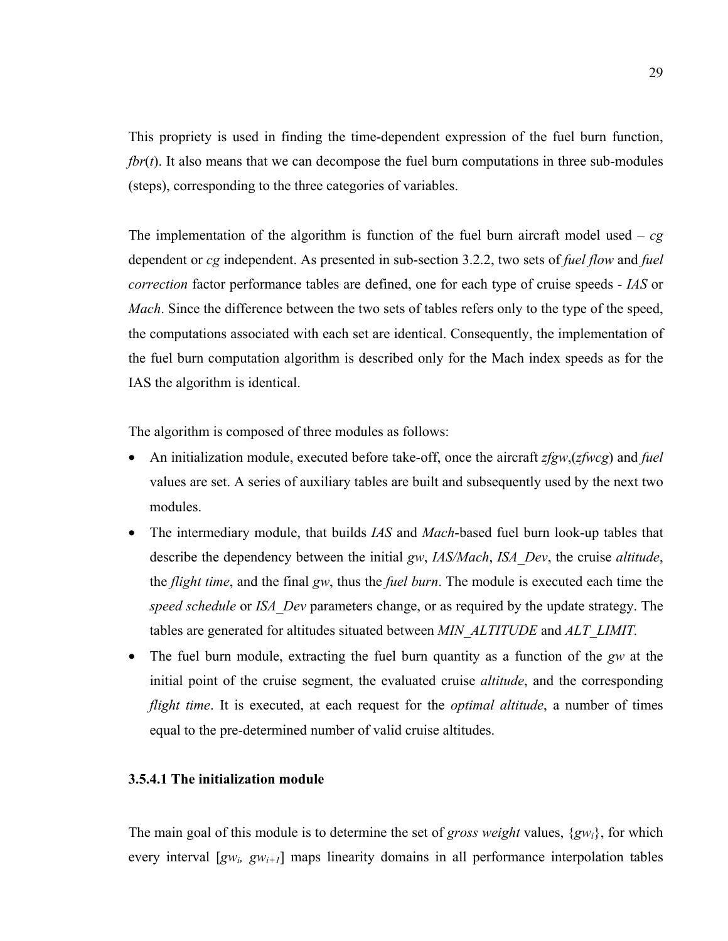This propriety is used in finding the time-dependent expression of the fuel burn function, *fbr*(*t*). It also means that we can decompose the fuel burn computations in three sub-modules (steps), corresponding to the three categories of variables.

The implementation of the algorithm is function of the fuel burn aircraft model used –  $cg$ dependent or *cg* independent. As presented in sub-section 3.2.2, two sets of *fuel flow* and *fuel correction* factor performance tables are defined, one for each type of cruise speeds - *IAS* or *Mach*. Since the difference between the two sets of tables refers only to the type of the speed, the computations associated with each set are identical. Consequently, the implementation of the fuel burn computation algorithm is described only for the Mach index speeds as for the IAS the algorithm is identical.

The algorithm is composed of three modules as follows:

- An initialization module, executed before take-off, once the aircraft *zfgw*,(*zfwcg*) and *fuel* values are set. A series of auxiliary tables are built and subsequently used by the next two modules.
- The intermediary module, that builds *IAS* and *Mach*-based fuel burn look-up tables that describe the dependency between the initial *gw*, *IAS/Mach*, *ISA\_Dev*, the cruise *altitude*, the *flight time*, and the final *gw*, thus the *fuel burn*. The module is executed each time the *speed schedule* or *ISA\_Dev* parameters change, or as required by the update strategy. The tables are generated for altitudes situated between *MIN\_ALTITUDE* and *ALT\_LIMIT.*
- The fuel burn module, extracting the fuel burn quantity as a function of the *gw* at the initial point of the cruise segment, the evaluated cruise *altitude*, and the corresponding *flight time*. It is executed, at each request for the *optimal altitude*, a number of times equal to the pre-determined number of valid cruise altitudes.

# **3.5.4.1 The initialization module**

The main goal of this module is to determine the set of *gross weight* values, {*gwi*}, for which every interval  $[gw_i, gw_{i+1}]$  maps linearity domains in all performance interpolation tables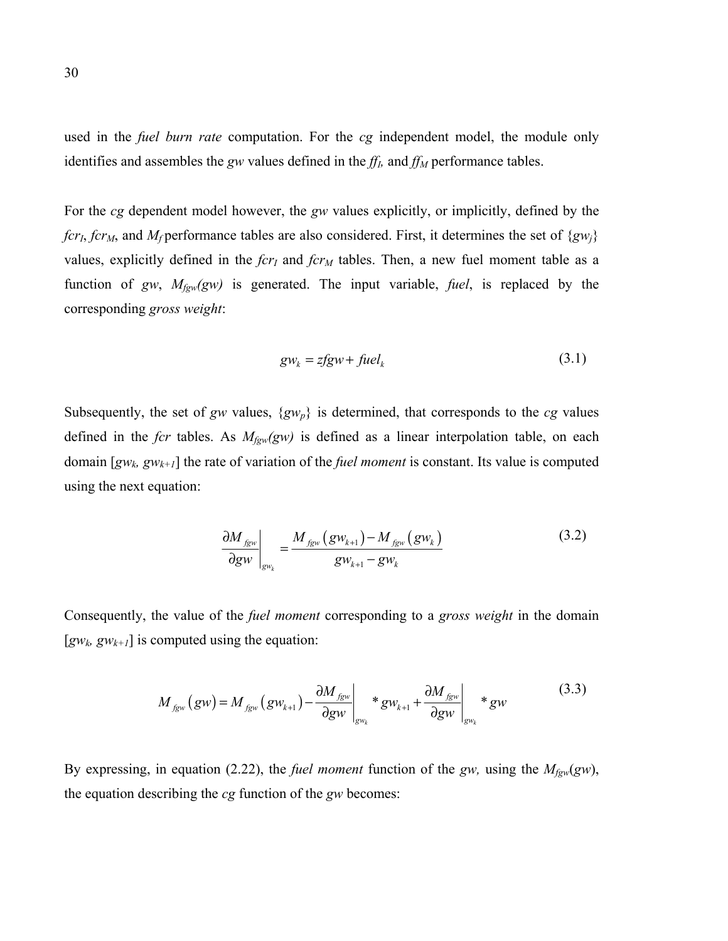used in the *fuel burn rate* computation. For the *cg* independent model, the module only identifies and assembles the *gw* values defined in the  $ff<sub>l</sub>$ , and  $ff<sub>M</sub>$  performance tables.

For the *cg* dependent model however, the *gw* values explicitly, or implicitly, defined by the *fcr<sub>I</sub>*, *fcr<sub>M</sub>*, and *M<sub>f</sub>* performance tables are also considered. First, it determines the set of {*gw<sub>j</sub>*} values, explicitly defined in the *fcr<sub>I</sub>* and *fcr<sub>M</sub>* tables. Then, a new fuel moment table as a function of *gw*, *Mfgw(gw)* is generated. The input variable, *fuel*, is replaced by the corresponding *gross weight*:

$$
gw_k = zfgw + fuel_k \tag{3.1}
$$

Subsequently, the set of *gw* values,  $\{gw_p\}$  is determined, that corresponds to the *cg* values defined in the *fcr* tables. As *Mfgw(gw)* is defined as a linear interpolation table, on each domain [*gwk, gwk+1*] the rate of variation of the *fuel moment* is constant. Its value is computed using the next equation:

$$
\frac{\partial M_{f_{gw}}}{\partial gw}\Big|_{gw_k} = \frac{M_{f_{gw}}(gw_{k+1}) - M_{f_{gw}}(gw_k)}{gw_{k+1} - gw_k}
$$
(3.2)

Consequently, the value of the *fuel moment* corresponding to a *gross weight* in the domain  $[gw_k, gw_{k+1}]$  is computed using the equation:

$$
M_{fgw}(gw) = M_{fgw}(gw_{k+1}) - \frac{\partial M_{fgw}}{\partial gw}\bigg|_{gw_k} * gw_{k+1} + \frac{\partial M_{fgw}}{\partial gw}\bigg|_{gw_k} * gw \tag{3.3}
$$

By expressing, in equation (2.22), the *fuel moment* function of the *gw,* using the *Mfgw*(*gw*), the equation describing the *cg* function of the *gw* becomes: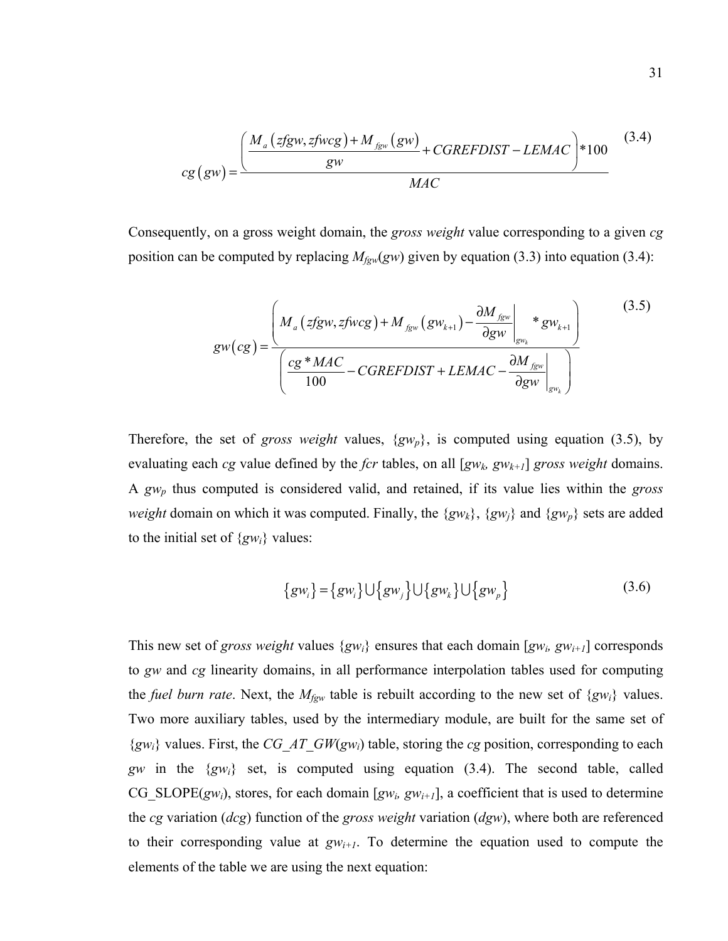$$
cg\left(gw\right) = \frac{\left(\frac{M_a\left(zfgw, zfwcg\right) + M_{fgw}\left(gw\right)}{gw} + CGREFDIST - LEMAC\right) * 100}{MAC}
$$
\n(3.4)

Consequently, on a gross weight domain, the *gross weight* value corresponding to a given *cg* position can be computed by replacing  $M_{\text{fgw}}(gw)$  given by equation (3.3) into equation (3.4):

$$
gw(cg) = \frac{\left(M_a\left(zfgw, zfwcg\right) + M_{fgw}\left(gw_{k+1}\right) - \frac{\partial M_{fgw}}{\partial gw}\bigg|_{gw_k} * gw_{k+1}}{\left(\frac{cg * MAC}{100} - CGREFDIST + LEMAC - \frac{\partial M_{fgw}}{\partial gw}\bigg|_{gw_k}\right)}
$$
(3.5)

Therefore, the set of *gross weight* values, {*gwp*}, is computed using equation (3.5), by evaluating each *cg* value defined by the *fcr* tables, on all [*gwk, gwk+1*] *gross weight* domains. A *gwp* thus computed is considered valid, and retained, if its value lies within the *gross weight* domain on which it was computed. Finally, the  $\{gw_k\}$ ,  $\{gw_j\}$  and  $\{gw_p\}$  sets are added to the initial set of {*gwi*} values:

$$
\{gw_i\} = \{gw_i\} \cup \{gw_j\} \cup \{gw_k\} \cup \{gw_p\}
$$
 (3.6)

This new set of *gross weight* values  $\{gw_i\}$  ensures that each domain  $[gw_i, gw_{i+1}]$  corresponds to *gw* and *cg* linearity domains, in all performance interpolation tables used for computing the *fuel burn rate*. Next, the *Mfgw* table is rebuilt according to the new set of {*gwi*} values. Two more auxiliary tables, used by the intermediary module, are built for the same set of {*gwi*} values. First, the *CG\_AT\_GW*(*gwi*) table, storing the *cg* position, corresponding to each *gw* in the {*gwi*} set, is computed using equation (3.4). The second table, called CG\_SLOPE( $gw_i$ ), stores, for each domain [ $gw_i$ ,  $gw_{i+1}$ ], a coefficient that is used to determine the *cg* variation (*dcg*) function of the *gross weight* variation (*dgw*), where both are referenced to their corresponding value at  $gw_{i+1}$ . To determine the equation used to compute the elements of the table we are using the next equation: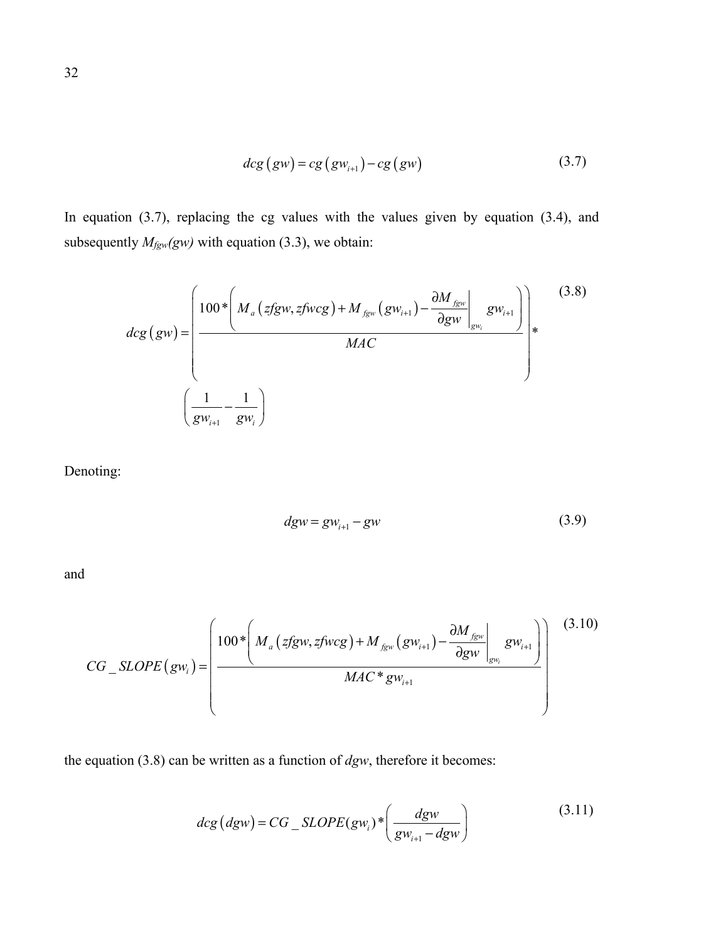$$
dcg\left(gw\right) = cg\left(gw_{i+1}\right) - cg\left(gw\right) \tag{3.7}
$$

In equation (3.7), replacing the cg values with the values given by equation (3.4), and subsequently  $M_{\text{fgw}}(gw)$  with equation (3.3), we obtain:

$$
dcg\left(gw\right) = \left(\frac{100*\left(M_a\left(zfgw,zfwcg\right)+M_{fgw}\left(gw_{i+1}\right)-\frac{\partial M_{fgw}}{\partial gw}\bigg|_{gw_i}gw_{i+1}\right)}{MAC}\right)*
$$
(3.8)  

$$
\left(\frac{1}{gw_{i+1}}-\frac{1}{gw_i}\right)
$$

Denoting:

$$
dgw = gw_{i+1} - gw \tag{3.9}
$$

and

$$
CG\_SLOPE(gw_i) = \left(\frac{100 * \left(M_a\left(zfgw, zfwcg\right) + M_{fgw}\left(gw_{i+1}\right) - \frac{\partial M_{fgw}}{\partial gw}\right|_{gw_i} gw_{i+1}}{MAC * gw_{i+1}}\right)^{(3.10)}
$$

the equation (3.8) can be written as a function of *dgw*, therefore it becomes:

$$
deg (dgw) = CG\_SLOPE(gw_i) * \left(\frac{dgw}{gw_{i+1} - dgw}\right)
$$
\n(3.11)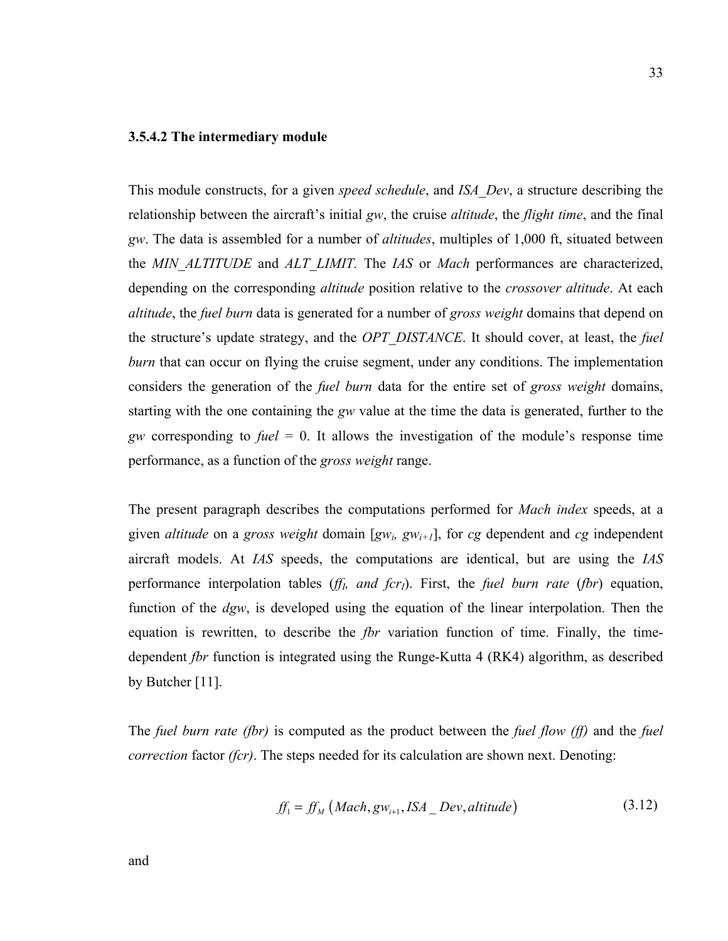#### **3.5.4.2 The intermediary module**

This module constructs, for a given *speed schedule*, and *ISA\_Dev*, a structure describing the relationship between the aircraft's initial *gw*, the cruise *altitude*, the *flight time*, and the final *gw*. The data is assembled for a number of *altitudes*, multiples of 1,000 ft, situated between the *MIN\_ALTITUDE* and *ALT\_LIMIT.* The *IAS* or *Mach* performances are characterized, depending on the corresponding *altitude* position relative to the *crossover altitude*. At each *altitude*, the *fuel burn* data is generated for a number of *gross weight* domains that depend on the structure's update strategy, and the *OPT\_DISTANCE*. It should cover, at least, the *fuel burn* that can occur on flying the cruise segment, under any conditions. The implementation considers the generation of the *fuel burn* data for the entire set of *gross weight* domains, starting with the one containing the *gw* value at the time the data is generated, further to the *gw* corresponding to *fuel* = 0. It allows the investigation of the module's response time performance, as a function of the *gross weight* range.

The present paragraph describes the computations performed for *Mach index* speeds, at a given *altitude* on a *gross weight* domain  $[gw_i, gw_{i+1}]$ , for *cg* dependent and *cg* independent aircraft models. At *IAS* speeds, the computations are identical, but are using the *IAS* performance interpolation tables (*ff<sub>I</sub>*, and *fcr<sub>I</sub>*). First, the *fuel burn rate* (*fbr*) equation, function of the *dgw*, is developed using the equation of the linear interpolation. Then the equation is rewritten, to describe the *fbr* variation function of time. Finally, the timedependent *fbr* function is integrated using the Runge-Kutta 4 (RK4) algorithm, as described by Butcher [11].

The *fuel burn rate (fbr)* is computed as the product between the *fuel flow (ff)* and the *fuel correction* factor *(fcr)*. The steps needed for its calculation are shown next. Denoting:

$$
ff_1 = ff_M \left( Mach, gw_{i+1}, ISA\_Dev, altitude \right) \tag{3.12}
$$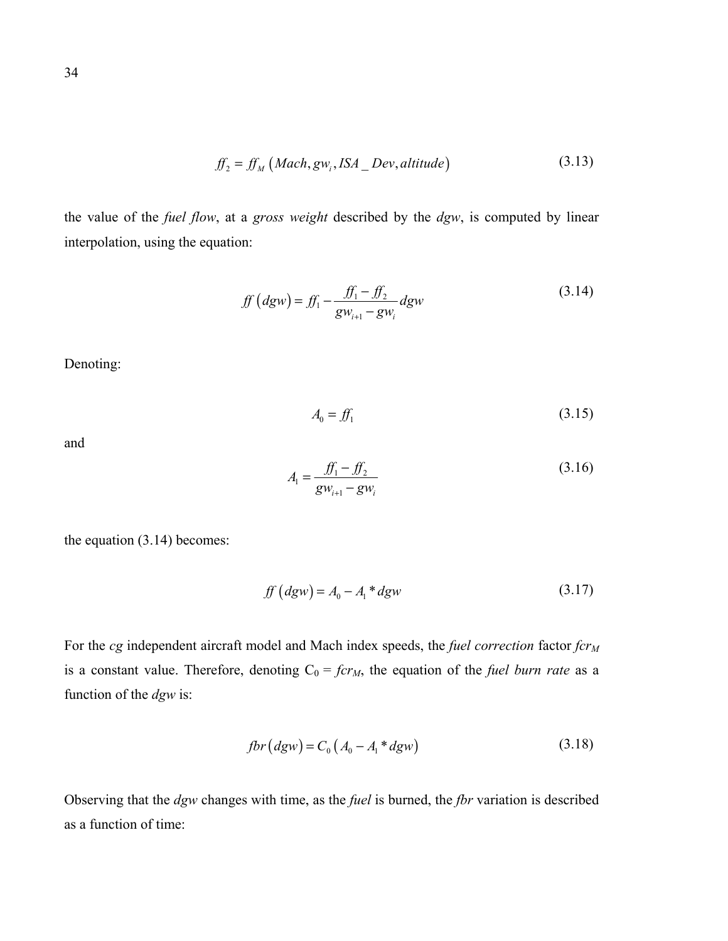$$
ff_2 = ff_M \left( Mach, gw_i, ISA\_Dev, altitude \right) \tag{3.13}
$$

the value of the *fuel flow*, at a *gross weight* described by the *dgw*, is computed by linear interpolation, using the equation:

$$
ff (dgw) = f_{1} - \frac{f_{1} - f_{2}}{gw_{i+1} - gw_{i}} dgw
$$
 (3.14)

Denoting:

$$
A_0 = f f_1 \tag{3.15}
$$

and

$$
A_{1} = \frac{f_{1} - f_{2}}{g w_{i+1} - g w_{i}} \tag{3.16}
$$

the equation (3.14) becomes:

$$
ff (dgw) = A_0 - A_1 * dgw
$$
 (3.17)

For the *cg* independent aircraft model and Mach index speeds, the *fuel correction* factor  $fcr_M$ is a constant value. Therefore, denoting  $C_0 = fcr_M$ , the equation of the *fuel burn rate* as a function of the *dgw* is:

$$
fbr\left(dgw\right) = C_0\left(A_0 - A_1 * dgw\right) \tag{3.18}
$$

Observing that the *dgw* changes with time, as the *fuel* is burned, the *fbr* variation is described as a function of time: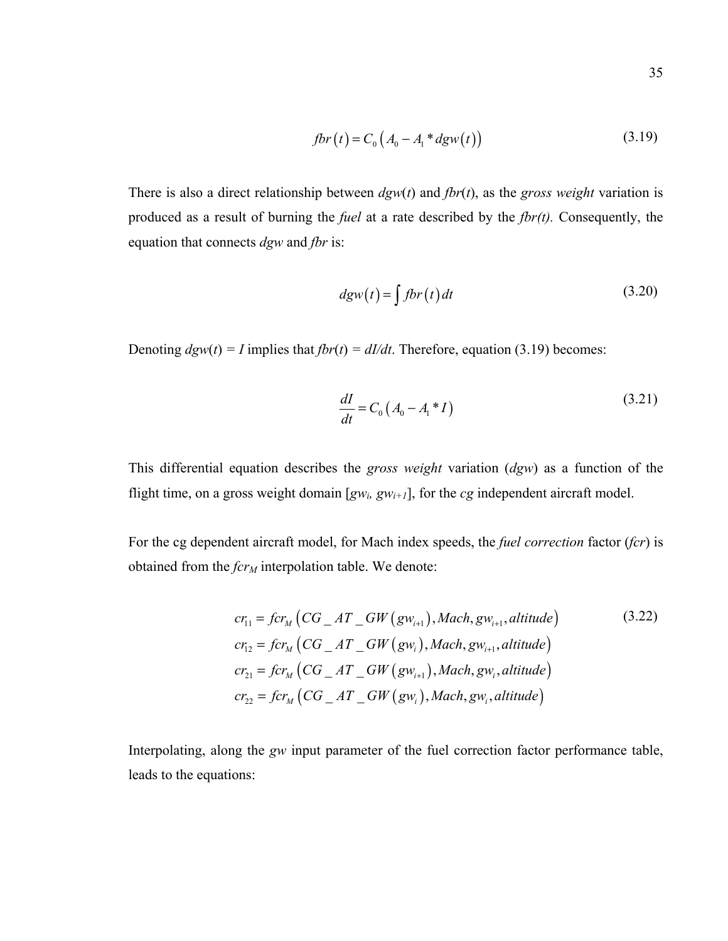$$
fbr(t) = C_0 (A_0 - A_1 * dgw(t))
$$
 (3.19)

There is also a direct relationship between *dgw*(*t*) and *fbr*(*t*), as the *gross weight* variation is produced as a result of burning the *fuel* at a rate described by the *fbr(t).* Consequently, the equation that connects *dgw* and *fbr* is:

$$
dgw(t) = \int f b r(t) dt
$$
 (3.20)

Denoting  $dgw(t) = I$  implies that  $fbr(t) = dI/dt$ . Therefore, equation (3.19) becomes:

$$
\frac{dI}{dt} = C_0 \left( A_0 - A_1 * I \right) \tag{3.21}
$$

This differential equation describes the *gross weight* variation (*dgw*) as a function of the flight time, on a gross weight domain  $[gw_i, gw_{i+1}]$ , for the *cg* independent aircraft model.

For the cg dependent aircraft model, for Mach index speeds, the *fuel correction* factor (*fcr*) is obtained from the *fcr<sub>M</sub>* interpolation table. We denote:

$$
cr_{11} = fcr_M (CG\_AT\_GW(gw_{i+1}), Mach, gw_{i+1}, altitude)
$$
\n
$$
cr_{12} = fcr_M (CG\_AT\_GW(gw_i), Mach, gw_{i+1}, altitude)
$$
\n
$$
cr_{21} = fcr_M (CG\_AT\_GW(gw_{i+1}), Mach, gw_i, altitude)
$$
\n
$$
cr_{22} = fcr_M (CG\_AT\_GW(gw_i), Mach, gw_i, altitude)
$$
\n(3.22)

Interpolating, along the *gw* input parameter of the fuel correction factor performance table, leads to the equations: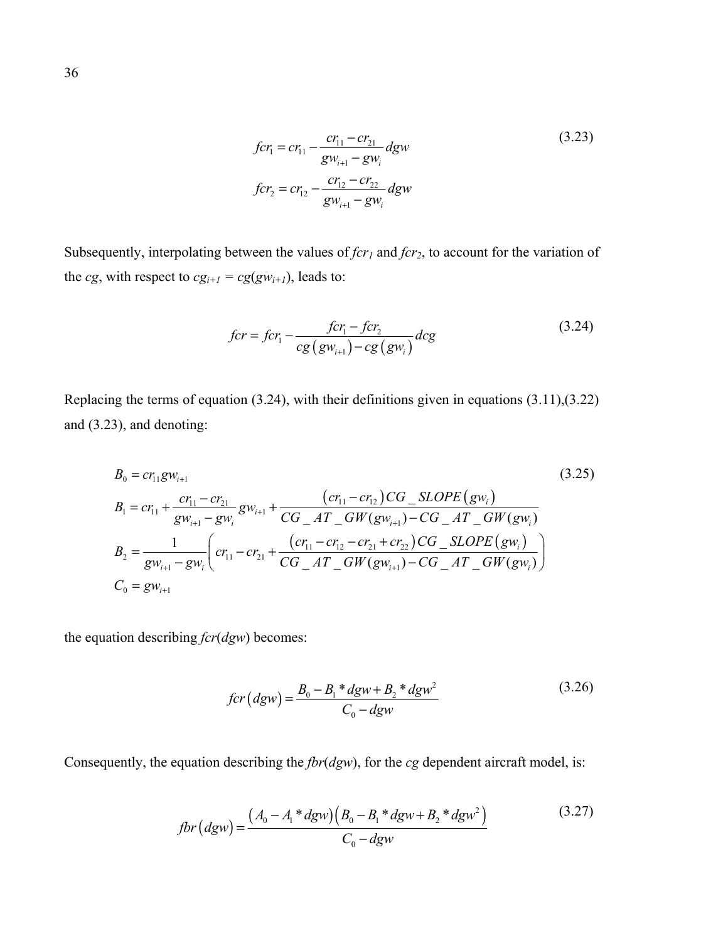$$
fcr_1 = cr_{11} - \frac{cr_{11} - cr_{21}}{gw_{i+1} - gw_i} dgw
$$
\n
$$
fcr_2 = cr_{12} - \frac{cr_{12} - cr_{22}}{gw_{i+1} - gw_i} dgw
$$
\n(3.23)

Subsequently, interpolating between the values of *fcr<sub>1</sub>* and *fcr*<sub>2</sub>, to account for the variation of the *cg*, with respect to  $cg_{i+1} = cg(gw_{i+1})$ , leads to:

$$
for = fcr_{1} - \frac{fcr_{1} - fcr_{2}}{cg(gw_{i+1}) - cg(gw_{i})} dcg
$$
\n(3.24)

Replacing the terms of equation (3.24), with their definitions given in equations (3.11),(3.22) and (3.23), and denoting:

$$
B_{0} = cr_{11}gw_{i+1}
$$
\n
$$
B_{1} = cr_{11} + \frac{cr_{11} - cr_{21}}{gw_{i+1} - gw_{i}}gw_{i+1} + \frac{(cr_{11} - cr_{12})CG\_SLOPE(gw_{i})}{CG\_AT\_GW(gw_{i+1}) - CG\_AT\_GW(gw_{i})}
$$
\n
$$
B_{2} = \frac{1}{gw_{i+1} - gw_{i}} \left( cr_{11} - cr_{21} + \frac{(cr_{11} - cr_{12} - cr_{21} + cr_{22})CG\_SLOPE(gw_{i})}{CG\_AT\_GW(gw_{i+1}) - CG\_AT\_GW(gw_{i})} \right)
$$
\n
$$
C_{0} = gw_{i+1}
$$
\n(3.25)

the equation describing *fcr*(*dgw*) becomes:

$$
for (dgw) = \frac{B_0 - B_1 * dgw + B_2 * dgw^2}{C_0 - dgw}
$$
\n(3.26)

Consequently, the equation describing the *fbr*(*dgw*), for the *cg* dependent aircraft model, is:

$$
fbr\left(dgw\right) = \frac{\left(A_0 - A_1 * dgw\right)\left(B_0 - B_1 * dgw + B_2 * dgw^2\right)}{C_0 - dgw} \tag{3.27}
$$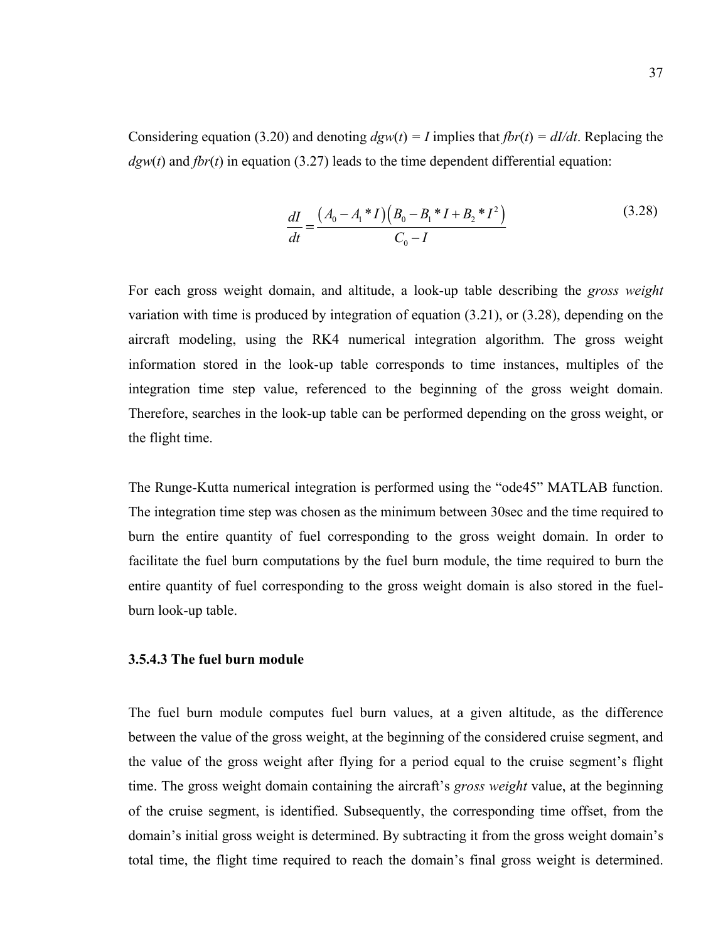Considering equation (3.20) and denoting  $dgw(t) = I$  implies that  $fbr(t) = dI/dt$ . Replacing the  $dgw(t)$  and  $fbr(t)$  in equation (3.27) leads to the time dependent differential equation:

$$
\frac{dI}{dt} = \frac{(A_0 - A_1 * I)(B_0 - B_1 * I + B_2 * I^2)}{C_0 - I}
$$
\n(3.28)

For each gross weight domain, and altitude, a look-up table describing the *gross weight* variation with time is produced by integration of equation (3.21), or (3.28), depending on the aircraft modeling, using the RK4 numerical integration algorithm. The gross weight information stored in the look-up table corresponds to time instances, multiples of the integration time step value, referenced to the beginning of the gross weight domain. Therefore, searches in the look-up table can be performed depending on the gross weight, or the flight time.

The Runge-Kutta numerical integration is performed using the "ode45" MATLAB function. The integration time step was chosen as the minimum between 30sec and the time required to burn the entire quantity of fuel corresponding to the gross weight domain. In order to facilitate the fuel burn computations by the fuel burn module, the time required to burn the entire quantity of fuel corresponding to the gross weight domain is also stored in the fuelburn look-up table.

#### **3.5.4.3 The fuel burn module**

The fuel burn module computes fuel burn values, at a given altitude, as the difference between the value of the gross weight, at the beginning of the considered cruise segment, and the value of the gross weight after flying for a period equal to the cruise segment's flight time. The gross weight domain containing the aircraft's *gross weight* value, at the beginning of the cruise segment, is identified. Subsequently, the corresponding time offset, from the domain's initial gross weight is determined. By subtracting it from the gross weight domain's total time, the flight time required to reach the domain's final gross weight is determined.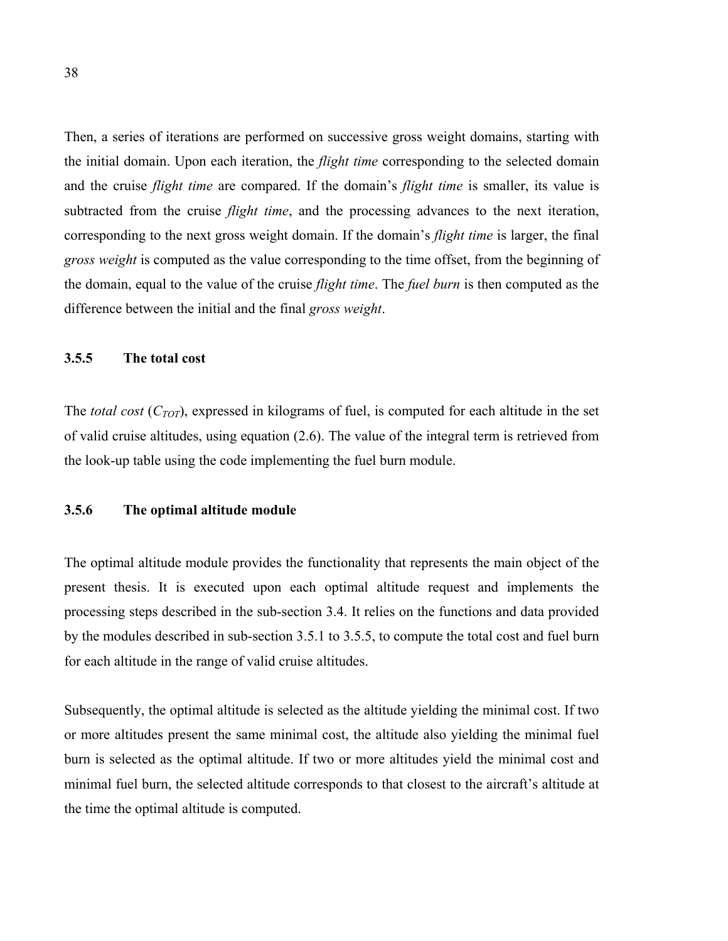Then, a series of iterations are performed on successive gross weight domains, starting with the initial domain. Upon each iteration, the *flight time* corresponding to the selected domain and the cruise *flight time* are compared. If the domain's *flight time* is smaller, its value is subtracted from the cruise *flight time*, and the processing advances to the next iteration, corresponding to the next gross weight domain. If the domain's *flight time* is larger, the final *gross weight* is computed as the value corresponding to the time offset, from the beginning of the domain, equal to the value of the cruise *flight time*. The *fuel burn* is then computed as the difference between the initial and the final *gross weight*.

#### **3.5.5 The total cost**

The *total cost* (*CTOT*), expressed in kilograms of fuel, is computed for each altitude in the set of valid cruise altitudes, using equation (2.6). The value of the integral term is retrieved from the look-up table using the code implementing the fuel burn module.

### **3.5.6 The optimal altitude module**

The optimal altitude module provides the functionality that represents the main object of the present thesis. It is executed upon each optimal altitude request and implements the processing steps described in the sub-section 3.4. It relies on the functions and data provided by the modules described in sub-section 3.5.1 to 3.5.5, to compute the total cost and fuel burn for each altitude in the range of valid cruise altitudes.

Subsequently, the optimal altitude is selected as the altitude yielding the minimal cost. If two or more altitudes present the same minimal cost, the altitude also yielding the minimal fuel burn is selected as the optimal altitude. If two or more altitudes yield the minimal cost and minimal fuel burn, the selected altitude corresponds to that closest to the aircraft's altitude at the time the optimal altitude is computed.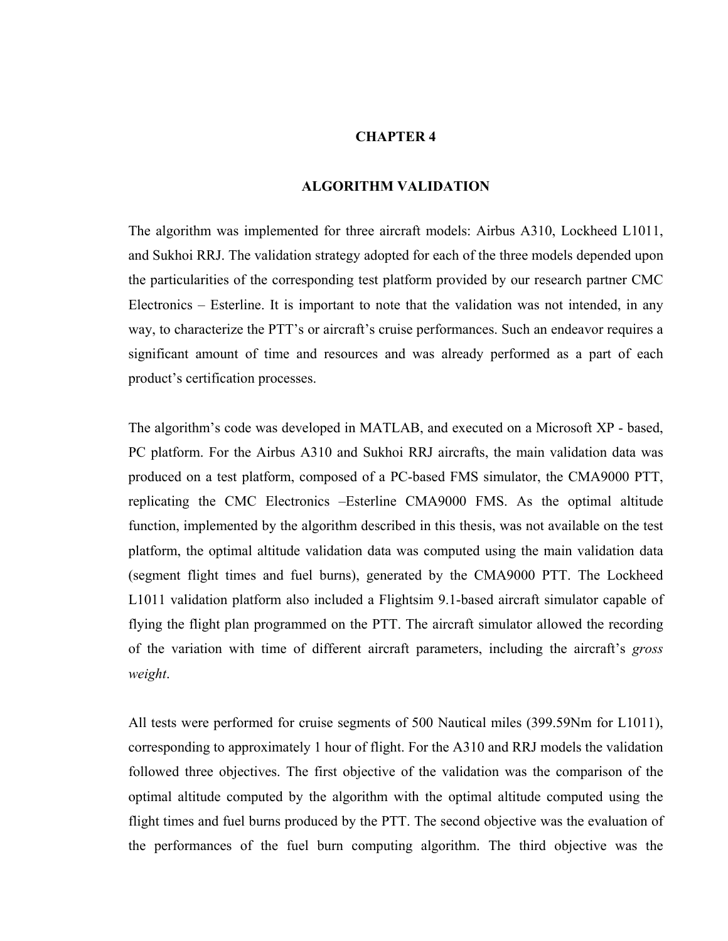### **CHAPTER 4**

#### **ALGORITHM VALIDATION**

The algorithm was implemented for three aircraft models: Airbus A310, Lockheed L1011, and Sukhoi RRJ. The validation strategy adopted for each of the three models depended upon the particularities of the corresponding test platform provided by our research partner CMC Electronics – Esterline. It is important to note that the validation was not intended, in any way, to characterize the PTT's or aircraft's cruise performances. Such an endeavor requires a significant amount of time and resources and was already performed as a part of each product's certification processes.

The algorithm's code was developed in MATLAB, and executed on a Microsoft XP - based, PC platform. For the Airbus A310 and Sukhoi RRJ aircrafts, the main validation data was produced on a test platform, composed of a PC-based FMS simulator, the CMA9000 PTT, replicating the CMC Electronics –Esterline CMA9000 FMS. As the optimal altitude function, implemented by the algorithm described in this thesis, was not available on the test platform, the optimal altitude validation data was computed using the main validation data (segment flight times and fuel burns), generated by the CMA9000 PTT. The Lockheed L1011 validation platform also included a Flightsim 9.1-based aircraft simulator capable of flying the flight plan programmed on the PTT. The aircraft simulator allowed the recording of the variation with time of different aircraft parameters, including the aircraft's *gross weight*.

All tests were performed for cruise segments of 500 Nautical miles (399.59Nm for L1011), corresponding to approximately 1 hour of flight. For the A310 and RRJ models the validation followed three objectives. The first objective of the validation was the comparison of the optimal altitude computed by the algorithm with the optimal altitude computed using the flight times and fuel burns produced by the PTT. The second objective was the evaluation of the performances of the fuel burn computing algorithm. The third objective was the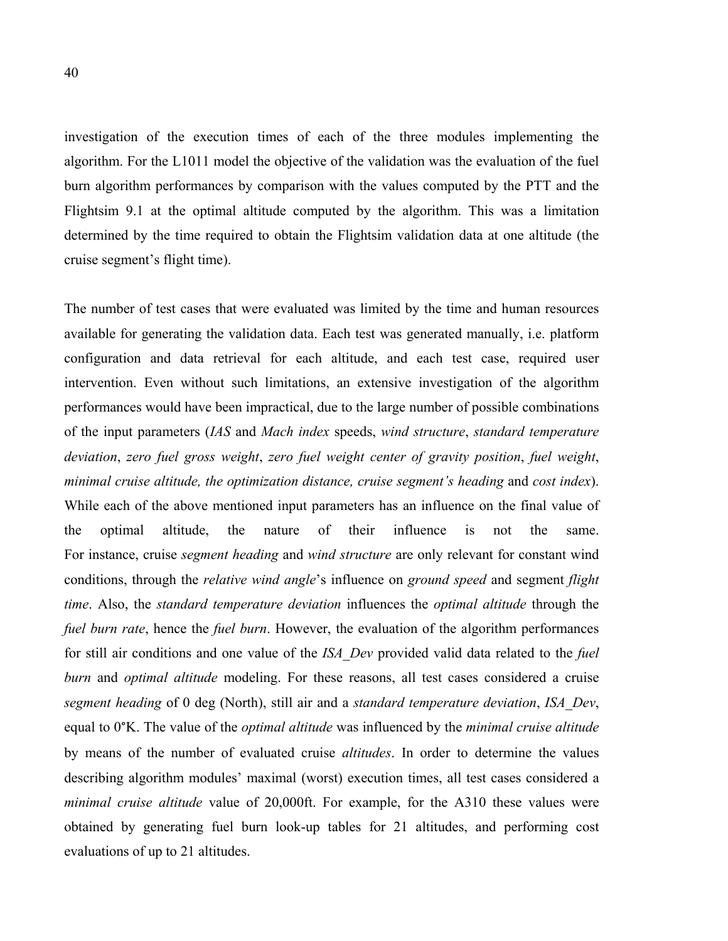investigation of the execution times of each of the three modules implementing the algorithm. For the L1011 model the objective of the validation was the evaluation of the fuel burn algorithm performances by comparison with the values computed by the PTT and the Flightsim 9.1 at the optimal altitude computed by the algorithm. This was a limitation determined by the time required to obtain the Flightsim validation data at one altitude (the cruise segment's flight time).

The number of test cases that were evaluated was limited by the time and human resources available for generating the validation data. Each test was generated manually, i.e. platform configuration and data retrieval for each altitude, and each test case, required user intervention. Even without such limitations, an extensive investigation of the algorithm performances would have been impractical, due to the large number of possible combinations of the input parameters (*IAS* and *Mach index* speeds, *wind structure*, *standard temperature deviation*, *zero fuel gross weight*, *zero fuel weight center of gravity position*, *fuel weight*, *minimal cruise altitude, the optimization distance, cruise segment's heading* and *cost index*). While each of the above mentioned input parameters has an influence on the final value of the optimal altitude, the nature of their influence is not the same. For instance, cruise *segment heading* and *wind structure* are only relevant for constant wind conditions, through the *relative wind angle*'s influence on *ground speed* and segment *flight time*. Also, the *standard temperature deviation* influences the *optimal altitude* through the *fuel burn rate*, hence the *fuel burn*. However, the evaluation of the algorithm performances for still air conditions and one value of the *ISA\_Dev* provided valid data related to the *fuel burn* and *optimal altitude* modeling. For these reasons, all test cases considered a cruise *segment heading* of 0 deg (North), still air and a *standard temperature deviation*, *ISA\_Dev*, equal to 0°K. The value of the *optimal altitude* was influenced by the *minimal cruise altitude* by means of the number of evaluated cruise *altitudes*. In order to determine the values describing algorithm modules' maximal (worst) execution times, all test cases considered a *minimal cruise altitude* value of 20,000ft. For example, for the A310 these values were obtained by generating fuel burn look-up tables for 21 altitudes, and performing cost evaluations of up to 21 altitudes.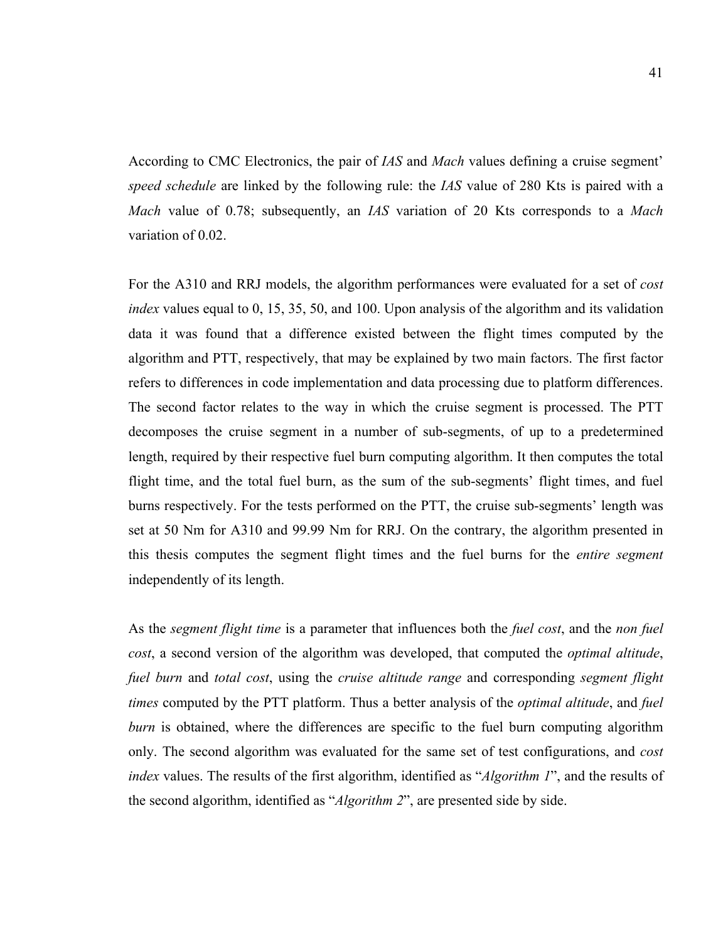According to CMC Electronics, the pair of *IAS* and *Mach* values defining a cruise segment' *speed schedule* are linked by the following rule: the *IAS* value of 280 Kts is paired with a *Mach* value of 0.78; subsequently, an *IAS* variation of 20 Kts corresponds to a *Mach* variation of 0.02.

For the A310 and RRJ models, the algorithm performances were evaluated for a set of *cost index* values equal to 0, 15, 35, 50, and 100. Upon analysis of the algorithm and its validation data it was found that a difference existed between the flight times computed by the algorithm and PTT, respectively, that may be explained by two main factors. The first factor refers to differences in code implementation and data processing due to platform differences. The second factor relates to the way in which the cruise segment is processed. The PTT decomposes the cruise segment in a number of sub-segments, of up to a predetermined length, required by their respective fuel burn computing algorithm. It then computes the total flight time, and the total fuel burn, as the sum of the sub-segments' flight times, and fuel burns respectively. For the tests performed on the PTT, the cruise sub-segments' length was set at 50 Nm for A310 and 99.99 Nm for RRJ. On the contrary, the algorithm presented in this thesis computes the segment flight times and the fuel burns for the *entire segment* independently of its length.

As the *segment flight time* is a parameter that influences both the *fuel cost*, and the *non fuel cost*, a second version of the algorithm was developed, that computed the *optimal altitude*, *fuel burn* and *total cost*, using the *cruise altitude range* and corresponding *segment flight times* computed by the PTT platform. Thus a better analysis of the *optimal altitude*, and *fuel burn* is obtained, where the differences are specific to the fuel burn computing algorithm only. The second algorithm was evaluated for the same set of test configurations, and *cost index* values. The results of the first algorithm, identified as "*Algorithm 1*", and the results of the second algorithm, identified as "*Algorithm 2*", are presented side by side.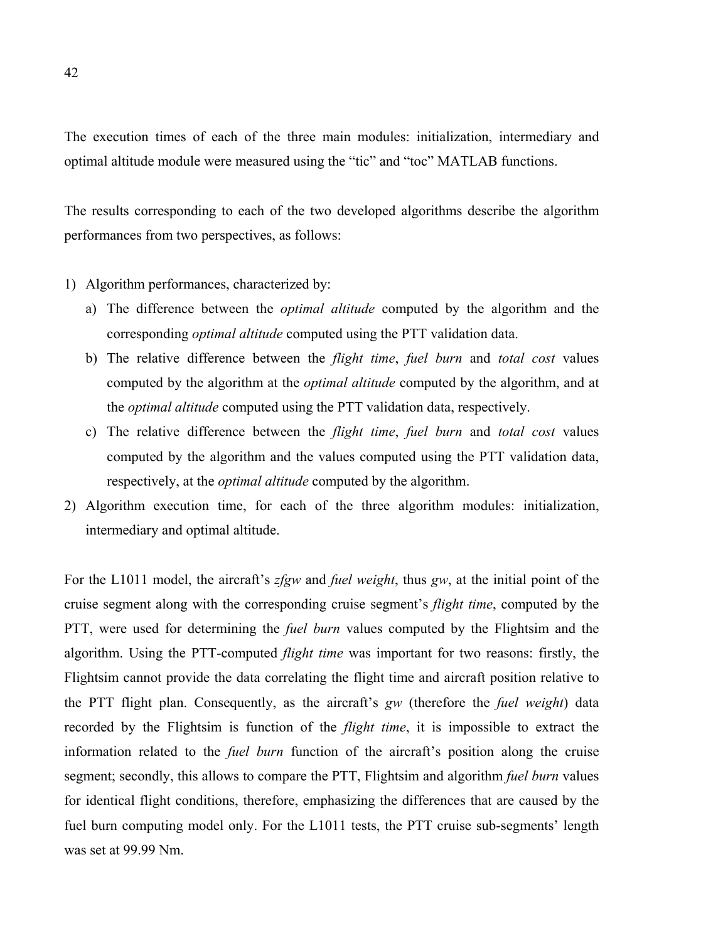The execution times of each of the three main modules: initialization, intermediary and optimal altitude module were measured using the "tic" and "toc" MATLAB functions.

The results corresponding to each of the two developed algorithms describe the algorithm performances from two perspectives, as follows:

#### 1) Algorithm performances, characterized by:

- a) The difference between the *optimal altitude* computed by the algorithm and the corresponding *optimal altitude* computed using the PTT validation data.
- b) The relative difference between the *flight time*, *fuel burn* and *total cost* values computed by the algorithm at the *optimal altitude* computed by the algorithm, and at the *optimal altitude* computed using the PTT validation data, respectively.
- c) The relative difference between the *flight time*, *fuel burn* and *total cost* values computed by the algorithm and the values computed using the PTT validation data, respectively, at the *optimal altitude* computed by the algorithm.
- 2) Algorithm execution time, for each of the three algorithm modules: initialization, intermediary and optimal altitude.

For the L1011 model, the aircraft's *zfgw* and *fuel weight*, thus *gw*, at the initial point of the cruise segment along with the corresponding cruise segment's *flight time*, computed by the PTT, were used for determining the *fuel burn* values computed by the Flightsim and the algorithm. Using the PTT-computed *flight time* was important for two reasons: firstly, the Flightsim cannot provide the data correlating the flight time and aircraft position relative to the PTT flight plan. Consequently, as the aircraft's *gw* (therefore the *fuel weight*) data recorded by the Flightsim is function of the *flight time*, it is impossible to extract the information related to the *fuel burn* function of the aircraft's position along the cruise segment; secondly, this allows to compare the PTT, Flightsim and algorithm *fuel burn* values for identical flight conditions, therefore, emphasizing the differences that are caused by the fuel burn computing model only. For the L1011 tests, the PTT cruise sub-segments' length was set at 99.99 Nm.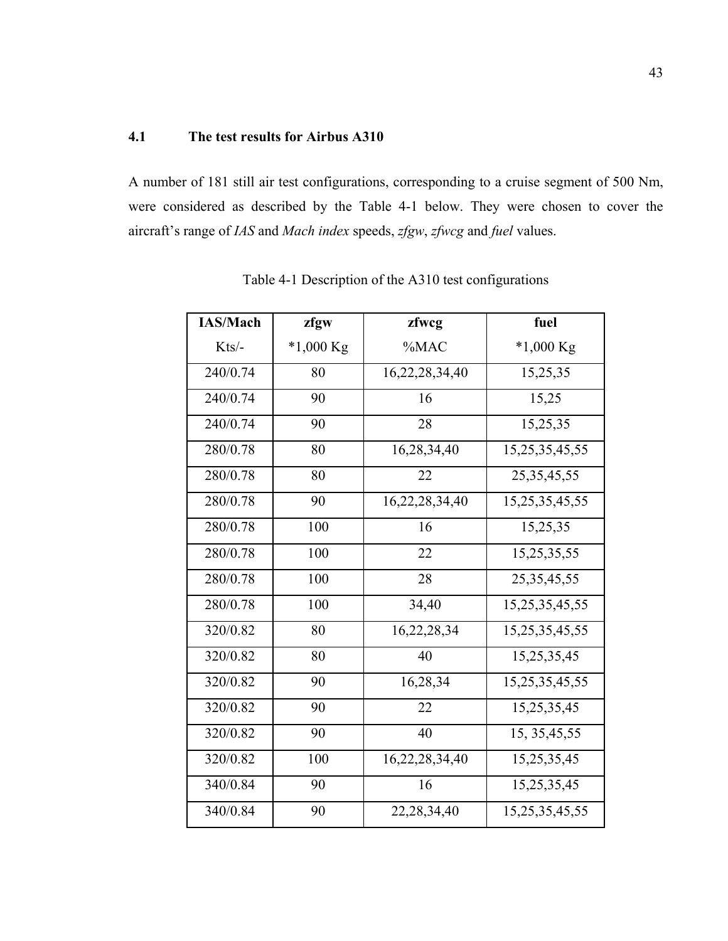# **4.1 The test results for Airbus A310**

A number of 181 still air test configurations, corresponding to a cruise segment of 500 Nm, were considered as described by the Table 4-1 below. They were chosen to cover the aircraft's range of *IAS* and *Mach index* speeds, *zfgw*, *zfwcg* and *fuel* values.

| <b>IAS/Mach</b> | zfgw        | zfwcg          | fuel               |
|-----------------|-------------|----------------|--------------------|
| Kts/-           | $*1,000$ Kg | %MAC           | $*1,000$ Kg        |
| 240/0.74        | 80          | 16,22,28,34,40 | 15,25,35           |
| 240/0.74        | 90          | 16             | 15,25              |
| 240/0.74        | 90          | 28             | 15,25,35           |
| 280/0.78        | 80          | 16,28,34,40    | 15,25,35,45,55     |
| 280/0.78        | 80          | 22             | 25, 35, 45, 55     |
| 280/0.78        | 90          | 16,22,28,34,40 | 15,25,35,45,55     |
| 280/0.78        | 100         | 16             | 15,25,35           |
| 280/0.78        | 100         | 22             | 15,25,35,55        |
| 280/0.78        | 100         | 28             | 25, 35, 45, 55     |
| 280/0.78        | 100         | 34,40          | 15,25,35,45,55     |
| 320/0.82        | 80          | 16,22,28,34    | 15,25,35,45,55     |
| 320/0.82        | 80          | 40             | 15,25,35,45        |
| 320/0.82        | 90          | 16,28,34       | 15,25,35,45,55     |
| 320/0.82        | 90          | 22             | 15,25,35,45        |
| 320/0.82        | 90          | 40             | 15, 35, 45, 55     |
| 320/0.82        | 100         | 16,22,28,34,40 | 15,25,35,45        |
| 340/0.84        | 90          | 16             | 15,25,35,45        |
| 340/0.84        | 90          | 22, 28, 34, 40 | 15, 25, 35, 45, 55 |

Table 4-1 Description of the A310 test configurations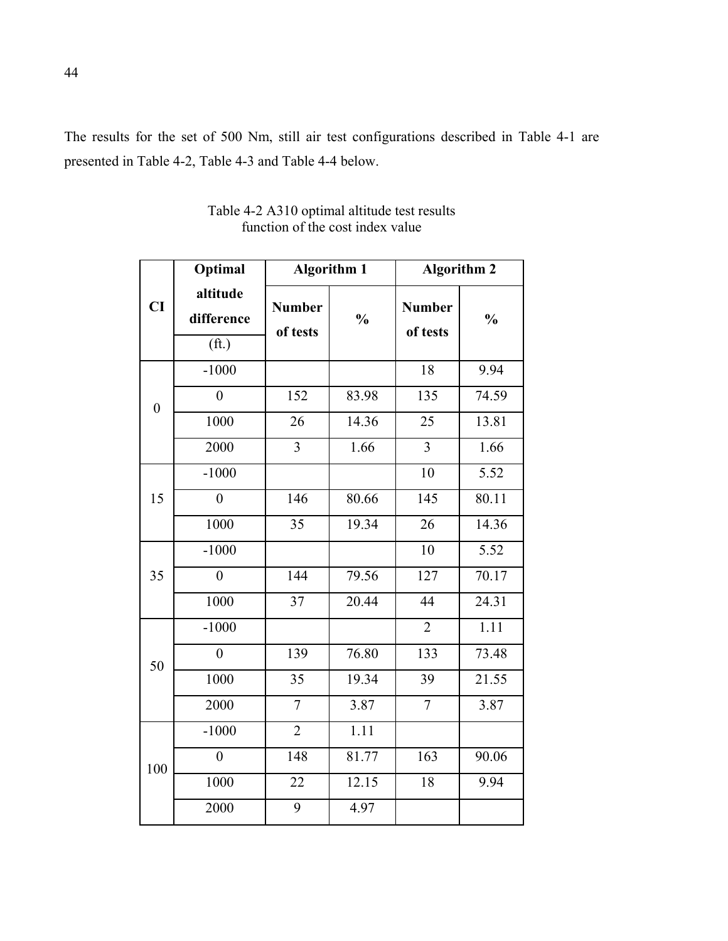The results for the set of 500 Nm, still air test configurations described in Table 4-1 are presented in Table 4-2, Table 4-3 and Table 4-4 below.

|                  | Optimal                                     |                           | <b>Algorithm 1</b> | <b>Algorithm 2</b>        |               |
|------------------|---------------------------------------------|---------------------------|--------------------|---------------------------|---------------|
| CI               | altitude<br>difference<br>(f <sub>t</sub> ) | <b>Number</b><br>of tests | $\frac{0}{0}$      | <b>Number</b><br>of tests | $\frac{0}{0}$ |
|                  | $-1000$                                     |                           |                    | 18                        | 9.94          |
| $\boldsymbol{0}$ | $\overline{0}$                              | 152                       | 83.98              | 135                       | 74.59         |
|                  | 1000                                        | 26                        | 14.36              | 25                        | 13.81         |
|                  | 2000                                        | $\overline{3}$            | 1.66               | $\overline{3}$            | 1.66          |
|                  | $-1000$                                     |                           |                    | 10                        | 5.52          |
| 15               | $\overline{0}$                              | 146                       | 80.66              | 145                       | 80.11         |
|                  | 1000                                        | 35                        | 19.34              | 26                        | 14.36         |
| 35               | $-1000$                                     |                           |                    | 10                        | 5.52          |
|                  | $\boldsymbol{0}$                            | 144                       | 79.56              | 127                       | 70.17         |
|                  | 1000                                        | 37                        | 20.44              | 44                        | 24.31         |
| 50               | $-1000$                                     |                           |                    | $\overline{2}$            | 1.11          |
|                  | $\overline{0}$                              | 139                       | 76.80              | 133                       | 73.48         |
|                  | 1000                                        | 35                        | 19.34              | 39                        | 21.55         |
|                  | 2000                                        | $\overline{7}$            | 3.87               | $\overline{7}$            | 3.87          |
| 100              | $-1000$                                     | $\overline{2}$            | 1.11               |                           |               |
|                  | $\overline{0}$                              | 148                       | 81.77              | 163                       | 90.06         |
|                  | 1000                                        | 22                        | 12.15              | 18                        | 9.94          |
|                  | 2000                                        | $\overline{9}$            | 4.97               |                           |               |

Table 4-2 A310 optimal altitude test results function of the cost index value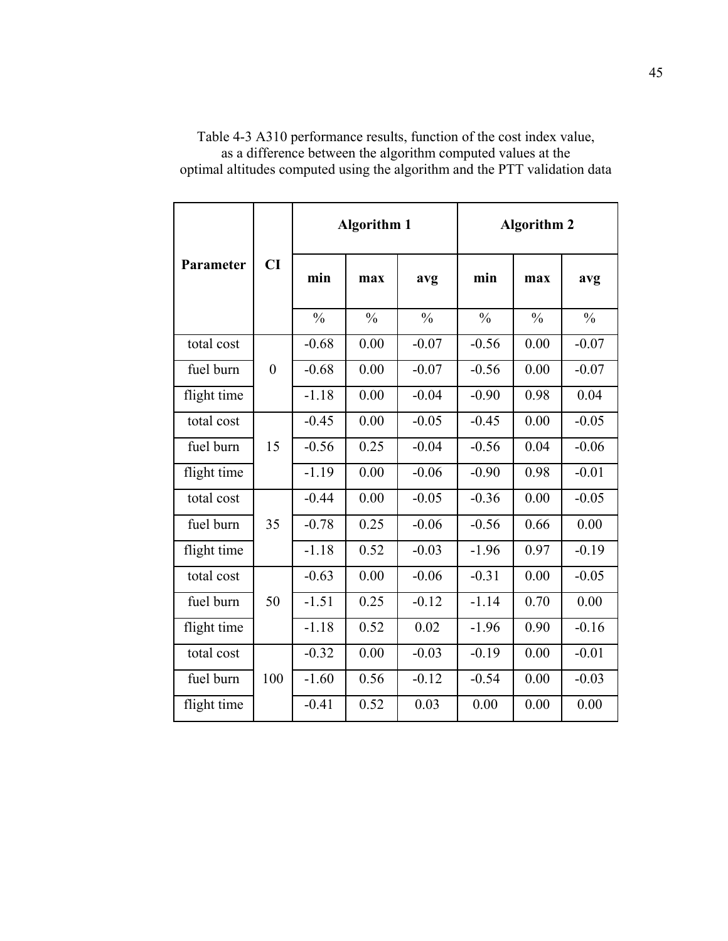| Parameter   | CI             | <b>Algorithm 1</b> |               |               | <b>Algorithm 2</b> |               |               |
|-------------|----------------|--------------------|---------------|---------------|--------------------|---------------|---------------|
|             |                | min                | max           | avg           | min                | max           | avg           |
|             |                | $\frac{0}{0}$      | $\frac{0}{0}$ | $\frac{0}{0}$ | $\frac{0}{0}$      | $\frac{0}{0}$ | $\frac{0}{0}$ |
| total cost  |                | $-0.68$            | 0.00          | $-0.07$       | $-0.56$            | 0.00          | $-0.07$       |
| fuel burn   | $\overline{0}$ | $-0.68$            | 0.00          | $-0.07$       | $-0.56$            | 0.00          | $-0.07$       |
| flight time |                | $-1.18$            | 0.00          | $-0.04$       | $-0.90$            | 0.98          | 0.04          |
| total cost  |                | $-0.45$            | 0.00          | $-0.05$       | $-0.45$            | 0.00          | $-0.05$       |
| fuel burn   | 15             | $-0.56$            | 0.25          | $-0.04$       | $-0.56$            | 0.04          | $-0.06$       |
| flight time |                | $-1.19$            | 0.00          | $-0.06$       | $-0.90$            | 0.98          | $-0.01$       |
| total cost  |                | $-0.44$            | 0.00          | $-0.05$       | $-0.36$            | 0.00          | $-0.05$       |
| fuel burn   | 35             | $-0.78$            | 0.25          | $-0.06$       | $-0.56$            | 0.66          | 0.00          |
| flight time |                | $-1.18$            | 0.52          | $-0.03$       | $-1.96$            | 0.97          | $-0.19$       |
| total cost  |                | $-0.63$            | 0.00          | $-0.06$       | $-0.31$            | 0.00          | $-0.05$       |
| fuel burn   | 50             | $-1.51$            | 0.25          | $-0.12$       | $-1.14$            | 0.70          | 0.00          |
| flight time |                | $-1.18$            | 0.52          | 0.02          | $-1.96$            | 0.90          | $-0.16$       |
| total cost  |                | $-0.32$            | 0.00          | $-0.03$       | $-0.19$            | 0.00          | $-0.01$       |
| fuel burn   | 100            | $-1.60$            | 0.56          | $-0.12$       | $-0.54$            | 0.00          | $-0.03$       |
| flight time |                | $-0.41$            | 0.52          | 0.03          | 0.00               | 0.00          | 0.00          |

Table 4-3 A310 performance results, function of the cost index value, as a difference between the algorithm computed values at the optimal altitudes computed using the algorithm and the PTT validation data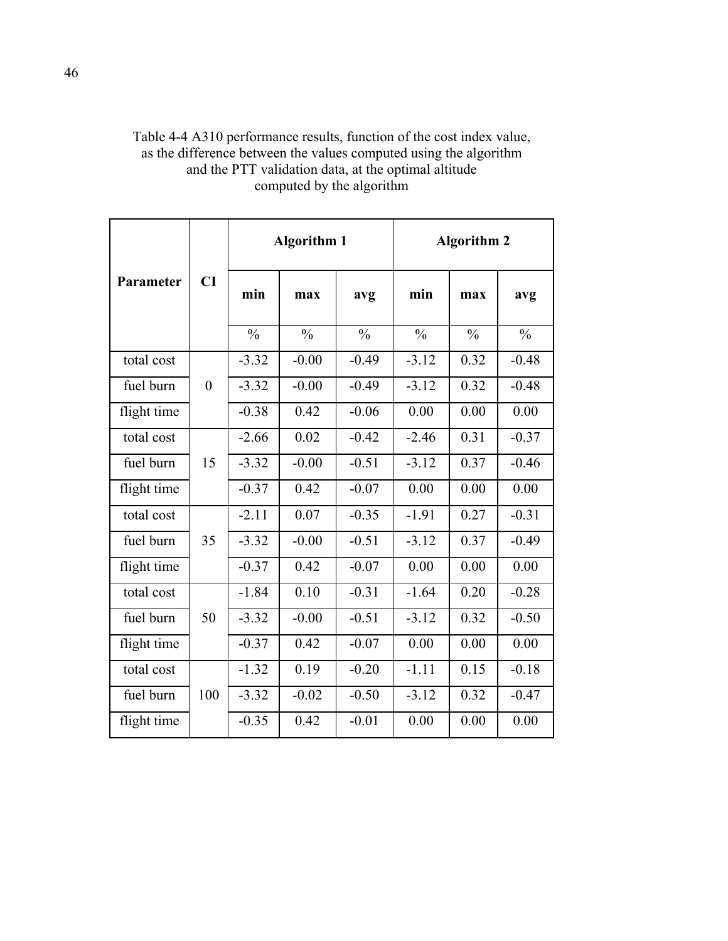| Table 4-4 A310 performance results, function of the cost index value, |
|-----------------------------------------------------------------------|
| as the difference between the values computed using the algorithm     |
| and the PTT validation data, at the optimal altitude                  |
| computed by the algorithm                                             |
|                                                                       |

| Parameter   | CI               | <b>Algorithm 1</b> |               |               | <b>Algorithm 2</b> |               |               |
|-------------|------------------|--------------------|---------------|---------------|--------------------|---------------|---------------|
|             |                  | min                | max           | avg           | min                | max           | avg           |
|             |                  | $\frac{0}{0}$      | $\frac{0}{0}$ | $\frac{0}{0}$ | $\frac{0}{0}$      | $\frac{0}{0}$ | $\frac{0}{0}$ |
| total cost  |                  | $-3.32$            | $-0.00$       | $-0.49$       | $-3.12$            | 0.32          | $-0.48$       |
| fuel burn   | $\boldsymbol{0}$ | $-3.32$            | $-0.00$       | $-0.49$       | $-3.12$            | 0.32          | $-0.48$       |
| flight time |                  | $-0.38$            | 0.42          | $-0.06$       | 0.00               | 0.00          | 0.00          |
| total cost  |                  | $-2.66$            | 0.02          | $-0.42$       | $-2.46$            | 0.31          | $-0.37$       |
| fuel burn   | 15               | $-3.32$            | $-0.00$       | $-0.51$       | $-3.12$            | 0.37          | $-0.46$       |
| flight time |                  | $-0.37$            | 0.42          | $-0.07$       | 0.00               | 0.00          | 0.00          |
| total cost  |                  | $-2.11$            | 0.07          | $-0.35$       | $-1.91$            | 0.27          | $-0.31$       |
| fuel burn   | 35               | $-3.32$            | $-0.00$       | $-0.51$       | $-3.12$            | 0.37          | $-0.49$       |
| flight time |                  | $-0.37$            | 0.42          | $-0.07$       | 0.00               | 0.00          | 0.00          |
| total cost  |                  | $-1.84$            | 0.10          | $-0.31$       | $-1.64$            | 0.20          | $-0.28$       |
| fuel burn   | 50               | $-3.32$            | $-0.00$       | $-0.51$       | $-3.12$            | 0.32          | $-0.50$       |
| flight time |                  | $-0.37$            | 0.42          | $-0.07$       | 0.00               | 0.00          | 0.00          |
| total cost  | 100              | $-1.32$            | 0.19          | $-0.20$       | $-1.11$            | 0.15          | $-0.18$       |
| fuel burn   |                  | $-3.32$            | $-0.02$       | $-0.50$       | $-3.12$            | 0.32          | $-0.47$       |
| flight time |                  | $-0.35$            | 0.42          | $-0.01$       | 0.00               | 0.00          | 0.00          |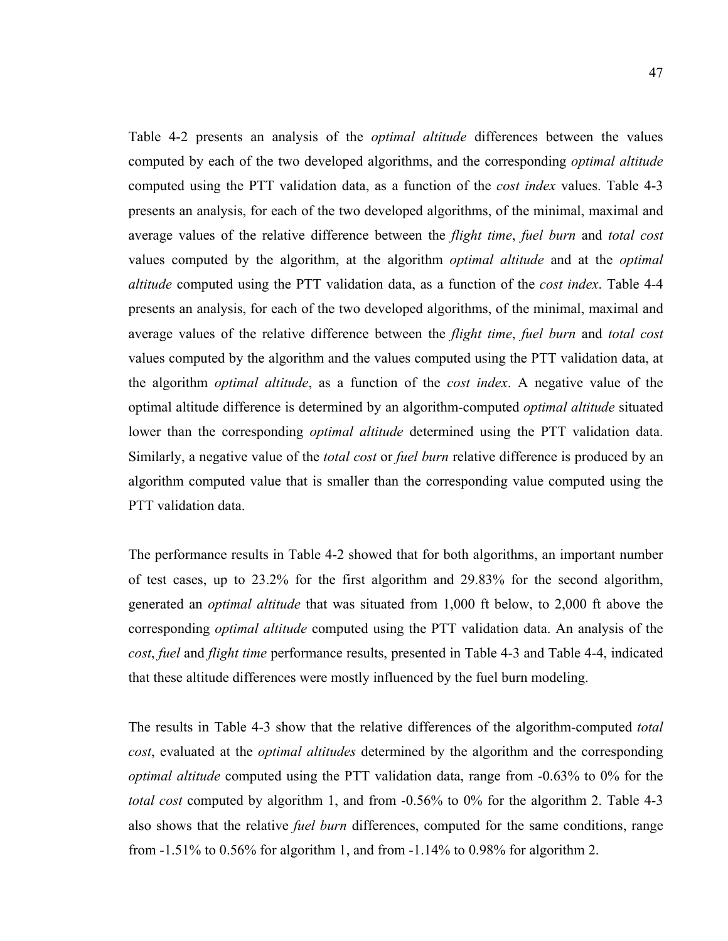Table 4-2 presents an analysis of the *optimal altitude* differences between the values computed by each of the two developed algorithms, and the corresponding *optimal altitude* computed using the PTT validation data, as a function of the *cost index* values. Table 4-3 presents an analysis, for each of the two developed algorithms, of the minimal, maximal and average values of the relative difference between the *flight time*, *fuel burn* and *total cost* values computed by the algorithm, at the algorithm *optimal altitude* and at the *optimal altitude* computed using the PTT validation data, as a function of the *cost index*. Table 4-4 presents an analysis, for each of the two developed algorithms, of the minimal, maximal and average values of the relative difference between the *flight time*, *fuel burn* and *total cost* values computed by the algorithm and the values computed using the PTT validation data, at the algorithm *optimal altitude*, as a function of the *cost index*. A negative value of the optimal altitude difference is determined by an algorithm-computed *optimal altitude* situated lower than the corresponding *optimal altitude* determined using the PTT validation data. Similarly, a negative value of the *total cost* or *fuel burn* relative difference is produced by an algorithm computed value that is smaller than the corresponding value computed using the PTT validation data.

The performance results in Table 4-2 showed that for both algorithms, an important number of test cases, up to 23.2% for the first algorithm and 29.83% for the second algorithm, generated an *optimal altitude* that was situated from 1,000 ft below, to 2,000 ft above the corresponding *optimal altitude* computed using the PTT validation data. An analysis of the *cost*, *fuel* and *flight time* performance results, presented in Table 4-3 and Table 4-4, indicated that these altitude differences were mostly influenced by the fuel burn modeling.

The results in Table 4-3 show that the relative differences of the algorithm-computed *total cost*, evaluated at the *optimal altitudes* determined by the algorithm and the corresponding *optimal altitude* computed using the PTT validation data, range from -0.63% to 0% for the *total cost* computed by algorithm 1, and from -0.56% to 0% for the algorithm 2. Table 4-3 also shows that the relative *fuel burn* differences, computed for the same conditions, range from  $-1.51\%$  to 0.56% for algorithm 1, and from  $-1.14\%$  to 0.98% for algorithm 2.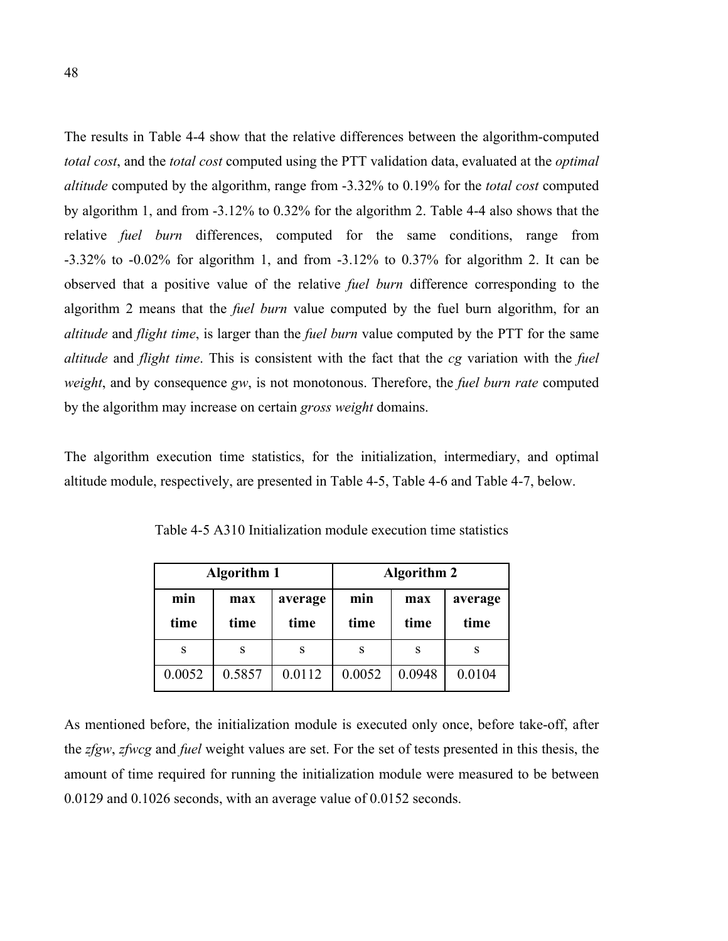The results in Table 4-4 show that the relative differences between the algorithm-computed *total cost*, and the *total cost* computed using the PTT validation data, evaluated at the *optimal altitude* computed by the algorithm, range from -3.32% to 0.19% for the *total cost* computed by algorithm 1, and from -3.12% to 0.32% for the algorithm 2. Table 4-4 also shows that the relative *fuel burn* differences, computed for the same conditions, range from -3.32% to -0.02% for algorithm 1, and from -3.12% to 0.37% for algorithm 2. It can be observed that a positive value of the relative *fuel burn* difference corresponding to the algorithm 2 means that the *fuel burn* value computed by the fuel burn algorithm, for an *altitude* and *flight time*, is larger than the *fuel burn* value computed by the PTT for the same *altitude* and *flight time*. This is consistent with the fact that the *cg* variation with the *fuel weight*, and by consequence *gw*, is not monotonous. Therefore, the *fuel burn rate* computed by the algorithm may increase on certain *gross weight* domains.

The algorithm execution time statistics, for the initialization, intermediary, and optimal altitude module, respectively, are presented in Table 4-5, Table 4-6 and Table 4-7, below.

|             | <b>Algorithm 1</b> |                 | <b>Algorithm 2</b> |             |                 |  |
|-------------|--------------------|-----------------|--------------------|-------------|-----------------|--|
| min<br>time | max<br>time        | average<br>time | min<br>time        | max<br>time | average<br>time |  |
| S           | S                  | S               | S                  | S           | S               |  |
| 0.0052      | 0.5857             | 0.0112          | 0.0052             | 0.0948      | 0.0104          |  |

Table 4-5 A310 Initialization module execution time statistics

As mentioned before, the initialization module is executed only once, before take-off, after the *zfgw*, *zfwcg* and *fuel* weight values are set. For the set of tests presented in this thesis, the amount of time required for running the initialization module were measured to be between 0.0129 and 0.1026 seconds, with an average value of 0.0152 seconds.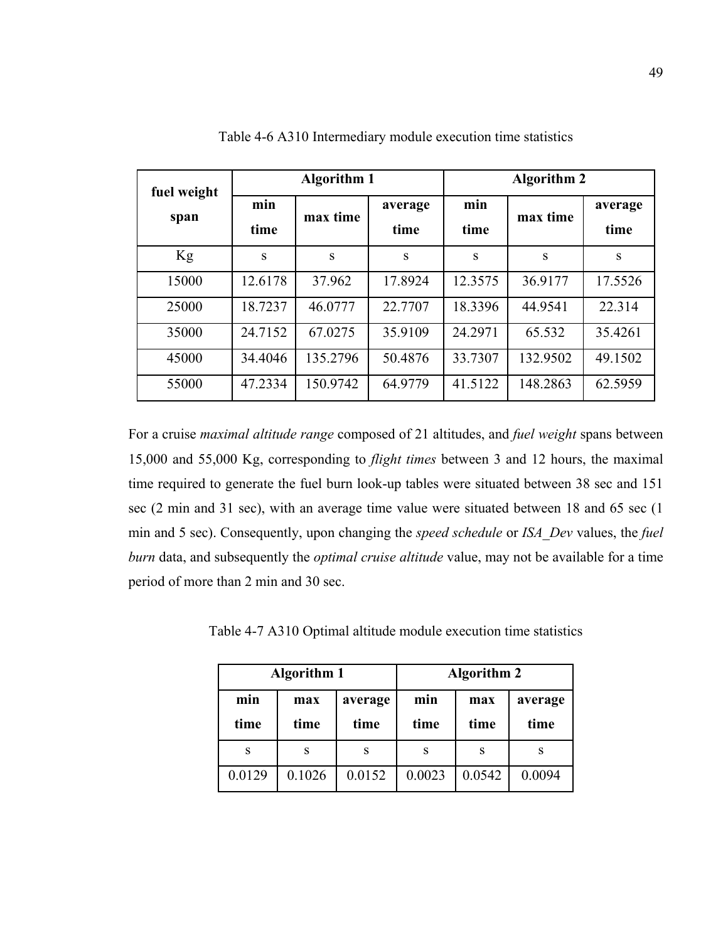| fuel weight<br>span | <b>Algorithm 1</b> |          |                 | <b>Algorithm 2</b> |          |                 |  |
|---------------------|--------------------|----------|-----------------|--------------------|----------|-----------------|--|
|                     | min<br>time        | max time | average<br>time | min<br>time        | max time | average<br>time |  |
| Kg                  | S                  | S        | S               | S                  | S        | S               |  |
| 15000               | 12.6178            | 37.962   | 17.8924         | 12.3575            | 36.9177  | 17.5526         |  |
| 25000               | 18.7237            | 46.0777  | 22,7707         | 18.3396            | 44.9541  | 22.314          |  |
| 35000               | 24.7152            | 67.0275  | 35.9109         | 24.2971            | 65.532   | 35.4261         |  |
| 45000               | 34.4046            | 135.2796 | 50.4876         | 33.7307            | 132.9502 | 49.1502         |  |
| 55000               | 47.2334            | 150.9742 | 64.9779         | 41.5122            | 148.2863 | 62.5959         |  |

Table 4-6 A310 Intermediary module execution time statistics

For a cruise *maximal altitude range* composed of 21 altitudes, and *fuel weight* spans between 15,000 and 55,000 Kg, corresponding to *flight times* between 3 and 12 hours, the maximal time required to generate the fuel burn look-up tables were situated between 38 sec and 151 sec (2 min and 31 sec), with an average time value were situated between 18 and 65 sec (1 min and 5 sec). Consequently, upon changing the *speed schedule* or *ISA\_Dev* values, the *fuel burn* data, and subsequently the *optimal cruise altitude* value, may not be available for a time period of more than 2 min and 30 sec.

Table 4-7 A310 Optimal altitude module execution time statistics

|             | <b>Algorithm 1</b>             |        | <b>Algorithm 2</b> |             |                 |  |
|-------------|--------------------------------|--------|--------------------|-------------|-----------------|--|
| min<br>time | average<br>max<br>time<br>time |        | min<br>time        | max<br>time | average<br>time |  |
| S           | S                              | S      | S                  | S           | S               |  |
| 0.0129      | 0.1026                         | 0.0152 | 0.0023             | 0.0542      | 0.0094          |  |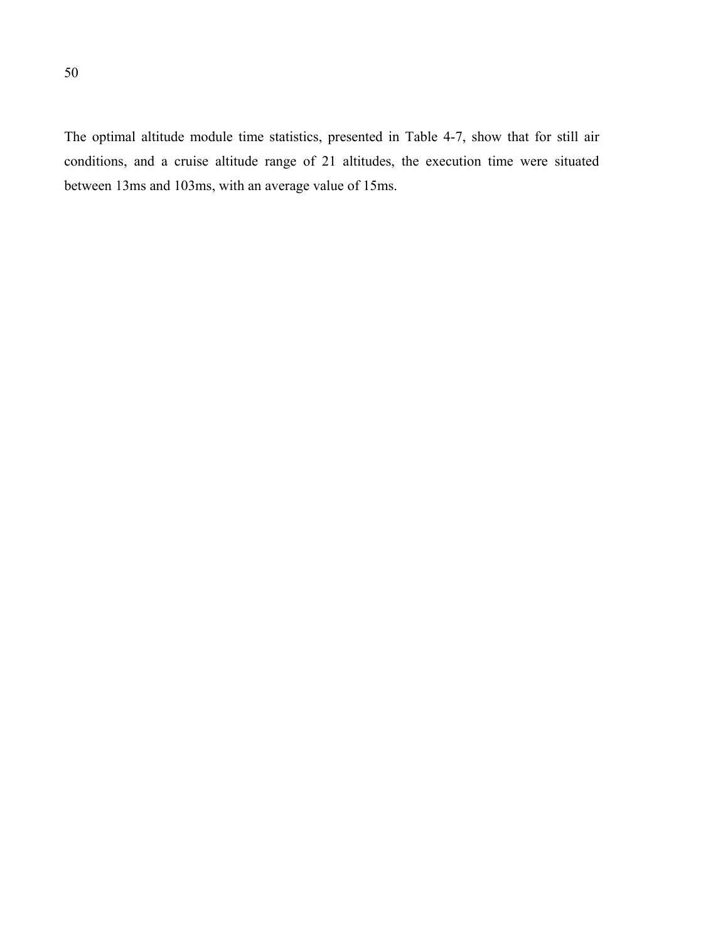The optimal altitude module time statistics, presented in Table 4-7, show that for still air conditions, and a cruise altitude range of 21 altitudes, the execution time were situated between 13ms and 103ms, with an average value of 15ms.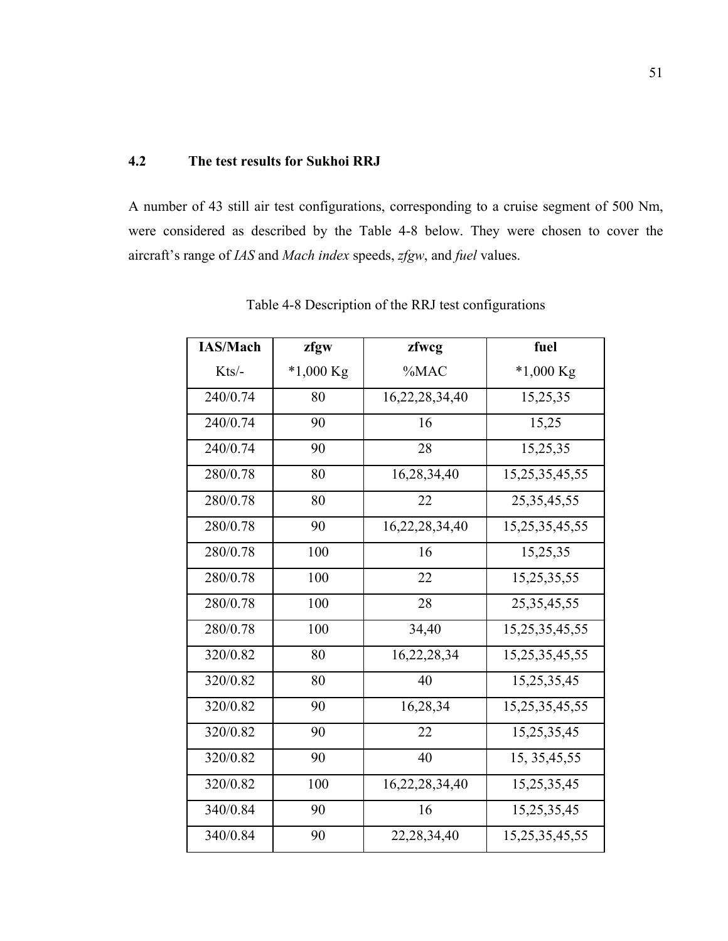# **4.2 The test results for Sukhoi RRJ**

A number of 43 still air test configurations, corresponding to a cruise segment of 500 Nm, were considered as described by the Table 4-8 below. They were chosen to cover the aircraft's range of *IAS* and *Mach index* speeds, *zfgw*, and *fuel* values.

| <b>IAS/Mach</b> | zfgw      | zfwcg          | fuel           |
|-----------------|-----------|----------------|----------------|
| Kts/-           | *1,000 Kg | %MAC           | $*1,000$ Kg    |
| 240/0.74        | 80        | 16,22,28,34,40 | 15,25,35       |
| 240/0.74        | 90        | 16             | 15,25          |
| 240/0.74        | 90        | 28             | 15,25,35       |
| 280/0.78        | 80        | 16,28,34,40    | 15,25,35,45,55 |
| 280/0.78        | 80        | 22             | 25, 35, 45, 55 |
| 280/0.78        | 90        | 16,22,28,34,40 | 15,25,35,45,55 |
| 280/0.78        | 100       | 16             | 15,25,35       |
| 280/0.78        | 100       | 22             | 15,25,35,55    |
| 280/0.78        | 100       | 28             | 25, 35, 45, 55 |
| 280/0.78        | 100       | 34,40          | 15,25,35,45,55 |
| 320/0.82        | 80        | 16,22,28,34    | 15,25,35,45,55 |
| 320/0.82        | 80        | 40             | 15,25,35,45    |
| 320/0.82        | 90        | 16,28,34       | 15,25,35,45,55 |
| 320/0.82        | 90        | 22             | 15,25,35,45    |
| 320/0.82        | 90        | 40             | 15, 35, 45, 55 |
| 320/0.82        | 100       | 16,22,28,34,40 | 15,25,35,45    |
| 340/0.84        | 90        | 16             | 15,25,35,45    |
| 340/0.84        | 90        | 22, 28, 34, 40 | 15,25,35,45,55 |

Table 4-8 Description of the RRJ test configurations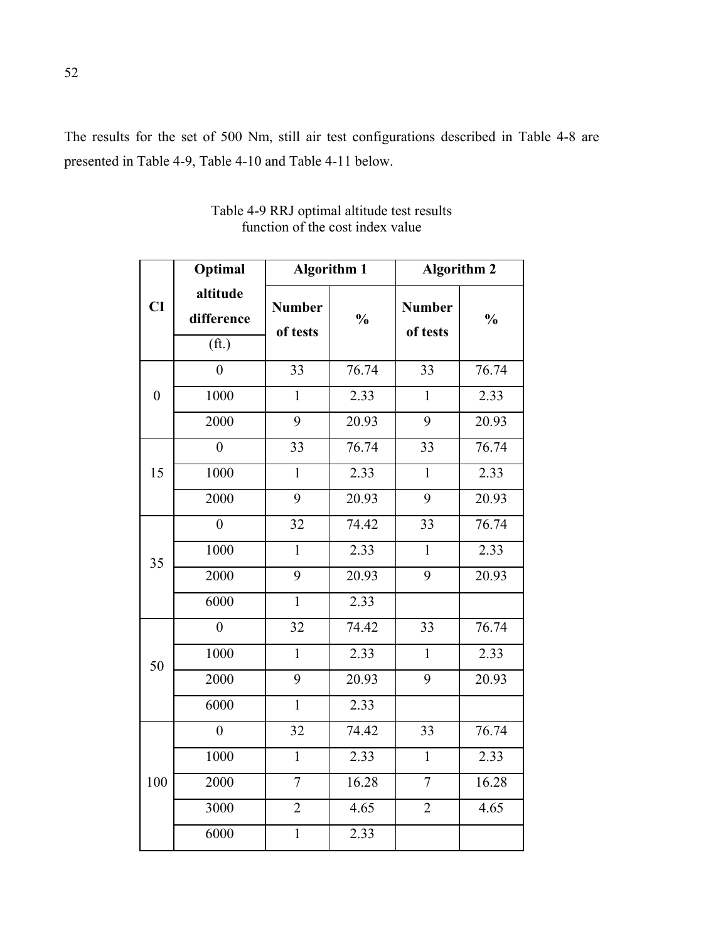The results for the set of 500 Nm, still air test configurations described in Table 4-8 are presented in Table 4-9, Table 4-10 and Table 4-11 below.

|                  | Optimal                                     |                           | <b>Algorithm 1</b> | <b>Algorithm 2</b>        |               |  |
|------------------|---------------------------------------------|---------------------------|--------------------|---------------------------|---------------|--|
| CI               | altitude<br>difference<br>(f <sub>t</sub> ) | <b>Number</b><br>of tests | $\frac{0}{0}$      | <b>Number</b><br>of tests | $\frac{0}{0}$ |  |
|                  | $\overline{0}$                              | 33                        | 76.74              | 33                        | 76.74         |  |
| $\boldsymbol{0}$ | 1000                                        | $\mathbf{1}$              | 2.33               | $\mathbf{1}$              | 2.33          |  |
|                  | 2000                                        | 9                         | 20.93              | 9                         | 20.93         |  |
|                  | $\overline{0}$                              | 33                        | 76.74              | 33                        | 76.74         |  |
| 15               | 1000                                        | $\mathbf{1}$              | $2.\overline{33}$  | $\mathbf{1}$              | 2.33          |  |
|                  | 2000                                        | 9                         | 20.93              | 9                         | 20.93         |  |
|                  | $\boldsymbol{0}$                            | 32                        | 74.42              | 33                        | 76.74         |  |
| 35               | 1000                                        | $\mathbf{1}$              | 2.33               | $\mathbf{1}$              | 2.33          |  |
|                  | 2000                                        | 9                         | 20.93              | 9                         | 20.93         |  |
|                  | 6000                                        | $\mathbf{1}$              | 2.33               |                           |               |  |
|                  | $\overline{0}$                              | 32                        | 74.42              | 33                        | 76.74         |  |
| 50               | 1000                                        | $\mathbf{1}$              | 2.33               | $\mathbf{1}$              | 2.33          |  |
|                  | 2000                                        | 9                         | 20.93              | 9                         | 20.93         |  |
|                  | 6000                                        | $\mathbf{1}$              | 2.33               |                           |               |  |
|                  | $\overline{0}$                              | 32                        | 74.42              | 33                        | 76.74         |  |
|                  | 1000                                        | $\mathbf{1}$              | 2.33               | $\mathbf{1}$              | 2.33          |  |
| 100              | 2000                                        | $\overline{7}$            | 16.28              | $\boldsymbol{7}$          | 16.28         |  |
|                  | 3000                                        | $\overline{2}$            | 4.65               | $\overline{2}$            | 4.65          |  |
|                  | 6000                                        | $\mathbf{1}$              | 2.33               |                           |               |  |

Table 4-9 RRJ optimal altitude test results function of the cost index value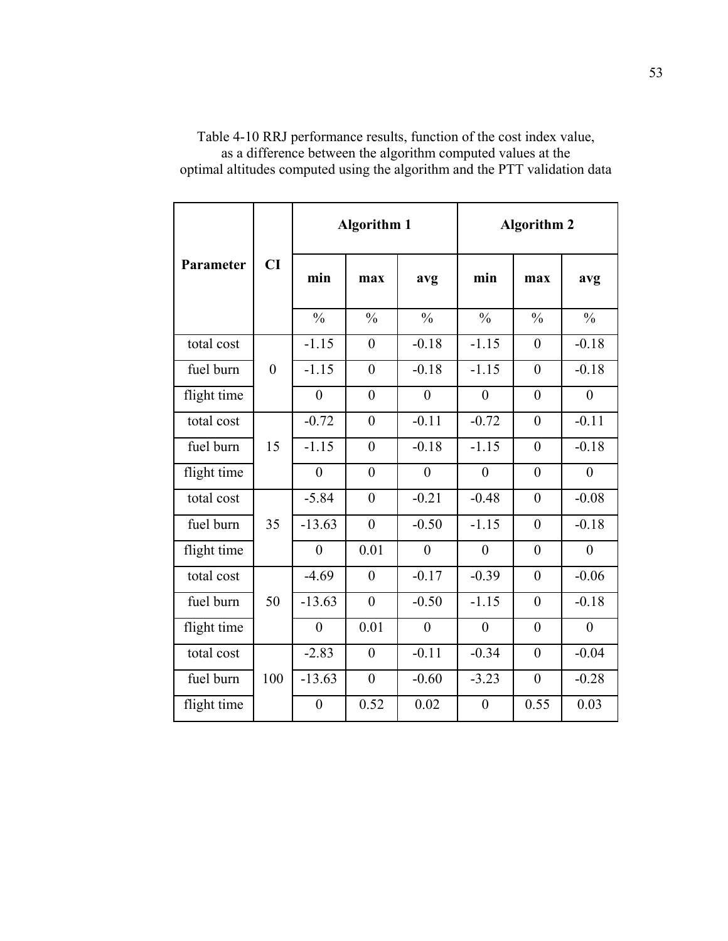|             |                |                  | <b>Algorithm 1</b> |                | <b>Algorithm 2</b> |                |                  |  |
|-------------|----------------|------------------|--------------------|----------------|--------------------|----------------|------------------|--|
| Parameter   | CI             | min              | max                | avg            | min                | max            | avg              |  |
|             |                | $\frac{0}{0}$    | $\frac{0}{0}$      | $\frac{0}{0}$  | $\frac{0}{0}$      | $\frac{0}{0}$  | $\frac{0}{0}$    |  |
| total cost  |                | $-1.15$          | $\mathbf{0}$       | $-0.18$        | $-1.15$            | $\overline{0}$ | $-0.18$          |  |
| fuel burn   | $\overline{0}$ | $-1.15$          | $\overline{0}$     | $-0.18$        | $-1.15$            | $\overline{0}$ | $-0.18$          |  |
| flight time |                | $\overline{0}$   | $\theta$           | $\theta$       | $\overline{0}$     | $\theta$       | $\theta$         |  |
| total cost  |                | $-0.72$          | $\theta$           | $-0.11$        | $-0.72$            | $\theta$       | $-0.11$          |  |
| fuel burn   | 15             | $-1.15$          | $\overline{0}$     | $-0.18$        | $-1.15$            | $\overline{0}$ | $-0.18$          |  |
| flight time |                | $\overline{0}$   | $\overline{0}$     | $\overline{0}$ | $\overline{0}$     | $\overline{0}$ | $\overline{0}$   |  |
| total cost  |                | $-5.84$          | $\overline{0}$     | $-0.21$        | $-0.48$            | $\overline{0}$ | $-0.08$          |  |
| fuel burn   | 35             | $-13.63$         | $\overline{0}$     | $-0.50$        | $-1.15$            | $\overline{0}$ | $-0.18$          |  |
| flight time |                | $\overline{0}$   | 0.01               | $\theta$       | $\overline{0}$     | $\overline{0}$ | $\theta$         |  |
| total cost  |                | $-4.69$          | $\theta$           | $-0.17$        | $-0.39$            | $\theta$       | $-0.06$          |  |
| fuel burn   | 50             | $-13.63$         | $\overline{0}$     | $-0.50$        | $-1.15$            | $\overline{0}$ | $-0.18$          |  |
| flight time |                | $\boldsymbol{0}$ | 0.01               | $\overline{0}$ | $\boldsymbol{0}$   | $\overline{0}$ | $\boldsymbol{0}$ |  |
| total cost  |                | $-2.83$          | $\mathbf{0}$       | $-0.11$        | $-0.34$            | $\overline{0}$ | $-0.04$          |  |
| fuel burn   | 100            | $-13.63$         | $\theta$           | $-0.60$        | $-3.23$            | $\theta$       | $-0.28$          |  |
| flight time |                | $\boldsymbol{0}$ | 0.52               | 0.02           | $\boldsymbol{0}$   | 0.55           | 0.03             |  |

Table 4-10 RRJ performance results, function of the cost index value, as a difference between the algorithm computed values at the optimal altitudes computed using the algorithm and the PTT validation data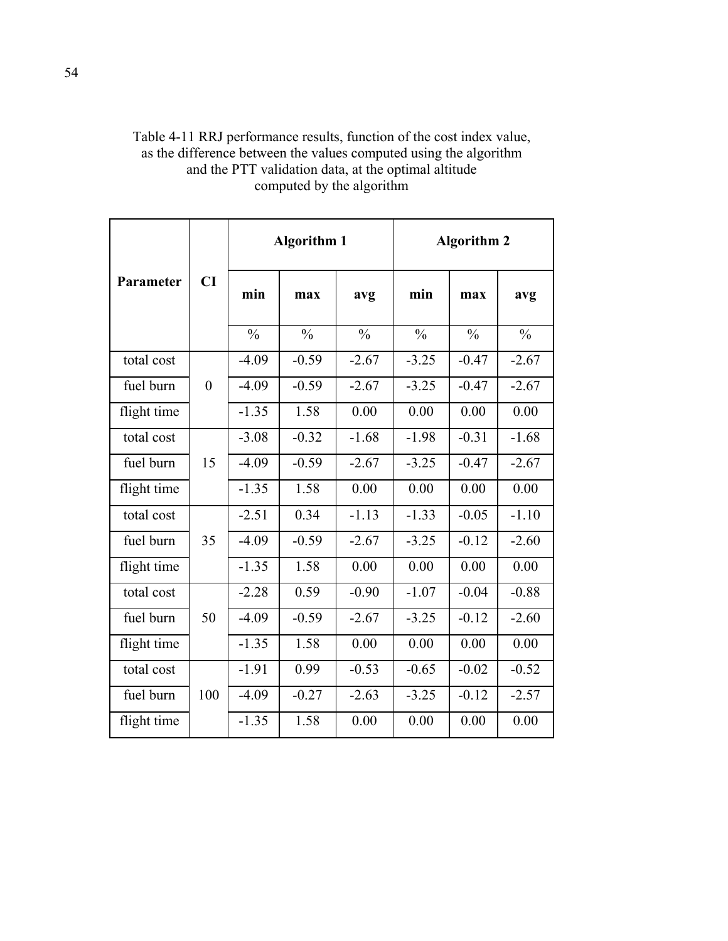| Table 4-11 RRJ performance results, function of the cost index value, |
|-----------------------------------------------------------------------|
| as the difference between the values computed using the algorithm     |
| and the PTT validation data, at the optimal altitude                  |
| computed by the algorithm                                             |
|                                                                       |

|             |                  | <b>Algorithm 1</b> |               |               | <b>Algorithm 2</b> |               |               |
|-------------|------------------|--------------------|---------------|---------------|--------------------|---------------|---------------|
| Parameter   | CI               | min                | max           | avg           | min                | max           | avg           |
|             |                  | $\frac{0}{0}$      | $\frac{0}{0}$ | $\frac{0}{0}$ | $\frac{0}{0}$      | $\frac{0}{0}$ | $\frac{0}{0}$ |
| total cost  |                  | $-4.09$            | $-0.59$       | $-2.67$       | $-3.25$            | $-0.47$       | $-2.67$       |
| fuel burn   | $\boldsymbol{0}$ | $-4.09$            | $-0.59$       | $-2.67$       | $-3.25$            | $-0.47$       | $-2.67$       |
| flight time |                  | $-1.35$            | 1.58          | 0.00          | 0.00               | 0.00          | 0.00          |
| total cost  |                  | $-3.08$            | $-0.32$       | $-1.68$       | $-1.98$            | $-0.31$       | $-1.68$       |
| fuel burn   | 15               | $-4.09$            | $-0.59$       | $-2.67$       | $-3.25$            | $-0.47$       | $-2.67$       |
| flight time |                  | $-1.35$            | 1.58          | 0.00          | 0.00               | 0.00          | 0.00          |
| total cost  |                  | $-2.51$            | 0.34          | $-1.13$       | $-1.33$            | $-0.05$       | $-1.10$       |
| fuel burn   | 35               | $-4.09$            | $-0.59$       | $-2.67$       | $-3.25$            | $-0.12$       | $-2.60$       |
| flight time |                  | $-1.35$            | 1.58          | 0.00          | 0.00               | 0.00          | 0.00          |
| total cost  |                  | $-2.28$            | 0.59          | $-0.90$       | $-1.07$            | $-0.04$       | $-0.88$       |
| fuel burn   | 50               | $-4.09$            | $-0.59$       | $-2.67$       | $-3.25$            | $-0.12$       | $-2.60$       |
| flight time |                  | $-1.35$            | 1.58          | 0.00          | 0.00               | 0.00          | 0.00          |
| total cost  |                  | $-1.91$            | 0.99          | $-0.53$       | $-0.65$            | $-0.02$       | $-0.52$       |
| fuel burn   | 100              | $-4.09$            | $-0.27$       | $-2.63$       | $-3.25$            | $-0.12$       | $-2.57$       |
| flight time |                  | $-1.35$            | 1.58          | 0.00          | 0.00               | 0.00          | 0.00          |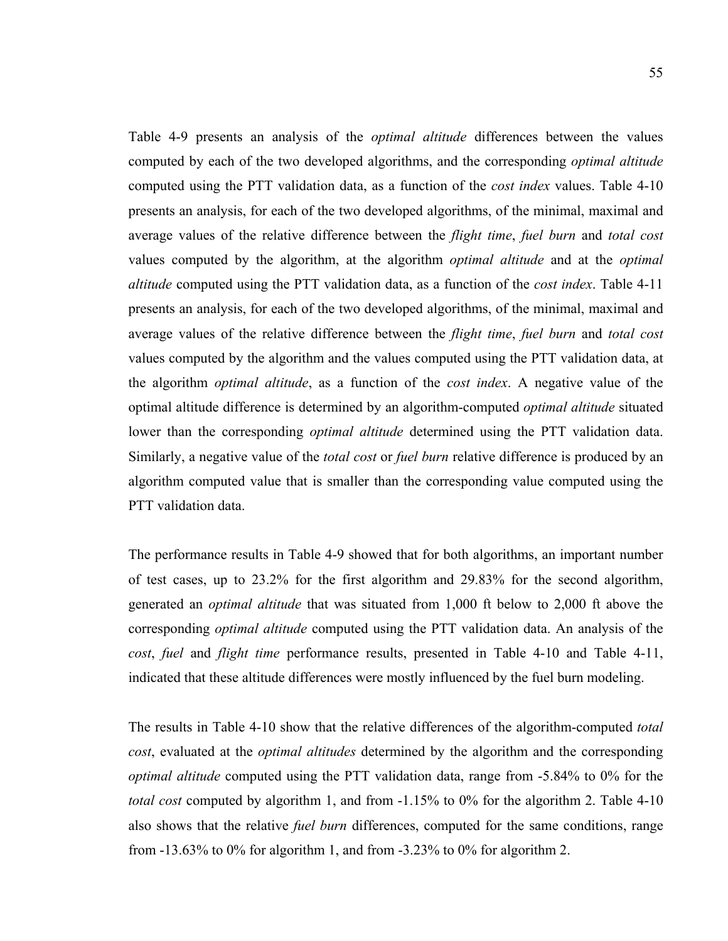Table 4-9 presents an analysis of the *optimal altitude* differences between the values computed by each of the two developed algorithms, and the corresponding *optimal altitude* computed using the PTT validation data, as a function of the *cost index* values. Table 4-10 presents an analysis, for each of the two developed algorithms, of the minimal, maximal and average values of the relative difference between the *flight time*, *fuel burn* and *total cost* values computed by the algorithm, at the algorithm *optimal altitude* and at the *optimal altitude* computed using the PTT validation data, as a function of the *cost index*. Table 4-11 presents an analysis, for each of the two developed algorithms, of the minimal, maximal and average values of the relative difference between the *flight time*, *fuel burn* and *total cost* values computed by the algorithm and the values computed using the PTT validation data, at the algorithm *optimal altitude*, as a function of the *cost index*. A negative value of the optimal altitude difference is determined by an algorithm-computed *optimal altitude* situated lower than the corresponding *optimal altitude* determined using the PTT validation data. Similarly, a negative value of the *total cost* or *fuel burn* relative difference is produced by an algorithm computed value that is smaller than the corresponding value computed using the PTT validation data.

The performance results in Table 4-9 showed that for both algorithms, an important number of test cases, up to 23.2% for the first algorithm and 29.83% for the second algorithm, generated an *optimal altitude* that was situated from 1,000 ft below to 2,000 ft above the corresponding *optimal altitude* computed using the PTT validation data. An analysis of the *cost*, *fuel* and *flight time* performance results, presented in Table 4-10 and Table 4-11, indicated that these altitude differences were mostly influenced by the fuel burn modeling.

The results in Table 4-10 show that the relative differences of the algorithm-computed *total cost*, evaluated at the *optimal altitudes* determined by the algorithm and the corresponding *optimal altitude* computed using the PTT validation data, range from -5.84% to 0% for the *total cost* computed by algorithm 1, and from -1.15% to 0% for the algorithm 2. Table 4-10 also shows that the relative *fuel burn* differences, computed for the same conditions, range from -13.63% to 0% for algorithm 1, and from -3.23% to 0% for algorithm 2.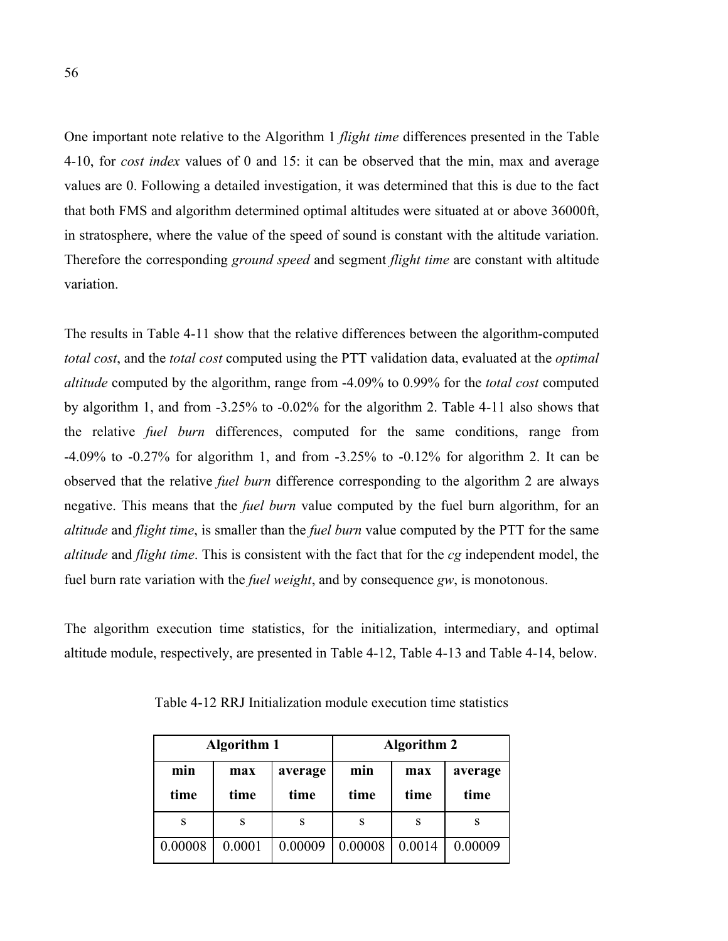One important note relative to the Algorithm 1 *flight time* differences presented in the Table 4-10, for *cost index* values of 0 and 15: it can be observed that the min, max and average values are 0. Following a detailed investigation, it was determined that this is due to the fact that both FMS and algorithm determined optimal altitudes were situated at or above 36000ft, in stratosphere, where the value of the speed of sound is constant with the altitude variation. Therefore the corresponding *ground speed* and segment *flight time* are constant with altitude variation.

The results in Table 4-11 show that the relative differences between the algorithm-computed *total cost*, and the *total cost* computed using the PTT validation data, evaluated at the *optimal altitude* computed by the algorithm, range from -4.09% to 0.99% for the *total cost* computed by algorithm 1, and from -3.25% to -0.02% for the algorithm 2. Table 4-11 also shows that the relative *fuel burn* differences, computed for the same conditions, range from -4.09% to -0.27% for algorithm 1, and from -3.25% to -0.12% for algorithm 2. It can be observed that the relative *fuel burn* difference corresponding to the algorithm 2 are always negative. This means that the *fuel burn* value computed by the fuel burn algorithm, for an *altitude* and *flight time*, is smaller than the *fuel burn* value computed by the PTT for the same *altitude* and *flight time*. This is consistent with the fact that for the *cg* independent model, the fuel burn rate variation with the *fuel weight*, and by consequence *gw*, is monotonous.

The algorithm execution time statistics, for the initialization, intermediary, and optimal altitude module, respectively, are presented in Table 4-12, Table 4-13 and Table 4-14, below.

|             | <b>Algorithm 1</b>             |         | <b>Algorithm 2</b> |             |                 |  |
|-------------|--------------------------------|---------|--------------------|-------------|-----------------|--|
| min<br>time | average<br>max<br>time<br>time |         | min<br>time        | max<br>time | average<br>time |  |
| S           | S                              | S       | S                  |             |                 |  |
| 0.00008     | 0.0001                         | 0.00009 | 0.00008            | 0.0014      | 0.00009         |  |

Table 4-12 RRJ Initialization module execution time statistics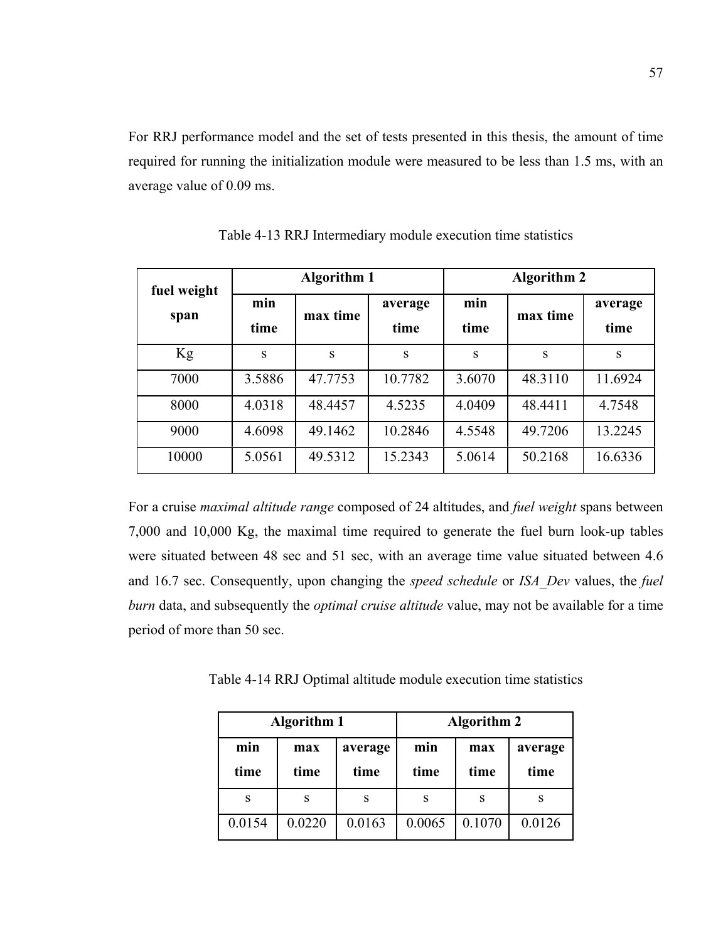For RRJ performance model and the set of tests presented in this thesis, the amount of time required for running the initialization module were measured to be less than 1.5 ms, with an average value of 0.09 ms.

| fuel weight |             | <b>Algorithm 1</b> |                 | <b>Algorithm 2</b> |          |                 |  |
|-------------|-------------|--------------------|-----------------|--------------------|----------|-----------------|--|
| span        | min<br>time | max time           | average<br>time | min<br>time        | max time | average<br>time |  |
| Kg          | S           | S                  | S               | S                  | S        | S               |  |
| 7000        | 3.5886      | 47.7753            | 10.7782         | 3.6070             | 48.3110  | 11.6924         |  |
| 8000        | 4.0318      | 48.4457            | 4.5235          | 4.0409             | 48.4411  | 4.7548          |  |
| 9000        | 4.6098      | 49.1462            | 10.2846         | 4.5548             | 49.7206  | 13.2245         |  |
| 10000       | 5.0561      | 49.5312            | 15.2343         | 5.0614             | 50.2168  | 16.6336         |  |

Table 4-13 RRJ Intermediary module execution time statistics

For a cruise *maximal altitude range* composed of 24 altitudes, and *fuel weight* spans between 7,000 and 10,000 Kg, the maximal time required to generate the fuel burn look-up tables were situated between 48 sec and 51 sec, with an average time value situated between 4.6 and 16.7 sec. Consequently, upon changing the *speed schedule* or *ISA\_Dev* values, the *fuel burn* data, and subsequently the *optimal cruise altitude* value, may not be available for a time period of more than 50 sec.

Table 4-14 RRJ Optimal altitude module execution time statistics

|             | <b>Algorithm 1</b> |                 | <b>Algorithm 2</b> |             |                 |  |
|-------------|--------------------|-----------------|--------------------|-------------|-----------------|--|
| min<br>time | max<br>time        | average<br>time | min<br>time        | max<br>time | average<br>time |  |
| S           | S                  | S               | S                  | S           |                 |  |
| 0.0154      | 0.0220             | 0.0163          | 0.0065             | 0.1070      | 0.0126          |  |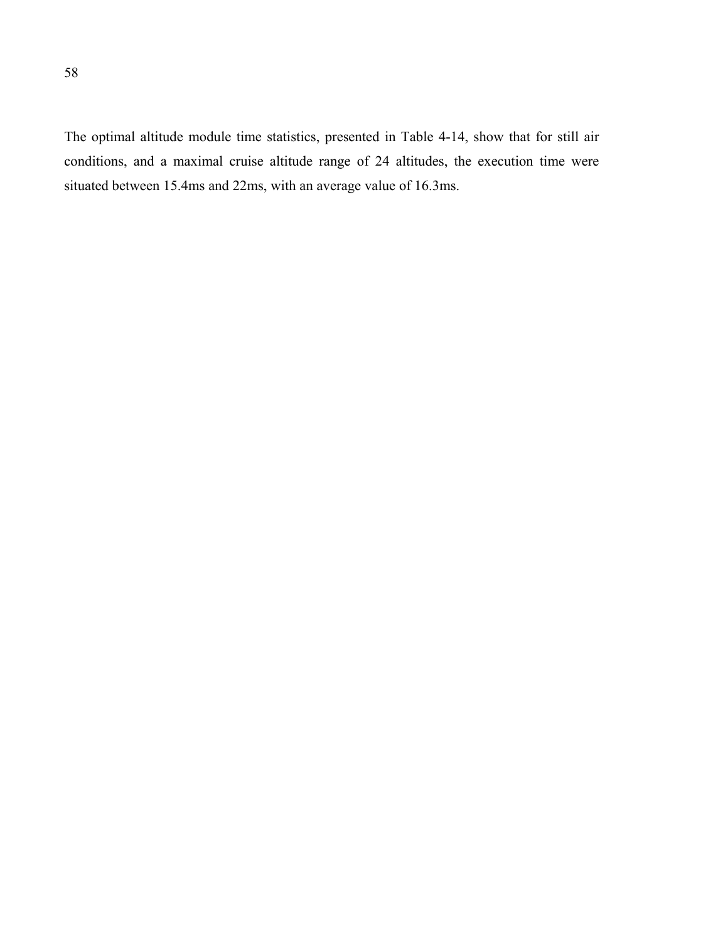The optimal altitude module time statistics, presented in Table 4-14, show that for still air conditions, and a maximal cruise altitude range of 24 altitudes, the execution time were situated between 15.4ms and 22ms, with an average value of 16.3ms.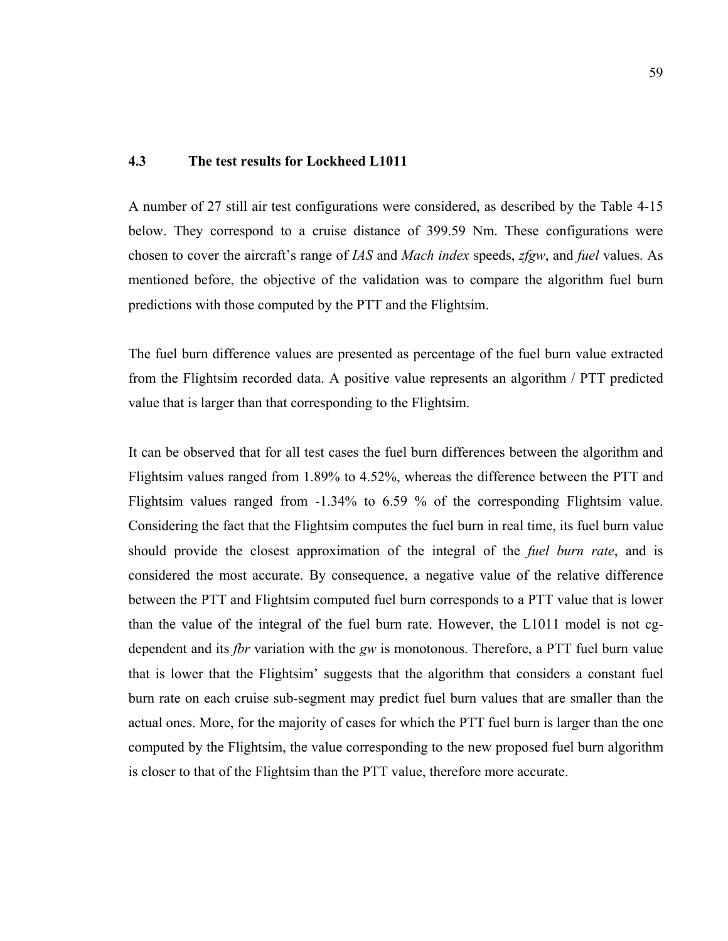#### **4.3 The test results for Lockheed L1011**

A number of 27 still air test configurations were considered, as described by the Table 4-15 below. They correspond to a cruise distance of 399.59 Nm. These configurations were chosen to cover the aircraft's range of *IAS* and *Mach index* speeds, *zfgw*, and *fuel* values. As mentioned before, the objective of the validation was to compare the algorithm fuel burn predictions with those computed by the PTT and the Flightsim.

The fuel burn difference values are presented as percentage of the fuel burn value extracted from the Flightsim recorded data. A positive value represents an algorithm / PTT predicted value that is larger than that corresponding to the Flightsim.

It can be observed that for all test cases the fuel burn differences between the algorithm and Flightsim values ranged from 1.89% to 4.52%, whereas the difference between the PTT and Flightsim values ranged from -1.34% to 6.59 % of the corresponding Flightsim value. Considering the fact that the Flightsim computes the fuel burn in real time, its fuel burn value should provide the closest approximation of the integral of the *fuel burn rate*, and is considered the most accurate. By consequence, a negative value of the relative difference between the PTT and Flightsim computed fuel burn corresponds to a PTT value that is lower than the value of the integral of the fuel burn rate. However, the L1011 model is not cgdependent and its *fbr* variation with the *gw* is monotonous. Therefore, a PTT fuel burn value that is lower that the Flightsim' suggests that the algorithm that considers a constant fuel burn rate on each cruise sub-segment may predict fuel burn values that are smaller than the actual ones. More, for the majority of cases for which the PTT fuel burn is larger than the one computed by the Flightsim, the value corresponding to the new proposed fuel burn algorithm is closer to that of the Flightsim than the PTT value, therefore more accurate.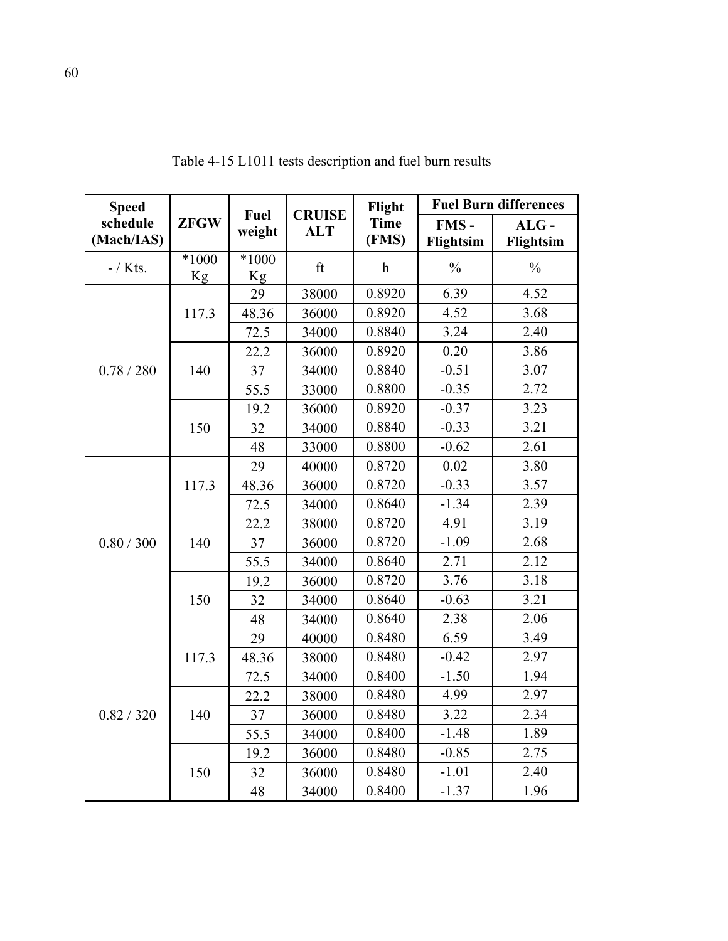| <b>Speed</b>           |               | Fuel                 | <b>CRUISE</b> | Flight               | <b>Fuel Burn differences</b> |                      |  |
|------------------------|---------------|----------------------|---------------|----------------------|------------------------------|----------------------|--|
| schedule<br>(Mach/IAS) | <b>ZFGW</b>   | weight               | <b>ALT</b>    | <b>Time</b><br>(FMS) | FMS-<br>Flightsim            | $ALG -$<br>Flightsim |  |
| $-$ / Kts.             | $*1000$<br>Kg | $*1000$<br><b>Kg</b> | ft            | $\mathbf h$          | $\frac{0}{0}$                | $\frac{0}{0}$        |  |
|                        |               | 29                   | 38000         | 0.8920               | 6.39                         | 4.52                 |  |
|                        | 117.3         | 48.36                | 36000         | 0.8920               | 4.52                         | 3.68                 |  |
|                        |               | 72.5                 | 34000         | 0.8840               | 3.24                         | 2.40                 |  |
|                        |               | 22.2                 | 36000         | 0.8920               | 0.20                         | 3.86                 |  |
| 0.78 / 280             | 140           | 37                   | 34000         | 0.8840               | $-0.51$                      | 3.07                 |  |
|                        |               | 55.5                 | 33000         | 0.8800               | $-0.35$                      | 2.72                 |  |
|                        |               | 19.2                 | 36000         | 0.8920               | $-0.37$                      | 3.23                 |  |
|                        | 150           | 32                   | 34000         | 0.8840               | $-0.33$                      | 3.21                 |  |
|                        |               | 48                   | 33000         | 0.8800               | $-0.62$                      | 2.61                 |  |
|                        | 117.3         | 29                   | 40000         | 0.8720               | 0.02                         | 3.80                 |  |
|                        |               | 48.36                | 36000         | 0.8720               | $-0.33$                      | 3.57                 |  |
|                        |               | 72.5                 | 34000         | 0.8640               | $-1.34$                      | 2.39                 |  |
|                        |               | 22.2                 | 38000         | 0.8720               | 4.91                         | 3.19                 |  |
| 0.80 / 300             | 140           | 37                   | 36000         | 0.8720               | $-1.09$                      | 2.68                 |  |
|                        |               | 55.5                 | 34000         | 0.8640               | 2.71                         | 2.12                 |  |
|                        | 150           | 19.2                 | 36000         | 0.8720               | 3.76                         | 3.18                 |  |
|                        |               | 32                   | 34000         | 0.8640               | $-0.63$                      | 3.21                 |  |
|                        |               | 48                   | 34000         | 0.8640               | 2.38                         | 2.06                 |  |
|                        |               | 29                   | 40000         | 0.8480               | 6.59                         | 3.49                 |  |
|                        | 117.3         | 48.36                | 38000         | 0.8480               | $-0.42$                      | 2.97                 |  |
|                        |               | 72.5                 | 34000         | 0.8400               | $-1.50$                      | 1.94                 |  |
|                        |               | 22.2                 | 38000         | 0.8480               | 4.99                         | 2.97                 |  |
| 0.82 / 320             | 140           | 37                   | 36000         | 0.8480               | 3.22                         | 2.34                 |  |
|                        |               | 55.5                 | 34000         | 0.8400               | $-1.48$                      | 1.89                 |  |
|                        |               | 19.2                 | 36000         | 0.8480               | $-0.85$                      | 2.75                 |  |
|                        | 150           | 32                   | 36000         | 0.8480               | $-1.01$                      | 2.40                 |  |
|                        |               | 48                   | 34000         | 0.8400               | $-1.37$                      | 1.96                 |  |

Table 4-15 L1011 tests description and fuel burn results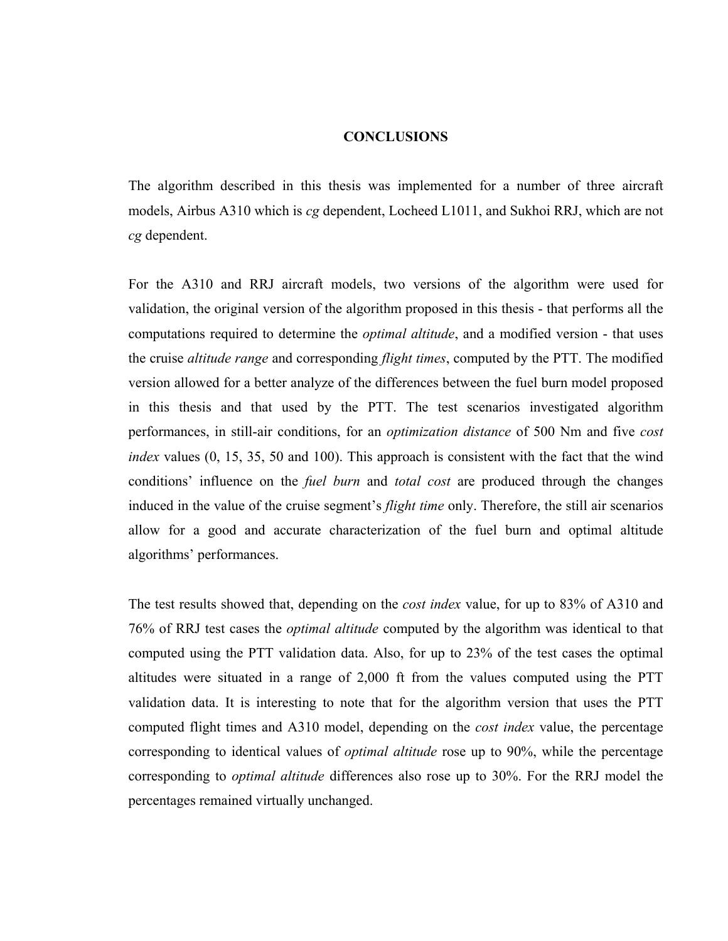### **CONCLUSIONS**

The algorithm described in this thesis was implemented for a number of three aircraft models, Airbus A310 which is *cg* dependent, Locheed L1011, and Sukhoi RRJ, which are not *cg* dependent.

For the A310 and RRJ aircraft models, two versions of the algorithm were used for validation, the original version of the algorithm proposed in this thesis - that performs all the computations required to determine the *optimal altitude*, and a modified version - that uses the cruise *altitude range* and corresponding *flight times*, computed by the PTT. The modified version allowed for a better analyze of the differences between the fuel burn model proposed in this thesis and that used by the PTT. The test scenarios investigated algorithm performances, in still-air conditions, for an *optimization distance* of 500 Nm and five *cost index* values (0, 15, 35, 50 and 100). This approach is consistent with the fact that the wind conditions' influence on the *fuel burn* and *total cost* are produced through the changes induced in the value of the cruise segment's *flight time* only. Therefore, the still air scenarios allow for a good and accurate characterization of the fuel burn and optimal altitude algorithms' performances.

The test results showed that, depending on the *cost index* value, for up to 83% of A310 and 76% of RRJ test cases the *optimal altitude* computed by the algorithm was identical to that computed using the PTT validation data. Also, for up to 23% of the test cases the optimal altitudes were situated in a range of 2,000 ft from the values computed using the PTT validation data. It is interesting to note that for the algorithm version that uses the PTT computed flight times and A310 model, depending on the *cost index* value, the percentage corresponding to identical values of *optimal altitude* rose up to 90%, while the percentage corresponding to *optimal altitude* differences also rose up to 30%. For the RRJ model the percentages remained virtually unchanged.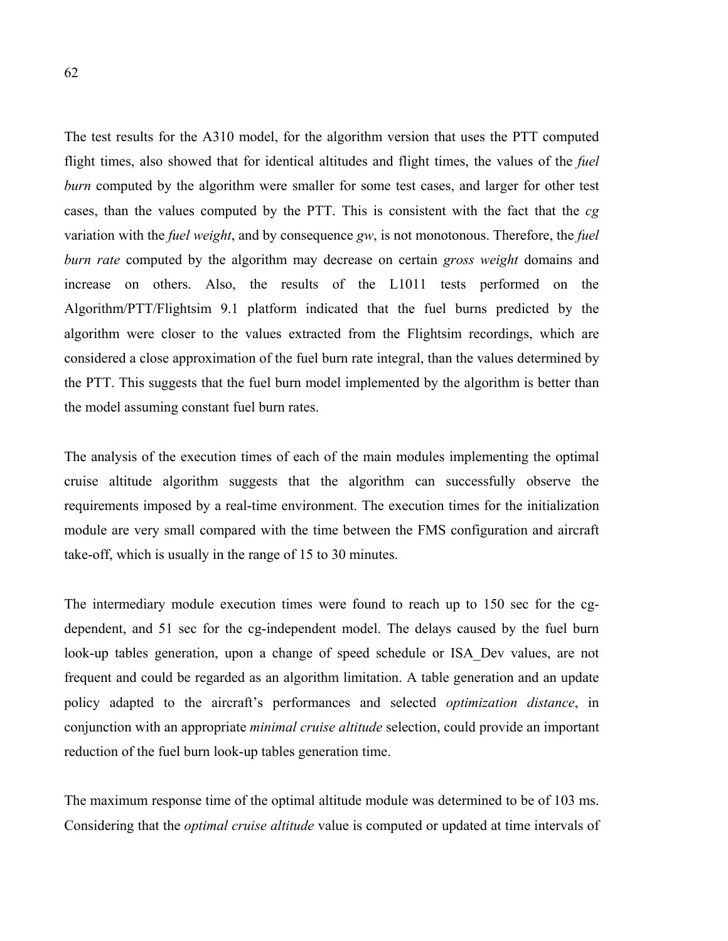The test results for the A310 model, for the algorithm version that uses the PTT computed flight times, also showed that for identical altitudes and flight times, the values of the *fuel burn* computed by the algorithm were smaller for some test cases, and larger for other test cases, than the values computed by the PTT. This is consistent with the fact that the *cg* variation with the *fuel weight*, and by consequence *gw*, is not monotonous. Therefore, the *fuel burn rate* computed by the algorithm may decrease on certain *gross weight* domains and increase on others. Also, the results of the L1011 tests performed on the Algorithm/PTT/Flightsim 9.1 platform indicated that the fuel burns predicted by the algorithm were closer to the values extracted from the Flightsim recordings, which are considered a close approximation of the fuel burn rate integral, than the values determined by the PTT. This suggests that the fuel burn model implemented by the algorithm is better than the model assuming constant fuel burn rates.

The analysis of the execution times of each of the main modules implementing the optimal cruise altitude algorithm suggests that the algorithm can successfully observe the requirements imposed by a real-time environment. The execution times for the initialization module are very small compared with the time between the FMS configuration and aircraft take-off, which is usually in the range of 15 to 30 minutes.

The intermediary module execution times were found to reach up to 150 sec for the cgdependent, and 51 sec for the cg-independent model. The delays caused by the fuel burn look-up tables generation, upon a change of speed schedule or ISA Dev values, are not frequent and could be regarded as an algorithm limitation. A table generation and an update policy adapted to the aircraft's performances and selected *optimization distance*, in conjunction with an appropriate *minimal cruise altitude* selection, could provide an important reduction of the fuel burn look-up tables generation time.

The maximum response time of the optimal altitude module was determined to be of 103 ms. Considering that the *optimal cruise altitude* value is computed or updated at time intervals of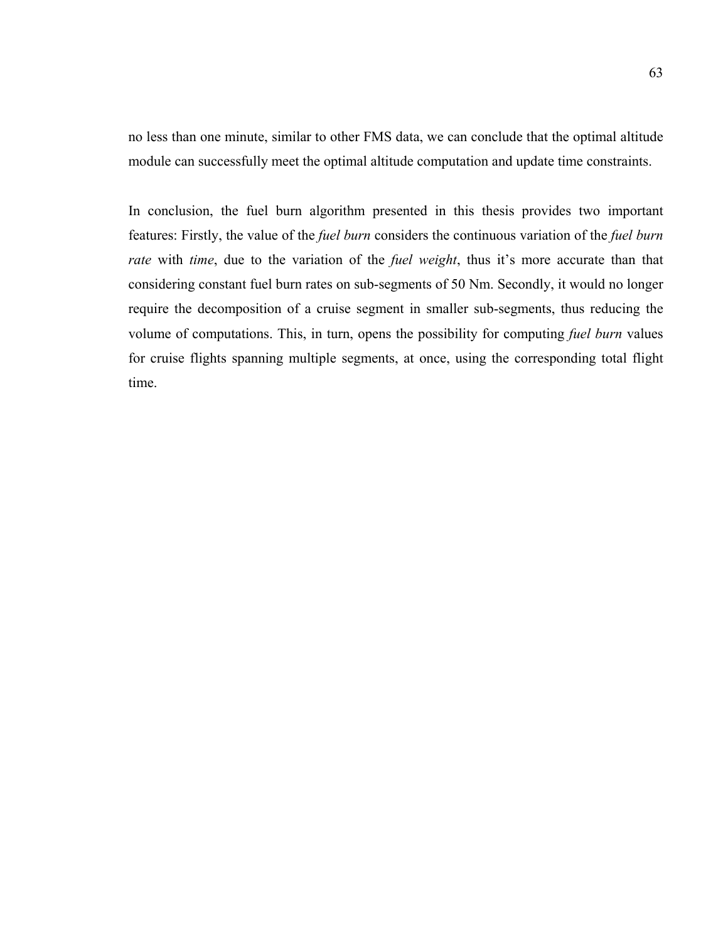no less than one minute, similar to other FMS data, we can conclude that the optimal altitude module can successfully meet the optimal altitude computation and update time constraints.

In conclusion, the fuel burn algorithm presented in this thesis provides two important features: Firstly, the value of the *fuel burn* considers the continuous variation of the *fuel burn rate* with *time*, due to the variation of the *fuel weight*, thus it's more accurate than that considering constant fuel burn rates on sub-segments of 50 Nm. Secondly, it would no longer require the decomposition of a cruise segment in smaller sub-segments, thus reducing the volume of computations. This, in turn, opens the possibility for computing *fuel burn* values for cruise flights spanning multiple segments, at once, using the corresponding total flight time.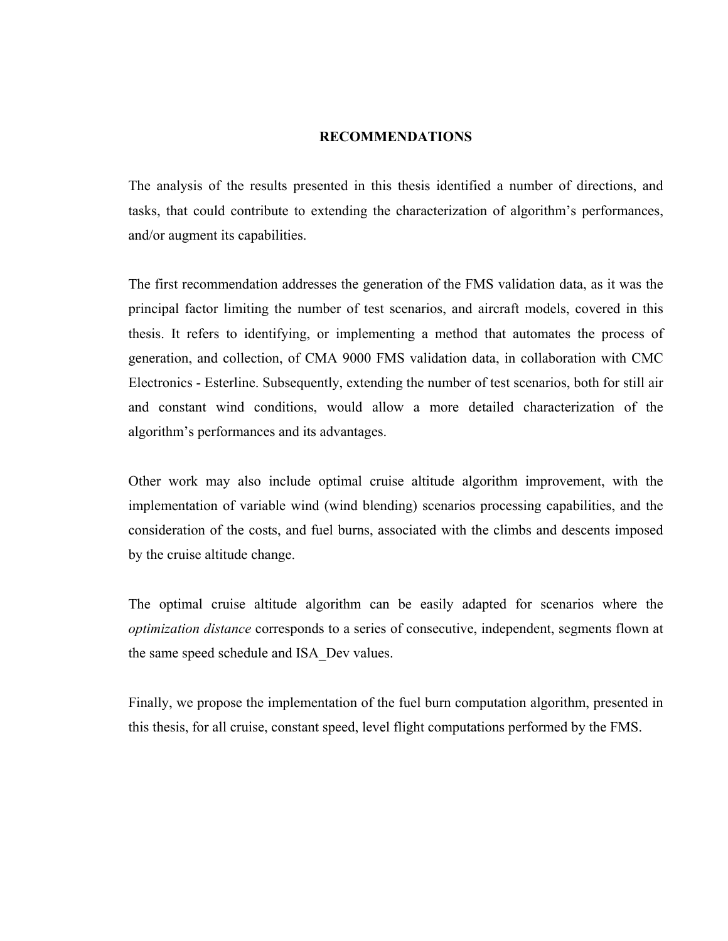### **RECOMMENDATIONS**

The analysis of the results presented in this thesis identified a number of directions, and tasks, that could contribute to extending the characterization of algorithm's performances, and/or augment its capabilities.

The first recommendation addresses the generation of the FMS validation data, as it was the principal factor limiting the number of test scenarios, and aircraft models, covered in this thesis. It refers to identifying, or implementing a method that automates the process of generation, and collection, of CMA 9000 FMS validation data, in collaboration with CMC Electronics - Esterline. Subsequently, extending the number of test scenarios, both for still air and constant wind conditions, would allow a more detailed characterization of the algorithm's performances and its advantages.

Other work may also include optimal cruise altitude algorithm improvement, with the implementation of variable wind (wind blending) scenarios processing capabilities, and the consideration of the costs, and fuel burns, associated with the climbs and descents imposed by the cruise altitude change.

The optimal cruise altitude algorithm can be easily adapted for scenarios where the *optimization distance* corresponds to a series of consecutive, independent, segments flown at the same speed schedule and ISA\_Dev values.

Finally, we propose the implementation of the fuel burn computation algorithm, presented in this thesis, for all cruise, constant speed, level flight computations performed by the FMS.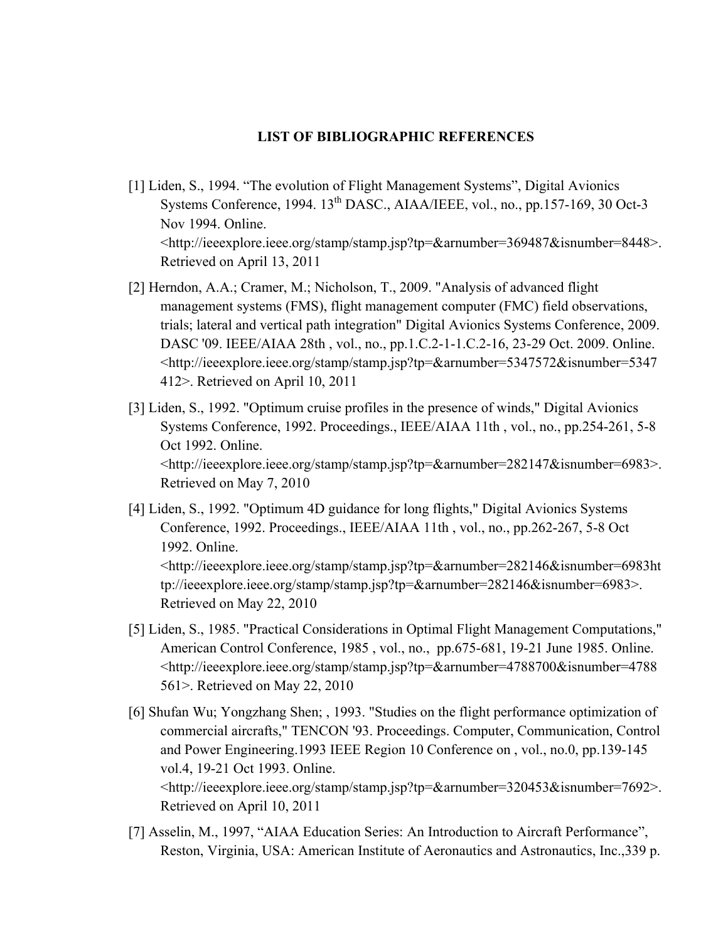## **LIST OF BIBLIOGRAPHIC REFERENCES**

- [1] Liden, S., 1994. "The evolution of Flight Management Systems", Digital Avionics Systems Conference,  $1994. 13<sup>th</sup> DASC., AIAA/IEEE, vol., no., pp.157-169, 30 Oct-3$ Nov 1994. Online. <http://ieeexplore.ieee.org/stamp/stamp.jsp?tp=&arnumber=369487&isnumber=8448>. Retrieved on April 13, 2011
- [2] Herndon, A.A.; Cramer, M.; Nicholson, T., 2009. "Analysis of advanced flight management systems (FMS), flight management computer (FMC) field observations, trials; lateral and vertical path integration" Digital Avionics Systems Conference, 2009. DASC '09. IEEE/AIAA 28th , vol., no., pp.1.C.2-1-1.C.2-16, 23-29 Oct. 2009. Online. <http://ieeexplore.ieee.org/stamp/stamp.jsp?tp=&arnumber=5347572&isnumber=5347 412>. Retrieved on April 10, 2011
- [3] Liden, S., 1992. "Optimum cruise profiles in the presence of winds," Digital Avionics Systems Conference, 1992. Proceedings., IEEE/AIAA 11th , vol., no., pp.254-261, 5-8 Oct 1992. Online. <http://ieeexplore.ieee.org/stamp/stamp.jsp?tp=&arnumber=282147&isnumber=6983>. Retrieved on May 7, 2010
- [4] Liden, S., 1992. "Optimum 4D guidance for long flights," Digital Avionics Systems Conference, 1992. Proceedings., IEEE/AIAA 11th , vol., no., pp.262-267, 5-8 Oct 1992. Online. <http://ieeexplore.ieee.org/stamp/stamp.jsp?tp=&arnumber=282146&isnumber=6983ht tp://ieeexplore.ieee.org/stamp/stamp.jsp?tp=&arnumber=282146&isnumber=6983>. Retrieved on May 22, 2010
- [5] Liden, S., 1985. "Practical Considerations in Optimal Flight Management Computations," American Control Conference, 1985 , vol., no., pp.675-681, 19-21 June 1985. Online. <http://ieeexplore.ieee.org/stamp/stamp.jsp?tp=&arnumber=4788700&isnumber=4788 561>. Retrieved on May 22, 2010
- [6] Shufan Wu; Yongzhang Shen; , 1993. "Studies on the flight performance optimization of commercial aircrafts," TENCON '93. Proceedings. Computer, Communication, Control and Power Engineering.1993 IEEE Region 10 Conference on , vol., no.0, pp.139-145 vol.4, 19-21 Oct 1993. Online. <http://ieeexplore.ieee.org/stamp/stamp.jsp?tp=&arnumber=320453&isnumber=7692>. Retrieved on April 10, 2011
- [7] Asselin, M., 1997, "AIAA Education Series: An Introduction to Aircraft Performance", Reston, Virginia, USA: American Institute of Aeronautics and Astronautics, Inc.,339 p.